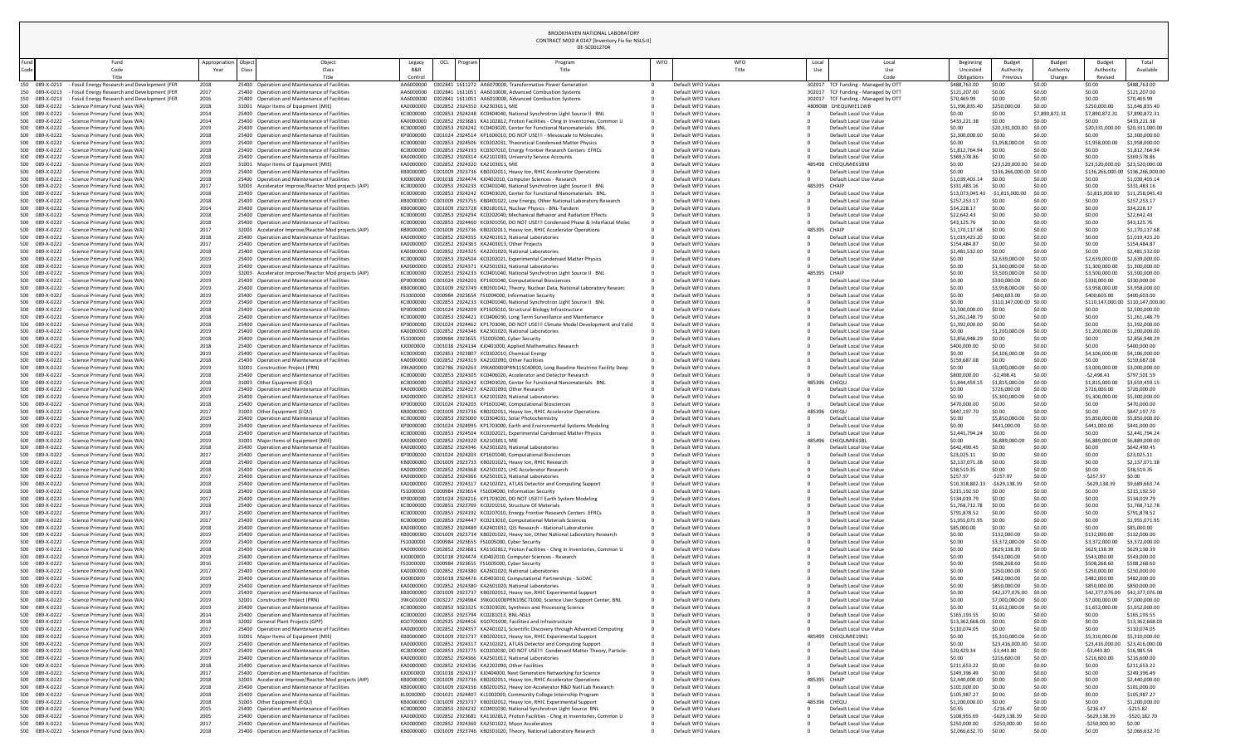| und<br>ode: | Fund<br>Code                                                                                                                    | Appropriation<br>Year | Object<br>Class<br>Class                                                                       | Legacy<br>B&R          | OCL<br>Program<br>Progran<br>Title                                                                                                                   | <b>WFO</b> | <b>WFO</b><br>Title                      | Local<br>Use | Local<br>Use                                                               | Beginning<br>Uncostec                 | Budget<br>Authority                      | Budget<br>Authority     | Budget<br>Authority                         | Total<br>Available                 |
|-------------|---------------------------------------------------------------------------------------------------------------------------------|-----------------------|------------------------------------------------------------------------------------------------|------------------------|------------------------------------------------------------------------------------------------------------------------------------------------------|------------|------------------------------------------|--------------|----------------------------------------------------------------------------|---------------------------------------|------------------------------------------|-------------------------|---------------------------------------------|------------------------------------|
|             | <b>Title</b>                                                                                                                    |                       |                                                                                                | Control                |                                                                                                                                                      |            |                                          |              | Code                                                                       | Obligations                           | Previous                                 | Change                  | Revised                                     |                                    |
|             | 150 089-X-0213 - Fossil Energy Research and Development (FER<br>150 089-X-0213<br>- Fossil Energy Research and Development (FER | 2018<br>2017          | 25400 Operation and Maintenance of Facilities<br>25400 Operation and Maintenance of Facilities | AA6000000              | AA6000000 C002841 1611272 AA6070000, Transformative Power Generation<br>C002841 1611051 AA6010000, Advanced Combustion Systems                       |            | Default WFO Values<br>Default WFO Values |              | 302017 TCF Funding - Managed by OTT<br>302017 TCF Funding - Managed by OTT | \$488,763.00<br>\$121,207.00          | \$0.00<br>\$0.00                         | \$0.00<br>\$0.00        | \$0.00<br>\$0.00                            | \$488,763.00<br>\$121,207.00       |
|             | 150 089-X-0213<br>- Fossil Energy Research and Development (FER                                                                 | 2016                  | 25400 Operation and Maintenance of Facilities                                                  | AA6000000              | C002841 1611051 AA6010000, Advanced Combustion Systems                                                                                               |            | Default WFO Values                       |              | 302017 TCF Funding - Managed by OTT                                        | \$70,469.99                           | \$0.00                                   | \$0.00                  | \$0.00                                      | \$70,469.99                        |
|             | 500 089-X-0222<br>- Science Primary Fund (was WA)<br>500 089-X-0222<br>- Science Primary Fund (was WA)                          | 2018<br>2014          | 31001 Major Items of Equipment (MIE)<br>25400 Operation and Maintenance of Facilities          | KA0000000<br>KC0000000 | C002852 2924350 KA2303011, MIE<br>C002853 2924248 KC0404040, National Synchrotron Light Source II BNL                                                |            | Default WFO Values<br>Default WFO Values |              | 4809008 CHEQUMIE11WB<br>Default Local Use Value                            | \$1,396,835.40<br>\$0.00              | \$250,000.0<br>\$0.00                    | \$0.00<br>\$7,890,872.3 | \$250,000.00<br>\$7,890,872.                | \$1,646,835.4<br>\$7,890,872.3     |
|             | 500 089-X-0222<br>- Science Primary Fund (was WA)                                                                               | 2014                  | 25400 Operation and Maintenance of Facilities                                                  | KA0000000              | C002852 2923681 KA1102812, Proton Facilities - Chng in Inventories, Common U                                                                         |            | Default WFO Values                       |              | Default Local Use Value                                                    | \$433,221.                            | \$0.00                                   | \$0.00                  | \$0.00                                      | \$433,221.38                       |
|             | 500 089-X-0222<br>- Science Primary Fund (was WA)<br>500 089-X-0222<br>- Science Primary Fund (was WA)                          | 2019<br>2018          | 25400 Operation and Maintenance of Facilities<br>25400 Operation and Maintenance of Facilities | KC0000000<br>KP0000000 | C002853 2924242 KC0403020, Center for Functional Nanomaterials BNL<br>C001024 2924514 KP1606010, DO NOT USE!!! - Mesoscale to Molecules              |            | Default WFO Values<br>Default WFO Values |              | Default Local Use Value<br>Default Local Use Value                         | \$0.00<br>\$2,300,000.00              | \$20,331,000.00<br>\$0.00                | \$0.00<br>\$0.00        | \$20,331,000.<br>\$0.00                     | \$20,331,000.0<br>\$2,300,000.00   |
|             | 500 089-X-0222<br>- Science Primary Fund (was WA)                                                                               | 2019                  | 25400 Operation and Maintenance of Facilities                                                  | KC0000000              | C002853 2924506 KC0202031, Theoretical Condensed Matter Physics                                                                                      |            | Default WFO Values                       |              | Default Local Use Value                                                    | \$0.00                                | \$1,958,000.00                           | \$0.00                  | \$1,958,000.00                              | \$1,958,000.00                     |
|             | 500 089-X-0222<br>- Science Primary Fund (was WA)<br>500 089-X-0222<br>- Science Primary Fund (was WA)                          | 2018<br>2018          | 25400 Operation and Maintenance of Facilities<br>25400 Operation and Maintenance of Facilities | KC0000000<br>KA0000000 | C002853 2924193 KC0307010, Energy Frontier Research Centers EFRCs<br>C002852 2924314 KA2101030, University Service Accounts                          |            | Default WFO Values<br>Default WFO Values |              | Default Local Use Value<br>Default Local Use Value                         | \$1,812,764<br>\$369,578.86           | \$0.00<br>\$0.00                         | \$0.00<br>\$0.00        | \$0.00<br>\$0.00                            | \$1,812,764.9<br>\$369,578.86      |
|             | 500 089-X-0222<br>- Science Primary Fund (was WA)                                                                               | 2019                  | 31001 Major Items of Equipment (MIE)                                                           | KA0000000              | C002852 2924320 KA2103011, MIE                                                                                                                       |            | Default WFO Values                       |              | 485498 CHEQUMIE61BM                                                        | \$0.00                                | \$23,520,000.00 \$0.00                   |                         | \$23,520,000.00                             | \$23,520,000.00                    |
|             | 500 089-X-0222<br>- Science Primary Fund (was WA)<br>500 089-X-0222<br>- Science Primary Fund (was WA)                          | 2019<br>2018          | 25400 Operation and Maintenance of Facilities<br>25400 Operation and Maintenance of Facilities | KB0000000<br>KJ0000000 | C001009 2923736 KB0202011, Heavy Ion, RHIC Accelerator Operations<br>C001018 2924474 KJ0402010, Computer Sciences - Research                         |            | Default WFO Values<br>Default WFO Values |              | Default Local Use Value<br>Default Local Use Value                         | \$0.00<br>\$1,039,403.14              | \$136,266,000.00 \$0.00<br>\$0.00        | \$0.00                  | \$136,266,000.00 \$136,266,000.00<br>\$0.00 | \$1,039,403.14                     |
|             | 500 089-X-0222<br>- Science Primary Fund (was WA)                                                                               | 2017                  | 32003 Accelerator Improve/Reactor Mod projects (AIP)                                           | KC0000000              | C002853 2924233 KC0401040, National Synchrotron Light Source II BNL                                                                                  |            | Default WFO Values                       | 485395 CHAIP |                                                                            | \$331,483.1                           | \$0.00                                   | \$0.00                  | \$0.00                                      | \$331,483.16                       |
|             | 500 089-X-0222<br>- Science Primary Fund (was WA)<br>500 089-X-0222<br>- Science Primary Fund (was WA)                          | 2018<br>2018          | 25400 Operation and Maintenance of Facilities<br>25400 Operation and Maintenance of Facilities | KC0000000<br>KB0000000 | C002853 2924242 KC0403020, Center for Functional Nanomaterials BNL<br>C001009 2923755 KB0401022, Low Energy, Other National Laboratory Research      |            | Default WFO Values<br>Default WFO Values |              | Default Local Use Value<br>Default Local Use Value                         | \$13,073,045.43<br>\$257,253.17       | $-$1,815,000$<br>\$0.00                  | \$0.00<br>\$0.00        | $-$1,815,000$<br>\$0.00                     | \$11,258,045.43<br>\$257,253.17    |
|             | 500 089-X-0222<br>- Science Primary Fund (was WA)                                                                               | 2014                  | 25400 Operation and Maintenance of Facilities                                                  | KB0000000              | C001009 2923728 KB0181012, Nuclear Physics - BNL-Tandem                                                                                              |            | Default WFO Values                       |              | Default Local Use Value                                                    | \$34,228.17                           | \$0.00                                   | \$0.00                  | \$0.00                                      | \$34,228.17                        |
|             | 500 089-X-0222<br>- Science Primary Fund (was WA)<br>500 089-X-0222<br>- Science Primary Fund (was WA)                          | 2018<br>2018          | 25400 Operation and Maintenance of Facilities<br>25400 Operation and Maintenance of Facilities | KC0000000<br>KC0000000 | C002853 2924294 KC0202040. Mechanical Behavior and Radiation Effects<br>C002853 2924460 KC0301050, DO NOT USE!!! Condensed Phase & Interfacial Molec |            | Default WFO Values<br>Default WFO Values |              | Default Local Use Value<br>Default Local Use Value                         | \$22,642.43<br>\$43,125.7             | \$0.00<br>\$0.00                         | \$0.00<br>\$0.00        | \$0.00<br>\$0.00                            | \$22,642.43<br>\$43,125.76         |
|             | 500 089-X-0222<br>- Science Primary Fund (was WA)                                                                               | 2017                  | 32003 Accelerator Improve/Reactor Mod projects (AIP)                                           | KB0000000              | C001009 2923736 KB0202011, Heavy Ion, RHIC Accelerator Operations                                                                                    |            | Default WFO Values                       | 485395 CHAIP |                                                                            | \$1,170,117.68                        | \$0.00                                   | \$0.00                  | \$0.00                                      | \$1,170,117.68                     |
|             | 500 089-X-0222<br>- Science Primary Fund (was WA)<br>500 089-X-0222<br>- Science Primary Fund (was WA)                          | 2018<br>2017          | 25400 Operation and Maintenance of Facilities<br>25400 Operation and Maintenance of Facilities | KA0000000<br>KA0000000 | C002852 2924355 KA2401012, National Laboratories<br>C002852 2924363 KA2403013, Other Projects                                                        |            | Default WFO Values<br>Default WFO Values |              | Default Local Use Value<br>Default Local Use Value                         | \$1,019,423.20<br>\$154,484.87        | \$0.00<br>\$0.00                         | \$0.00<br>\$0.00        | \$0.00<br>\$0.00                            | \$1,019,423.20<br>\$154,484.87     |
|             | 500 089-X-0222<br>- Science Primary Fund (was WA)                                                                               | 2018                  | 25400 Operation and Maintenance of Facilities                                                  | KA0000000              | C002852 2924325 KA2201020, National Laboratories                                                                                                     |            | Default WFO Values                       |              | Default Local Use Value                                                    | \$2,481,532.00                        | \$0.00                                   | \$0.00                  | \$0.00                                      | \$2,481,532.0                      |
|             | 500 089-X-0222<br>- Science Primary Fund (was WA)<br>500 089-X-0222<br>- Science Primary Fund (was WA)                          | 2019<br>2019          | 25400 Operation and Maintenance of Facilities<br>25400 Operation and Maintenance of Facilities | KC0000000<br>KA0000000 | C002853 2924504 KC0202021, Experimental Condensed Matter Physics<br>C002852 2924371 KA2501032, National Laboratories                                 |            | Default WFO Values<br>Default WFO Values |              | Default Local Use Value<br>Default Local Use Value                         | \$0.00<br>\$0.00                      | \$2,639,000.00<br>\$1,300,000.00         | \$0.00<br>\$0.00        | \$2,639,000.0<br>\$1,300,000.00             | \$2,639,000.0<br>\$1,300,000.00    |
|             | 500 089-X-0222<br>- Science Primary Fund (was WA)                                                                               | 2019                  | 32003 Accelerator Improve/Reactor Mod projects (AIP)                                           | KC0000000              | C002853 2924233 KC0401040, National Synchrotron Light Source II BNL                                                                                  |            | Default WFO Values                       | 485395 CHAIP |                                                                            | \$0.00                                | \$3,500,000.00                           | \$0.00                  | \$3,500,000.00                              | \$3,500,000.00                     |
| 500 -       | 089-X-0222<br>- Science Primary Fund (was WA)<br>500 089-X-0222<br>- Science Primary Fund (was WA)                              | 2019<br>2019          | 25400 Operation and Maintenance of Facilities<br>25400 Operation and Maintenance of Facilities | KB0000000              | C001024 2924203 KP1601040, Computational Biosciences<br>C001009 2923749 KB0301042, Theory, Nuclear Data, National Laboratory Researc                 |            | Default WFO Values<br>Default WFO Values |              | Default Local Use Value<br>Default Local Use Value                         | \$0.00<br>\$0.00                      | \$330,000.00<br>\$3,958,000.00           | \$0.00<br>\$0.00        | \$330,000.0<br>\$3,958,000.00               | \$330,000.00<br>\$3,958,000.00     |
|             | 500 089-X-0222<br>- Science Primary Fund (was WA)                                                                               | 2019                  | 25400 Operation and Maintenance of Facilities                                                  | FS1000000              | C000984 2923654 FS1004000, Information Security                                                                                                      |            | Default WFO Values                       |              | Default Local Use Value                                                    | \$0.00                                | \$400,603.00                             | \$0.00                  | \$400,603.00                                | \$400,603.00                       |
|             | 500 089-X-0222<br>- Science Primary Fund (was WA)<br>500 089-X-0222<br>- Science Primary Fund (was WA)                          | 2019<br>2018          | 25400 Operation and Maintenance of Facilities<br>25400 Operation and Maintenance of Facilities | KC0000000<br>KP0000000 | C002853 2924233 KC0401040, National Synchrotron Light Source II BNL<br>C001024 2924209 KP1605010, Structural Biology Infrastructure                  |            | Default WFO Values<br>Default WFO Values |              | Default Local Use Value<br>Default Local Use Value                         | \$0.00<br>\$2,500,000.00              | \$110,147,000.00 \$0.00<br>\$0.00        | \$0.00                  | \$110,147,000.00<br>\$0.00                  | \$110,147,000.00<br>\$2,500,000.00 |
|             | 500 089-X-0222<br>- Science Primary Fund (was WA)                                                                               | 2018                  | 25400 Operation and Maintenance of Facilities                                                  | KC0000000              | C002853 2924421 KC0406030, Long Term Surveillance and Maintenance                                                                                    |            | Default WFO Values                       |              | Default Local Use Value                                                    | \$1,261,148.79                        | \$0.00                                   | \$0.00                  | \$0.00                                      | \$1,261,148.7                      |
|             | 500 089-X-0222<br>- Science Primary Fund (was WA)<br>500 089-X-0222<br>- Science Primary Fund (was WA)                          | 2018<br>2019          | 25400 Operation and Maintenance of Facilities<br>25400 Operation and Maintenance of Facilities | KP0000000<br>KA0000000 | C001024 2924462 KP1703040, DO NOT USE!!! Climate Model Development and Valid<br>C002852 2924346 KA2301020. National Laboratories                     |            | Default WFO Values<br>Default WFO Values |              | Default Local Use Value<br>Default Local Use Value                         | \$1,392,000.00<br>\$0.00              | \$0.00<br>\$1,200,000.00                 | \$0.00<br>\$0.00        | \$0.00<br>\$1,200,000                       | \$1,392,000.00<br>\$1,200,000.0    |
|             | 500 089-X-0222<br>- Science Primary Fund (was WA)                                                                               | 2018                  | 25400 Operation and Maintenance of Facilities                                                  | FS1000000              | C000984 2923655 FS1005000, Cyber Security                                                                                                            |            | Default WFO Values                       |              | Default Local Use Value                                                    | \$2,856,948.29                        | \$0.00                                   | \$0.00                  | \$0.00                                      | \$2,856,948.2                      |
|             | 500 089-X-0222<br>- Science Primary Fund (was WA)<br>500 089-X-0222<br>- Science Primary Fund (was WA)                          | 2018<br>2019          | 25400 Operation and Maintenance of Facilities<br>25400 Operation and Maintenance of Facilities | KJ0000000<br>KC0000000 | C001018 2924134 KJ0401000, Applied Mathematics Research<br>C002853 2923807 KC0302010, Chemical Energy                                                |            | Default WFO Values<br>Default WFO Values |              | Default Local Use Value<br>Default Local Use Value                         | \$400,000.00<br>\$0.00                | \$0.00<br>\$4,106,000.                   | \$0.00<br>\$0.00        | \$0.00<br>\$4,106,000.                      | \$400,000.00<br>\$4,106,000.0      |
|             | 500 089-X-0222<br>- Science Primary Fund (was WA)                                                                               | 2018                  | 25400 Operation and Maintenance of Facilities                                                  | KA0000000              | C002852 2924319 KA2102090, Other Facilities                                                                                                          |            | Default WFO Values                       |              | Default Local Use Value                                                    | \$159,687.08                          | \$0.00                                   | \$0.00                  | \$0.00                                      | \$159,687.08                       |
|             | 500 089-X-0222<br>- Science Primary Fund (was WA)<br>500 089-X-0222                                                             | 2019<br>2018          | 32001 Construction Project (PRN)                                                               | 39KA00000<br>KC0000000 | C002786 2924263 39KA00000PRN11SC40000, Long Baseline Neutrino Facility Deep<br>C002853 2924305 KC0406020, Accelerator and Detector Research          |            | Default WFO Values<br>Default WFO Values |              | Default Local Use Value                                                    | \$0.00<br>\$800,000.00                | \$3,000,000.00<br>$-$2,498.41$           | \$0.00                  | \$3,000,000.00                              | \$3,000,000.00<br>\$797,501.59     |
|             | - Science Primary Fund (was WA)<br>500 089-X-0222<br>- Science Primary Fund (was WA)                                            | 2018                  | 25400 Operation and Maintenance of Facilities<br>31003 Other Equipment (EQU)                   | KC0000000              | C002853 2924242 KC0403020, Center for Functional Nanomaterials BNL                                                                                   |            | Default WFO Values                       | 485396 CHEQU | Default Local Use Value                                                    | \$1,844,459.1                         | 1,815,000.00                             | \$0.00<br>\$0.00        | $-52,498.41$<br>\$1,815,000.00              | \$3,659,459.1                      |
|             | 500 089-X-0222<br>- Science Primary Fund (was WA)                                                                               | 2019                  | 25400 Operation and Maintenance of Facilities                                                  | KA0000000              | C002852 2924327 KA2201090, Other Research                                                                                                            |            | Default WFO Values                       |              | Default Local Use Value                                                    | \$0.00                                | \$726,000.00                             | \$0.00                  | \$726,000.00                                | \$726,000.00                       |
|             | 500 089-X-0222<br>- Science Primary Fund (was WA)<br>500 089-X-0222<br>- Science Primary Fund (was WA)                          | 2019<br>2018          | 25400 Operation and Maintenance of Facilities<br>25400 Operation and Maintenance of Facilities | KA0000000<br>KP0000000 | C002852 2924313 KA2101020, National Laboratories<br>C001024 2924203 KP1601040, Computational Biosciences                                             |            | Default WFO Values<br>Default WFO Values |              | Default Local Use Value<br>Default Local Use Value                         | \$0.00<br>\$470,000.00                | \$5,300,000.00<br>\$0.00                 | \$0.00<br>\$0.00        | \$5,300,000.00<br>\$0.00                    | \$5,300,000.00<br>\$470,000.00     |
|             | 500 089-X-0222<br>- Science Primary Fund (was WA)                                                                               | 2017                  | 31003 Other Equipment (EQU)                                                                    | KB0000000              | C001009 2923736 KB0202011, Heavy Ion, RHIC Accelerator Operations                                                                                    |            | Default WFO Values                       | 485396 CHEQU |                                                                            | \$847,197.7                           | \$0.00                                   | \$0.00                  | \$0.00                                      | \$847,197.70                       |
|             | - Science Primary Fund (was WA)<br>500 089-X-0222<br>- Science Primary Fund (was WA)                                            | 2019<br>2019          | 25400 Operation and Maintenance of Facilities<br>25400 Operation and Maintenance of Facilities | KC0000000<br>KP0000000 | C002853 2925000 KC0304031, Solar Photochemistry<br>C001024 2924995 KP1703000, Earth and Environmental Systems Modeling                               |            | Default WFO Values<br>Default WFO Values |              | Default Local Use Value<br>Default Local Use Value                         | \$0.00<br>\$0.00                      | \$5,850,000.00<br>\$441,000.00           | \$0.00<br>\$0.00        | \$5,850,000.0<br>\$441,000.0                | \$5,850,000.0<br>\$441,000.00      |
|             | 500 089-X-0222<br>- Science Primary Fund (was WA)                                                                               | 2018                  | 25400 Operation and Maintenance of Facilities                                                  | KC0000000              | C002853 2924504 KC0202021, Experimental Condensed Matter Physics                                                                                     |            | Default WFO Values                       |              | Default Local Use Value                                                    | \$2,441,794.2                         | \$0.00                                   | \$0.00                  | \$0.00                                      | \$2,441,794.2                      |
|             | 500 089-X-0222<br>- Science Primary Fund (was WA)<br>500 089-X-0222<br>- Science Primary Fund (was WA)                          | 2019<br>2018          | 31001 Major Items of Equipment (MIE)<br>25400 Operation and Maintenance of Facilities          | KA0000000<br>KA0000000 | C002852 2924320 KA2103011, MIE<br>C002852 2924346 KA2301020, National Laboratories                                                                   |            | Default WFO Values<br>Default WFO Values |              | 485496 CHEQUMIE61BL<br>Default Local Use Value                             | \$0.00<br>\$642,490.45                | \$6,889,000.00<br>\$0.00                 | \$0.00<br>\$0.00        | \$6,889,000.00<br>\$0.00                    | \$6,889,000.00<br>\$642,490.45     |
|             | 500 089-X-0222<br>- Science Primary Fund (was WA)                                                                               | 2017                  | 25400 Operation and Maintenance of Facilities                                                  | KP0000000              | C001024 2924203 KP1601040, Computational Biosciences                                                                                                 |            | Default WFO Values                       |              | Default Local Use Value                                                    | \$23,025.1                            | \$0.00                                   | \$0.00                  | \$0.00                                      | \$23,025.11                        |
|             | 500 089-X-0222<br>- Science Primary Fund (was WA)<br>500 089-X-0222<br>- Science Primary Fund (was WA)                          | 2018<br>2018          | 25400 Operation and Maintenance of Facilities<br>25400 Operation and Maintenance of Facilities | KB0000000<br>KA0000000 | C001009 2923733 KB0201021, Heavy Ion, RHIC Research<br>C002852 2924368 KA2501021, LHC Accelerator Research                                           |            | Default WFO Values<br>Default WFO Values |              | Default Local Use Value<br>Default Local Use Value                         | \$2,137,071.38<br>\$38,519.35         | \$0.00<br>\$0.00                         | \$0.00<br>\$0.00        | \$0.00<br>\$0.00                            | \$2,137,071.3<br>\$38,519.35       |
|             | 500 089-X-0222<br>- Science Primary Fund (was WA)                                                                               | 2017                  | 25400 Operation and Maintenance of Facilities                                                  | KA0000000              | C002852 2924366 KA2501012, National Laboratories                                                                                                     |            | Default WFO Values                       |              | Default Local Use Value                                                    | \$257.97                              | $-5257.97$                               | \$0.00                  | $-5257.97$                                  | \$0.00                             |
|             | 500 089-X-0222<br>- Science Primary Fund (was WA)<br>500 089-X-0222<br>- Science Primary Fund (was WA)                          | 2018<br>2018          | 25400 Operation and Maintenance of Facilities<br>25400 Operation and Maintenance of Facilities | KA0000000<br>FS1000000 | C002852 2924317 KA2102021, ATLAS Detector and Computing Support<br>C000984 2923654 FS1004000, Information Security                                   |            | Default WFO Values<br>Default WFO Values |              | Default Local Use Value<br>Default Local Use Value                         | \$10,318,802.<br>\$215,192.50         | $-5629,138.$<br>\$0.00                   | \$0.00<br>\$0.00        | $-5629,138$<br>\$0.00                       | \$9,689,663.7<br>\$215,192.50      |
|             | 500 089-X-0222<br>- Science Primary Fund (was WA)                                                                               | 2017                  | 25400 Operation and Maintenance of Facilities                                                  | KP0000000              | C001024 2924216 KP1703020, DO NOT USE!!! Earth System Modeling                                                                                       |            | Default WFO Values                       |              | Default Local Use Value                                                    | \$134,019.79                          | \$0.00                                   | \$0.00                  | \$0.00                                      | \$134,019.79                       |
|             | 500 089-X-0222 - Science Primary Fund (was WA)<br>500 089-X-0222<br>- Science Primary Fund (was WA)                             | 2018<br>2017          | 25400 Operation and Maintenance of Facilities<br>25400 Operation and Maintenance of Facilities | KC0000000              | C002853 2923769 KC0201010, Structure Of Materials<br>C002853 2924192 KC0207010, Energy Frontier Research Centers EFRCs                               |            | Default WFO Values<br>Default WFO Values |              | Default Local Use Value<br>Default Local Use Value                         | \$1,768,712.78 \$0.00<br>\$791,878.52 | \$0.00                                   | \$0.00<br>\$0.00        | \$0.00<br>\$0.00                            | \$1,768,712.78<br>\$791,878.52     |
|             | 500 089-X-0222<br>- Science Primary Fund (was WA)                                                                               | 2017                  | 25400 Operation and Maintenance of Facilities                                                  | KC0000000              | C002853 2924447 KC0213010, Computational Materials Sciences                                                                                          |            | Default WFO Values                       |              | Default Local Use Value                                                    | \$1,955,071.95                        | \$0.00                                   | <b>SO.00</b>            | \$0.00                                      | \$1,955,071.95                     |
|             | 500 089-X-0222<br>- Science Primary Fund (was WA)<br>500 089-X-0222<br>- Science Primary Fund (was WA)                          | 2018<br>2019          | 25400 Operation and Maintenance of Facilities<br>25400 Operation and Maintenance of Facilities | KA0000000<br>KB0000000 | C002852 2924489 KA2401032, QIS Research - National Laboratories<br>C001009 2923734 KB0201022, Heavy Ion, Other National Laboratory Research          |            | Default WFO Values<br>Default WFO Values |              | Default Local Use Value<br>Default Local Use Value                         | \$85,000.0<br>\$0.00                  | \$0.00<br>\$132,000.00                   | \$0.00<br>\$0.00        | \$0.00<br>\$132,000.00                      | \$85,000.00<br>\$132,000.00        |
|             | 500 089-X-0222<br>- Science Primary Fund (was WA)                                                                               | 2019                  | 25400 Operation and Maintenance of Facilities                                                  | FS1000000              | C000984 2923655 FS1005000, Cyber Security                                                                                                            |            | Default WFO Values                       |              | Default Local Use Value                                                    | \$0.00                                | \$3,372,000.00                           | \$0.00                  | \$3,372,000.00                              | \$3,372,000.0                      |
|             | 500 089-X-0222<br>- Science Primary Fund (was WA)<br>500 089-X-0222<br>- Science Primary Fund (was WA)                          | 2018<br>2019          | 25400 Operation and Maintenance of Facilities<br>25400 Operation and Maintenance of Facilities | KA0000000<br>KJ0000000 | C002852 2923681 KA1102812, Proton Facilities - Chng in Inventories, Common U<br>C001018 2924474 KJ0402010, Computer Sciences - Research              |            | Default WFO Values<br>Default WFO Values |              | Default Local Use Value<br>Default Local Use Value                         | \$0.00<br>SO.00                       | \$629,138.39<br>\$543,000.00             | \$0.00<br>\$0.00        | \$629,138.39<br>\$543,000.0                 | \$629,138.39<br>\$543,000.00       |
|             | 500 089-X-0222<br>- Science Primary Fund (was WA)                                                                               | 2016                  | 25400 Operation and Maintenance of Facilities                                                  | FS1000000              | C000984 2923655 FS1005000, Cyber Security                                                                                                            |            | Default WFO Values                       |              | Default Local Use Value                                                    | \$0.00                                | \$508,268.60                             | \$0.00                  | \$508,268.60                                | \$508,268.60                       |
|             | 500 089-X-0222<br>- Science Primary Fund (was WA)<br>500 089-X-0222<br>- Science Primary Fund (was WA)                          | 2017<br>2019          | 25400 Operation and Maintenance of Facilities<br>25400 Operation and Maintenance of Facilities | KA0000000<br>KJ0000000 | C002852 2924380 KA2601020. National Laboratories<br>C001018 2924476 KJ0403010, Computational Partnerships - SciDAC                                   |            | Default WFO Values<br>Default WFO Values |              | Default Local Use Value<br>Default Local Use Value                         | \$0.00<br>\$0.00                      | \$250,000.00<br>\$482,000.00             | \$0.00<br>\$0.00        | \$250,000.00<br>\$482,000.0                 | \$250,000.00<br>\$482,000.00       |
|             | 500 089-X-0222<br>- Science Primary Fund (was WA)                                                                               | 2019                  | 25400 Operation and Maintenance of Facilities                                                  | KA0000000              | C002852 2924380 KA2601020, National Laboratories                                                                                                     |            | Default WFO Values                       |              | Default Local Use Value                                                    | \$0.00                                | \$850,000.00                             | \$0.00                  | \$850,000.00                                | \$850,000.00                       |
|             | 500 089-X-0222<br>- Science Primary Fund (was WA)<br>500 089-X-0222<br>- Science Primary Fund (was WA)                          | 2019<br>2019          | 25400 Operation and Maintenance of Facilities<br>32001 Construction Project (PRN)              | KB0000000<br>39KG01000 | C001009 2923737 KB0202012, Heavy Ion, RHIC Experimental Support<br>C003227 2924984 39KG01000PRN19SC71000, Science User Support Center, BNL           |            | Default WFO Values<br>Default WFO Values |              | Default Local Use Value<br>Default Local Use Value                         | \$0.00<br>\$0.00                      | \$42,377,076.00 \$0.00<br>\$7,000,000.00 | \$0.00                  | \$42,377,076.00<br>\$7,000,000.00           | \$42,377,076.00<br>\$7,000,000.00  |
|             | 500 089-X-0222<br>- Science Primary Fund (was WA)                                                                               | 2019                  | 25400 Operation and Maintenance of Facilities                                                  | KC0000000              | C002853 3023325 KC0203020, Synthesis and Processing Science                                                                                          |            | Default WFO Values                       |              | Default Local Use Value                                                    | \$0.00                                | \$1,652,000.00                           | \$0.00                  | \$1,652,000.00                              | \$1,652,000.00                     |
|             | 500 089-X-0222<br>- Science Primary Fund (was WA)<br>089-X-0222<br>- Science Primary Fund (was WA)                              | 2014<br>2018          | 25400 Operation and Maintenance of Facilities<br>32002 General Plant Projects (GPP)            | KC0000000<br>KG0700000 | C002853 2923794 KC0281013, BNL-NSLS<br>C002925 2924416 KG0701000. Facilities and Infrastructure                                                      |            | Default WFO Values<br>Default WFO Values |              | Default Local Use Value<br>Default Local Use Value                         | \$165,193.55<br>\$13,362,668.03       | \$0.00<br>\$0.00                         | \$0.00<br>\$0.00        | \$0.00<br>\$0.00                            | \$165,193.55<br>\$13,362,668.0     |
| 500 -       | 500 089-X-0222<br>- Science Primary Fund (was WA)                                                                               | 2017                  | 25400 Operation and Maintenance of Facilities                                                  | KA0000000              | C002852 2924357 KA2401021, Scientific Discovery through Advanced Computing                                                                           |            | Default WFO Values                       |              | Default Local Use Value                                                    | \$110,074.05                          | \$0.00                                   | \$0.00                  | \$0.00                                      | \$110,074.05                       |
|             | 500 089-X-0222<br>- Science Primary Fund (was WA)                                                                               | 2019                  | 31001 Major Items of Equipment (MIE)                                                           | KB0000000<br>KA0000000 | C001009 2923737 KB0202012, Heavy Ion, RHIC Experimental Support                                                                                      |            | Default WFO Values                       |              | 485499 CHEQUMIE19N1<br>Default Local Use Value                             | \$0.00                                | \$5,310,000.00                           | \$0.00                  | \$5,310,000.00                              | \$5,310,000.00                     |
|             | 500 089-X-0222<br>- Science Primary Fund (was WA)<br>500 089-X-0222<br>- Science Primary Fund (was WA)                          | 2019<br>2017          | 25400 Operation and Maintenance of Facilities<br>25400 Operation and Maintenance of Facilities | KC0000000              | C002852 2924317 KA2102021, ATLAS Detector and Computing Support<br>C002853 2923775 KC0202030, DO NOT USE!!! Condensed Matter Theory, Particle-       |            | Default WFO Values<br>Default WFO Values |              | Default Local Use Value                                                    | \$0.00<br>\$20,429.3                  | \$23,416,000.00<br>$-53,443.80$          | \$0.00<br>\$0.00        | \$23,416,000.00<br>$-53,443.80$             | \$23,416,000.00<br>\$16,985.54     |
| 500 -       | 089-X-0222<br>- Science Primary Fund (was WA)                                                                                   | 2019                  | 25400 Operation and Maintenance of Facilities                                                  | KA0000000              | C002852 2924366 KA2501012, National Laboratories                                                                                                     |            | Default WFO Values                       |              | Default Local Use Value                                                    | \$0.00                                | \$216,600.00                             | \$0.00                  | \$216,600.0                                 | \$216,600.00                       |
|             | 500 089-X-0222<br>- Science Primary Fund (was WA)<br>500 089-X-0222<br>- Science Primary Fund (was WA)                          | 2018<br>2017          | 25400 Operation and Maintenance of Facilities<br>25400 Operation and Maintenance of Facilities | KA0000000<br>KJ0000000 | C002852 2924336 KA2202090, Other Facilities<br>C001018 2924137 KJ0404000, Next Generation Networking for Science                                     |            | Default WFO Values<br>Default WFO Values |              | Default Local Use Value<br>Default Local Use Value                         | \$211,653.22<br>\$249,396.49          | \$0.00<br>\$0.00                         | \$0.00<br>\$0.00        | \$0.00<br>\$0.00                            | \$211,653.22<br>\$249,396.49       |
|             | 500 089-X-0222<br>- Science Primary Fund (was WA)                                                                               | 2018                  | 32003 Accelerator Improve/Reactor Mod projects (AIP)                                           | KB0000000              | C001009 2923736 KB0202011, Heavy Ion, RHIC Accelerator Operations                                                                                    |            | Default WFO Values                       | 485395 CHAIP |                                                                            | \$2,440,000.00                        | \$0.00                                   | \$0.00                  | \$0.00                                      | \$2,440,000.0                      |
|             | 500 089-X-0222<br>- Science Primary Fund (was WA)<br>500 089-X-0222<br>- Science Primary Fund (was WA)                          | 2018<br>2018          | 25400 Operation and Maintenance of Facilities<br>25400 Operation and Maintenance of Facilities | KB0000000<br>KL0000000 | C001009 2924156 KB0201052, Heavy Ion Accelerator R&D Natl Lab Research<br>C001021 2924407 KL1002000, Community College Internship Program            |            | Default WFO Values<br>Default WFO Values |              | Default Local Use Value<br>Default Local Use Value                         | \$101,000.00<br>\$105,987.27          | \$0.00<br>\$0.00                         | \$0.00<br>\$0.00        | \$0.00<br>\$0.00                            | \$101,000.00<br>\$105,987.27       |
|             | 500 089-X-0222<br>- Science Primary Fund (was WA)                                                                               | 2018                  | 31003 Other Equipment (EQU)                                                                    | KB0000000              | C001009 2923737 KB0202012, Heavy Ion, RHIC Experimental Support                                                                                      |            | Default WFO Values                       | 485396 CHEQU |                                                                            | \$1,200,000.00                        | \$0.00                                   | \$0.00                  | \$0.00                                      | \$1,200,000.00                     |
|             | 500 089-X-0222<br>- Science Primary Fund (was WA)<br>500 089-X-0222<br>- Science Primary Fund (was WA)                          | 2015<br>2005          | 25400 Operation and Maintenance of Facilities<br>25400 Operation and Maintenance of Facilities | KC0000000<br>KA0000000 | C002853 2924232 KC0401030, National Synchrotron Light Source BNL<br>C002852 2923681 KA1102812, Proton Facilities - Chng in Inventories, Common U     |            | Default WFO Values<br>Default WFO Values |              | Default Local Use Value<br>Default Local Use Value                         | \$0.65<br>\$108,955.69                | $-5216.47$<br>$-$629,138.3$              | \$0.00<br>\$0.00        | $-$ \$216.47<br>$-$629,138.3$               | -\$215.82<br>$-$520,182.70$        |
|             | 500 089-X-0222<br>- Science Primary Fund (was WA)                                                                               | 2017                  | 25400 Operation and Maintenance of Facilities                                                  | KA0000000              | C002852 2924369 KA2501022, Muon Accelerators                                                                                                         |            | Default WFO Values                       |              | Default Local Use Value                                                    | \$250,000.00                          | \$250,000.0                              | \$0.00                  | $-5250,000.$                                | \$0.00                             |
|             | 500 089-X-0222<br>- Science Primary Fund (was WA)                                                                               |                       | 25400 Operation and Maintenance of Facilities                                                  | KB0000000              | C001009 2923746 KB0301020, Theory, National Laboratory Research                                                                                      |            | Default WFO Values                       |              | Default Local Use Value                                                    | \$2.066.632.70                        | \$0.00                                   |                         | \$0.00                                      | \$2.066.632.70                     |

DE-SC0012704 CONTRACT MOD # 0147 [Inventory Fix for NSLS-II]

| Beginning<br>Uncosted            | <b>Budget</b><br>Authority        | <b>Budget</b><br>Authority | <b>Budget</b><br>Authority        | Total<br>Available                |
|----------------------------------|-----------------------------------|----------------------------|-----------------------------------|-----------------------------------|
| Obligations                      | Previous                          | Change                     | Revised                           |                                   |
| \$488,763.00                     | \$0.00                            | \$0.00                     | \$0.00                            | \$488,763.00                      |
| \$121,207.00<br>\$70,469.99      | \$0.00<br>\$0.00                  | \$0.00<br>\$0.00           | \$0.00<br>\$0.00                  | \$121,207.00<br>\$70,469.99       |
| \$1,396,835.40                   | \$250,000.00                      | \$0.00                     | \$250,000.00                      | \$1,646,835.40                    |
| \$0.00                           | \$0.00                            | \$7,890,872.31             | \$7,890,872.31                    | \$7,890,872.31                    |
| \$433,221.38<br>\$0.00           | \$0.00<br>\$20,331,000.00         | \$0.00<br>\$0.00           | \$0.00<br>\$20,331,000.00         | \$433,221.38<br>\$20,331,000.00   |
| \$2,300,000.00                   | \$0.00                            | \$0.00                     | \$0.00                            | \$2,300,000.00                    |
| \$0.00                           | \$1,958,000.00                    | \$0.00                     | \$1,958,000.00                    | \$1,958,000.00                    |
| \$1,812,764.94<br>\$369,578.86   | \$0.00<br>\$0.00                  | \$0.00<br>\$0.00           | \$0.00<br>\$0.00                  | \$1,812,764.94<br>\$369,578.86    |
| \$0.00                           | \$23,520,000.00                   | \$0.00                     | \$23,520,000.00                   | \$23,520,000.00                   |
| \$0.00                           | \$136,266,000.00                  | \$0.00                     | \$136,266,000.00                  | \$136,266,000.00                  |
| \$1,039,403.14<br>\$331,483.16   | \$0.00<br>\$0.00                  | \$0.00<br>\$0.00           | \$0.00<br>\$0.00                  | \$1,039,403.14<br>\$331,483.16    |
| \$13,073,045.43                  | $-$1,815,000.00$                  | \$0.00                     | $-$1,815,000.00$                  | \$11,258,045.43                   |
| \$257,253.17<br>\$34,228.17      | \$0.00<br>\$0.00                  | \$0.00<br>\$0.00           | \$0.00<br>\$0.00                  | \$257,253.17<br>\$34,228.17       |
| \$22,642.43                      | \$0.00                            | \$0.00                     | \$0.00                            | \$22,642.43                       |
| \$43,125.76                      | \$0.00                            | \$0.00                     | \$0.00                            | \$43,125.76                       |
| \$1,170,117.68<br>\$1,019,423.20 | \$0.00<br>\$0.00                  | \$0.00<br>\$0.00           | \$0.00<br>\$0.00                  | \$1,170,117.68<br>\$1,019,423.20  |
| \$154,484.87                     | \$0.00                            | \$0.00                     | \$0.00                            | \$154,484.87                      |
| \$2,481,532.00                   | \$0.00                            | \$0.00                     | \$0.00                            | \$2,481,532.00                    |
| \$0.00<br>\$0.00                 | \$2,639,000.00<br>\$1,300,000.00  | \$0.00<br>\$0.00           | \$2,639,000.00<br>\$1,300,000.00  | \$2,639,000.00<br>\$1,300,000.00  |
| \$0.00                           | \$3,500,000.00                    | \$0.00                     | \$3,500,000.00                    | \$3,500,000.00                    |
| \$0.00                           | \$330,000.00                      | \$0.00                     | \$330,000.00                      | \$330,000.00                      |
| \$0.00<br>\$0.00                 | \$3,958,000.00<br>\$400,603.00    | \$0.00<br>\$0.00           | \$3,958,000.00<br>\$400,603.00    | \$3,958,000.00<br>\$400,603.00    |
| \$0.00                           | \$110,147,000.00                  | \$0.00                     | \$110,147,000.00                  | \$110,147,000.00                  |
| \$2,500,000.00<br>\$1,261,148.79 | \$0.00<br>\$0.00                  | \$0.00<br>\$0.00           | \$0.00<br>\$0.00                  | \$2,500,000.00<br>\$1,261,148.79  |
| \$1,392,000.00                   | \$0.00                            | \$0.00                     | \$0.00                            | \$1,392,000.00                    |
| \$0.00                           | \$1,200,000.00                    | \$0.00                     | \$1,200,000.00                    | \$1,200,000.00                    |
| \$2,856,948.29<br>\$400,000.00   | \$0.00<br>\$0.00                  | \$0.00<br>\$0.00           | \$0.00<br>\$0.00                  | \$2,856,948.29<br>\$400,000.00    |
| \$0.00                           | \$4,106,000.00                    | \$0.00                     | \$4,106,000.00                    | \$4,106,000.00                    |
| \$159,687.08<br>\$0.00           | \$0.00<br>\$3,000,000.00          | \$0.00<br>\$0.00           | \$0.00<br>\$3,000,000.00          | \$159,687.08<br>\$3,000,000.00    |
| \$800,000.00                     | $-$2,498.41$                      | \$0.00                     | $-52,498.41$                      | \$797,501.59                      |
| \$1,844,459.15                   | \$1,815,000.00                    | \$0.00                     | \$1,815,000.00                    | \$3,659,459.15                    |
| \$0.00<br>\$0.00                 | \$726,000.00<br>\$5,300,000.00    | \$0.00<br>\$0.00           | \$726,000.00<br>\$5,300,000.00    | \$726,000.00<br>\$5,300,000.00    |
| \$470,000.00                     | \$0.00                            | \$0.00                     | \$0.00                            | \$470,000.00                      |
| \$847,197.70<br>\$0.00           | \$0.00<br>\$5,850,000.00          | \$0.00<br>\$0.00           | \$0.00<br>\$5,850,000.00          | \$847,197.70<br>\$5,850,000.00    |
| \$0.00                           | \$441,000.00                      | \$0.00                     | \$441,000.00                      | \$441,000.00                      |
| \$2,441,794.24<br>\$0.00         | \$0.00<br>\$6,889,000.00          | \$0.00<br>\$0.00           | \$0.00<br>\$6,889,000.00          | \$2,441,794.24<br>\$6,889,000.00  |
| \$642,490.45                     | \$0.00                            | \$0.00                     | \$0.00                            | \$642,490.45                      |
| \$23,025.11                      | \$0.00                            | \$0.00                     | \$0.00                            | \$23,025.11                       |
| \$2,137,071.38<br>\$38,519.35    | \$0.00<br>\$0.00                  | \$0.00<br>\$0.00           | \$0.00<br>\$0.00                  | \$2,137,071.38<br>\$38,519.35     |
| \$257.97                         | $-$257.97$                        | \$0.00                     | $-5257.97$                        | \$0.00                            |
| \$10,318,802.13<br>\$215,192.50  | $-5629,138.39$<br>\$0.00          | \$0.00<br>\$0.00           | $-$629,138.39$<br>\$0.00          | \$9,689,663.74<br>\$215,192.50    |
| \$134,019.79                     | \$0.00                            | \$0.00                     | \$0.00                            | \$134,019.79                      |
| \$1,768,712.78                   | \$0.00                            | \$0.00                     | \$0.00                            | \$1,768,712.78                    |
| \$791,878.52<br>\$1,955,071.95   | \$0.00<br>\$0.00                  | \$0.00<br>\$0.00           | \$0.00<br>\$0.00                  | \$791,878.52<br>\$1,955,071.95    |
| \$85,000.00                      | \$0.00                            | \$0.00                     | \$0.00                            | \$85,000.00                       |
| \$0.00                           | \$132,000.00                      | \$0.00                     | \$132,000.00                      | \$132,000.00                      |
| \$0.00<br>\$0.00                 | \$3,372,000.00<br>\$629,138.39    | \$0.00<br>\$0.00           | \$3,372,000.00<br>\$629,138.39    | \$3,372,000.00<br>\$629,138.39    |
| \$0.00                           | \$543,000.00                      | \$0.00                     | \$543,000.00                      | \$543,000.00                      |
| \$0.00<br>\$0.00                 | \$508,268.60<br>\$250,000.00      | \$0.00<br>\$0.00           | \$508,268.60<br>\$250,000.00      | \$508,268.60<br>\$250,000.00      |
| \$0.00                           | \$482,000.00                      | \$0.00                     | \$482,000.00                      | \$482,000.00                      |
| \$0.00                           | \$850,000.00                      | \$0.00                     | \$850,000.00                      | \$850,000.00                      |
| \$0.00<br>\$0.00                 | \$42,377,076.00<br>\$7,000,000.00 | \$0.00<br>\$0.00           | \$42,377,076.00<br>\$7,000,000.00 | \$42,377,076.00<br>\$7,000,000.00 |
| \$0.00                           | \$1,652,000.00                    | \$0.00                     | \$1,652,000.00                    | \$1,652,000.00                    |
| \$165,193.55<br>\$13,362,668.03  | \$0.00<br>\$0.00                  | \$0.00<br>\$0.00           | \$0.00<br>\$0.00                  | \$165,193.55<br>\$13,362,668.03   |
| \$110,074.05                     | \$0.00                            | \$0.00                     | \$0.00                            | \$110,074.05                      |
| \$0.00                           | \$5,310,000.00                    | \$0.00                     | \$5,310,000.00                    | \$5,310,000.00                    |
| \$0.00<br>\$20,429.34            | \$23,416,000.00<br>$-$3,443.80$   | \$0.00<br>\$0.00           | \$23,416,000.00<br>$-53,443.80$   | \$23,416,000.00<br>\$16,985.54    |
| \$0.00                           | \$216,600.00                      | \$0.00                     | \$216,600.00                      | \$216,600.00                      |
| \$211,653.22                     | \$0.00                            | \$0.00                     | \$0.00                            | \$211,653.22                      |
| \$249,396.49<br>\$2,440,000.00   | \$0.00<br>\$0.00                  | \$0.00<br>\$0.00           | \$0.00<br>\$0.00                  | \$249,396.49<br>\$2,440,000.00    |
| \$101,000.00                     | \$0.00                            | \$0.00                     | \$0.00                            | \$101,000.00                      |
| \$105,987.27<br>\$1,200,000.00   | \$0.00<br>\$0.00                  | \$0.00<br>\$0.00           | \$0.00<br>\$0.00                  | \$105,987.27<br>\$1,200,000.00    |
| \$0.65                           | $-5216.47$                        | \$0.00                     | $-5216.47$                        | $-5215.82$                        |
| \$108,955.69                     | $-5629, 138.39$                   | \$0.00                     | $-$629,138.39$                    | $-5520,182.70$                    |
| \$250,000.00                     | $-$250,000.00$                    | \$0.00                     | $-$250,000.00$                    | \$0.00                            |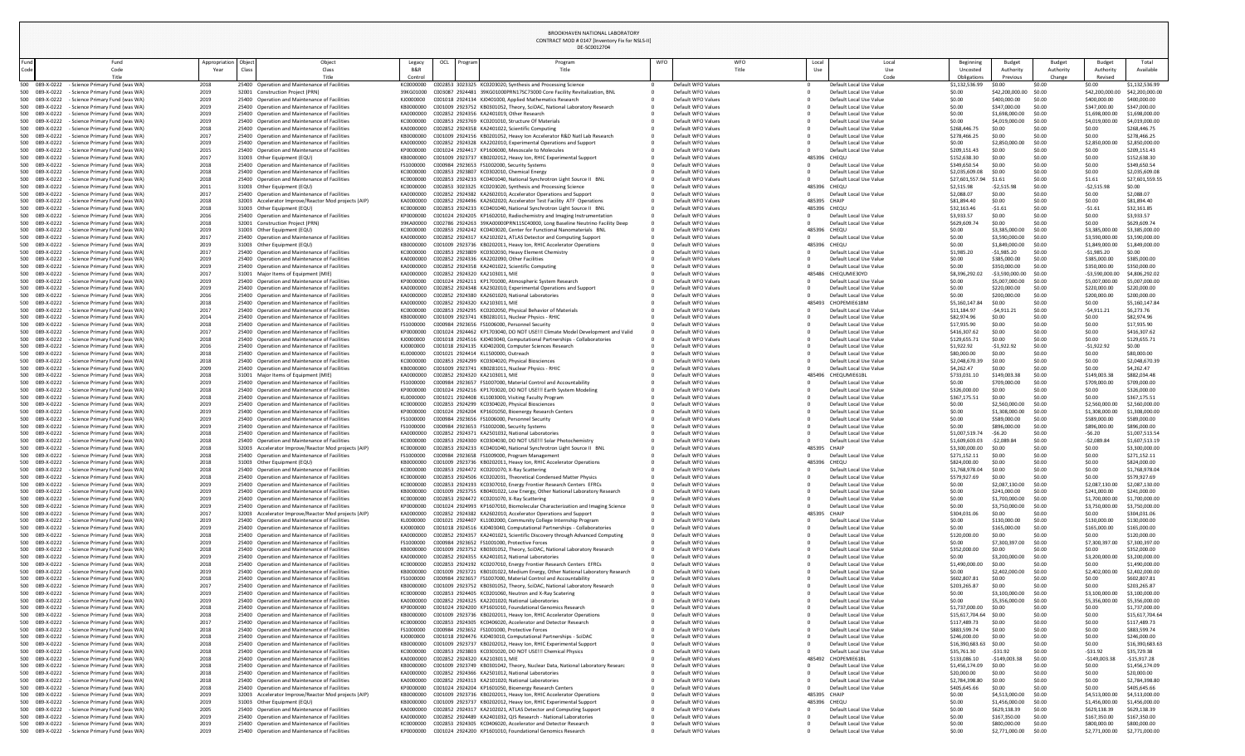| <b>Beginning</b><br>Uncosted<br>Obligations | <b>Budget</b><br>Authority<br>Previous | <b>Budget</b><br>Authority<br>Change | <b>Budget</b><br>Authority<br>Revised | Total<br>Available |
|---------------------------------------------|----------------------------------------|--------------------------------------|---------------------------------------|--------------------|
| \$1,132,536.99                              | \$0.00                                 | \$0.00                               | \$0.00                                | \$1,132,536.99     |
| \$0.00                                      | \$42,200,000.00                        | \$0.00                               | \$42,200,000.00                       | \$42,200,000.00    |
| \$0.00                                      | \$400,000.00                           | \$0.00                               | \$400,000.00                          | \$400,000.00       |
| \$0.00                                      | \$347,000.00                           | \$0.00                               | \$347,000.00                          | \$347,000.00       |
| \$0.00                                      | \$1,698,000.00                         | \$0.00                               | \$1,698,000.00                        | \$1,698,000.00     |
| \$0.00                                      | \$4,019,000.00                         | \$0.00                               | \$4,019,000.00                        | \$4,019,000.00     |
| \$268,446.75                                | \$0.00                                 | \$0.00                               | \$0.00                                | \$268,446.75       |
| \$278,466.25                                | \$0.00                                 | \$0.00                               | \$0.00                                | \$278,466.25       |
| \$0.00                                      | \$2,850,000.00                         | \$0.00                               | \$2,850,000.00                        | \$2,850,000.00     |
| \$209,151.43                                | \$0.00                                 | \$0.00                               | \$0.00                                | \$209,151.43       |
| \$152,638.30                                | \$0.00                                 | \$0.00                               | \$0.00                                | \$152,638.30       |
| \$349,650.54                                | \$0.00                                 | \$0.00                               | \$0.00                                | \$349,650.54       |
| \$2,035,609.08                              | \$0.00                                 | \$0.00                               | \$0.00                                | \$2,035,609.08     |
| \$27,601,557.94                             | \$1.61                                 | \$0.00                               | \$1.61                                | \$27,601,559.55    |
| \$2,515.98                                  | $-52,515.98$                           | \$0.00                               | $-52,515.98$                          | \$0.00             |
| \$2,088.07                                  | \$0.00                                 | \$0.00                               | \$0.00                                | \$2,088.07         |
| \$81,894.40                                 | \$0.00                                 | \$0.00                               | \$0.00                                | \$81,894.40        |
| \$32,163.46                                 | $-51.61$                               | \$0.00                               | $-51.61$                              | \$32,161.85        |
| \$3,933.57                                  | \$0.00                                 | \$0.00                               | \$0.00                                | \$3,933.57         |
| \$629,609.74                                | \$0.00                                 | \$0.00                               | \$0.00                                | \$629,609.74       |
| \$0.00                                      | \$3,385,000.00                         | \$0.00                               | \$3,385,000.00                        | \$3,385,000.00     |
| \$0.00                                      | \$3,590,000.00                         | \$0.00                               | \$3,590,000.00                        | \$3,590,000.00     |
| \$0.00                                      | \$1,849,000.00                         | \$0.00                               | \$1,849,000.00                        | \$1,849,000.00     |
| \$1,985.20                                  | $-$1,985.20$                           | \$0.00                               | $-51,985.20$                          | \$0.00             |
| \$0.00                                      | \$385,000.00                           | \$0.00                               | \$385,000.00                          | \$385,000.00       |
| \$0.00                                      | \$350,000.00                           | \$0.00                               | \$350,000.00                          | \$350,000.00       |
| \$8,396,292.02                              | -\$3,590,000.00                        | \$0.00                               | -\$3,590,000.00                       | \$4,806,292.02     |
| \$0.00                                      | \$5,007,000.00                         | \$0.00                               | \$5,007,000.00                        | \$5,007,000.00     |
| \$0.00                                      | \$220,000.00                           | \$0.00                               | \$220,000.00                          | \$220,000.00       |
| \$0.00                                      | \$200,000.00                           | \$0.00                               | \$200,000.00                          | \$200,000.00       |
| \$5,160,147.84                              | \$0.00                                 | \$0.00                               | \$0.00                                | \$5,160,147.84     |
| \$11,184.97                                 | $-54,911.21$                           | \$0.00                               | $-54,911.21$                          | \$6,273.76         |
| \$82,974.96                                 | \$0.00                                 | \$0.00                               | \$0.00                                | \$82,974.96        |
| \$17,935.90                                 | \$0.00                                 | \$0.00                               | \$0.00                                | \$17,935.90        |
| \$416,307.62                                | \$0.00                                 | \$0.00                               | \$0.00                                | \$416,307.62       |
| \$129,655.71                                | \$0.00                                 | \$0.00                               | \$0.00                                | \$129,655.71       |
| \$1,922.92                                  | $-51,922.92$                           | \$0.00                               | $-$1,922.92$                          | \$0.00             |
| \$80,000.00                                 |                                        |                                      | \$0.00                                | \$80,000.00        |
|                                             | \$0.00<br>\$0.00                       | \$0.00                               |                                       |                    |
| \$2,048,670.39                              |                                        | \$0.00                               | \$0.00                                | \$2,048,670.39     |
| \$4,262.47                                  | \$0.00                                 | \$0.00                               | \$0.00                                | \$4,262.47         |
| \$733,031.10                                | \$149,003.38                           | \$0.00                               | \$149,003.38                          | \$882,034.48       |
| \$0.00                                      | \$709,000.00                           | \$0.00                               | \$709,000.00                          | \$709,000.00       |
| \$326,000.00                                | \$0.00                                 | \$0.00                               | \$0.00                                | \$326,000.00       |
| \$367,175.51                                | \$0.00                                 | \$0.00                               | \$0.00                                | \$367,175.51       |
| \$0.00                                      | \$2,560,000.00                         | \$0.00                               | \$2,560,000.00                        | \$2,560,000.00     |
| \$0.00                                      | \$1,308,000.00                         | \$0.00                               | \$1,308,000.00                        | \$1,308,000.00     |
| \$0.00                                      | \$589,000.00                           | \$0.00                               | \$589,000.00                          | \$589,000.00       |
| \$0.00                                      | \$896,000.00                           | \$0.00                               | \$896,000.00                          | \$896,000.00       |
| \$1,007,519.74                              | $-56.20$                               | \$0.00                               | $-56.20$                              | \$1,007,513.54     |
| \$1,609,603.03                              | $-52,089.84$                           | \$0.00                               | $-52,089.84$                          | \$1,607,513.19     |
| \$3,300,000.00                              | \$0.00                                 | \$0.00                               | \$0.00                                | \$3,300,000.00     |
| \$271,152.11                                | \$0.00                                 | \$0.00                               | \$0.00                                | \$271,152.11       |
| \$824,000.00                                | \$0.00                                 | \$0.00                               | \$0.00                                | \$824,000.00       |
| \$1,768,978.04                              | \$0.00                                 | \$0.00                               | \$0.00                                | \$1,768,978.04     |
| \$579,927.69                                | \$0.00                                 | \$0.00                               | \$0.00                                | \$579,927.69       |
| \$0.00                                      | \$2,087,130.00                         | \$0.00                               | \$2,087,130.00                        | \$2,087,130.00     |
| \$0.00                                      | \$241,000.00                           | \$0.00                               | \$241,000.00                          | \$241,000.00       |
| \$0.00                                      | \$1,700,000.00                         | \$0.00                               | \$1,700,000.00                        | \$1,700,000.00     |
| \$0.00                                      | \$3,750,000.00                         | \$0.00                               | \$3,750,000.00                        | \$3,750,000.00     |
| \$304,031.06                                | \$0.00                                 | \$0.00                               | \$0.00                                | \$304,031.06       |
| \$0.00                                      | \$130,000.00                           | \$0.00                               | \$130,000.00                          | \$130,000.00       |
| \$0.00                                      | \$165,000.00                           | \$0.00                               | \$165,000.00                          | \$165,000.00       |
| \$120,000.00                                | \$0.00                                 | \$0.00                               | \$0.00                                | \$120,000.00       |
| \$0.00                                      | \$7,300,397.00                         | \$0.00                               | \$7,300,397.00                        | \$7,300,397.00     |
| \$352,000.00                                | \$0.00                                 | \$0.00                               | \$0.00                                | \$352,000.00       |
| \$0.00                                      | \$3,200,000.00                         | \$0.00                               | \$3,200,000.00                        | \$3,200,000.00     |
| \$1,490,000.00                              | \$0.00                                 | \$0.00                               | \$0.00                                | \$1,490,000.00     |
| \$0.00                                      | \$2,402,000.00                         | \$0.00                               | \$2,402,000.00                        | \$2,402,000.00     |
| \$602,807.81                                | \$0.00                                 | \$0.00                               | \$0.00                                | \$602,807.81       |
| \$203,265.87                                | \$0.00                                 | \$0.00                               | \$0.00                                | \$203,265.87       |
| \$0.00                                      | \$3,100,000.00                         | \$0.00                               | \$3,100,000.00                        | \$3,100,000.00     |
| \$0.00                                      | \$5,356,000.00                         | \$0.00                               | \$5,356,000.00                        | \$5,356,000.00     |
| \$1,737,000.00                              | \$0.00                                 | \$0.00                               | \$0.00                                | \$1,737,000.00     |
| \$15,617,704.64                             | \$0.00                                 | \$0.00                               | \$0.00                                | \$15,617,704.64    |
| \$117,489.73                                | \$0.00                                 | \$0.00                               | \$0.00                                | \$117,489.73       |
| \$883,599.74                                | \$0.00                                 | \$0.00                               | \$0.00                                | \$883,599.74       |
|                                             | \$0.00                                 | \$0.00                               | \$0.00                                | \$246,000.00       |
| \$246,000.00                                |                                        |                                      |                                       |                    |
| \$16,390,683.63                             | \$0.00                                 | \$0.00                               | \$0.00                                | \$16,390,683.63    |
| \$35,761.30                                 | $-531.92$                              | \$0.00                               | $-531.92$                             | \$35,729.38        |
| \$133,086.10                                | $-$149,003.38$                         | \$0.00                               | $-$149,003.38$                        | $-$15,917.28$      |
| \$1,456,174.09                              | \$0.00                                 | \$0.00                               | \$0.00                                | \$1,456,174.09     |
| \$20,000.00                                 | \$0.00                                 | \$0.00                               | \$0.00                                | \$20,000.00        |
| \$2,784,398.80                              | \$0.00                                 | \$0.00                               | \$0.00                                | \$2,784,398.80     |
| \$405,645.66                                | \$0.00                                 | \$0.00                               | \$0.00                                | \$405,645.66       |
| \$0.00                                      | \$4,513,000.00                         | \$0.00                               | \$4,513,000.00                        | \$4,513,000.00     |
| \$0.00                                      | \$1,456,000.00                         | \$0.00                               | \$1,456,000.00                        | \$1,456,000.00     |
| \$0.00                                      | \$629,138.39                           | \$0.00                               | \$629,138.39                          | \$629,138.39       |
| \$0.00                                      | \$167,350.00                           | \$0.00                               | \$167,350.00                          | \$167,350.00       |
|                                             |                                        |                                      |                                       |                    |
| \$0.00                                      | \$800,000.00                           | \$0.00                               | \$800,000.00                          | \$800,000.00       |

| und   |                                  | Fund                                                                              | Appropriation | Object                                                                                                | Object         | Legacy                 | OCL | <b>Progran</b> | DE-SC0012704<br>Program                                                                                                                                 | WFO | <b>WFO</b>                               | Local        |                                                    | Local       | Beginning                      | <b>Budget</b>                               | <b>Budget</b>       | Budget                             | Total                            |
|-------|----------------------------------|-----------------------------------------------------------------------------------|---------------|-------------------------------------------------------------------------------------------------------|----------------|------------------------|-----|----------------|---------------------------------------------------------------------------------------------------------------------------------------------------------|-----|------------------------------------------|--------------|----------------------------------------------------|-------------|--------------------------------|---------------------------------------------|---------------------|------------------------------------|----------------------------------|
| Code  |                                  | Code<br>Title                                                                     | Year          | Class                                                                                                 | Class<br>Title | B&R<br>Control         |     |                | Title                                                                                                                                                   |     | Title                                    | Use          |                                                    | Use<br>Code | Uncosted<br>Obligations        | Authority<br>Previous                       | Authority<br>Change | Authority<br>Revised               | Available                        |
|       |                                  | 500 089-X-0222 - Science Primary Fund (was WA)                                    | 2018          | 25400 Operation and Maintenance of Facilities                                                         |                | KC0000000              |     |                | C002853 3023325 KC0203020, Synthesis and Processing Science                                                                                             |     | Default WFO Values                       |              | Default Local Use Value                            |             | \$1,132,536.99                 | \$0.00                                      | \$0.00              | \$0.00                             | \$1,132,536.99                   |
|       | 500 089-X-0222<br>500 089-X-0222 | - Science Primary Fund (was WA)<br>- Science Primary Fund (was WA)                | 2019<br>2019  | 32001 Construction Project (PRN)<br>25400 Operation and Maintenance of Facilities                     |                | 39KG01000<br>KJ0000000 |     |                | C003087 2924481 39KG01000PRN17SC73000 Core Facility Revitalization, BNL<br>C001018 2924134 KJ0401000, Applied Mathematics Research                      |     | Default WFO Values<br>Default WFO Values |              | Default Local Use Value<br>Default Local Use Value |             | \$0.00<br>\$0.00               | \$42,200,000.00<br>\$400,000.00             | \$0.00<br>\$0.00    | \$42,200,000.<br>\$400,000.00      | \$42,200,000.00<br>\$400,000.00  |
|       | 500 089-X-0222                   | - Science Primary Fund (was WA)                                                   | 2019          | 25400 Operation and Maintenance of Facilities                                                         |                | KB0000000              |     |                | C001009 2923752 KB0301052, Theory, SciDAC, National Laboratory Research                                                                                 |     | Default WFO Values                       |              | Default Local Use Value                            |             | \$0.00                         | \$347,000.00                                | \$0.00              | \$347,000.00                       | \$347,000.00                     |
|       | 500 089-X-0222<br>500 089-X-0222 | - Science Primary Fund (was WA)<br>- Science Primary Fund (was WA)                | 2019<br>2019  | 25400 Operation and Maintenance of Facilities<br>25400 Operation and Maintenance of Facilities        |                | KA0000000<br>KC0000000 |     |                | C002852 2924356 KA2401019, Other Research<br>C002853 2923769 KC0201010, Structure Of Materials                                                          |     | Default WFO Values<br>Default WFO Values |              | Default Local Use Value<br>Default Local Use Value |             | \$0.00<br>\$0.00               | \$1,698,000.00<br>\$4,019,000.00            | \$0.00<br>\$0.00    | \$1,698,000.00<br>\$4,019,000.00   | \$1,698,000.00<br>\$4,019,000.00 |
|       | 500 089-X-0222                   | - Science Primary Fund (was WA)                                                   | 2018          | 25400 Operation and Maintenance of Facilities                                                         |                | KA0000000              |     |                | C002852 2924358 KA2401022, Scientific Computing                                                                                                         |     | Default WFO Values                       |              | Default Local Use Value                            |             | \$268,446.                     | \$0.00                                      | \$0.00              | \$0.00                             | \$268,446.75                     |
|       | 500 089-X-0222                   | - Science Primary Fund (was WA)                                                   | 2017          | 25400 Operation and Maintenance of Facilities                                                         |                | KB0000000              |     |                | C001009 2924156 KB0201052, Heavy Ion Accelerator R&D Natl Lab Research                                                                                  |     | Default WFO Values                       |              | Default Local Use Value                            |             | \$278,466.25                   | \$0.00                                      | \$0.00              | \$0.00                             | \$278,466.25                     |
|       | 500 089-X-0222<br>500 089-X-0222 | - Science Primary Fund (was WA)<br>- Science Primary Fund (was WA)                | 2019<br>2015  | 25400 Operation and Maintenance of Facilities<br>25400 Operation and Maintenance of Facilities        |                | KA0000000<br>KP0000000 |     |                | C002852 2924328 KA2202010, Experimental Operations and Support<br>C001024 2924417 KP1606000, Mesoscale to Molecules                                     |     | Default WFO Values<br>Default WFO Values |              | Default Local Use Value<br>Default Local Use Value |             | \$0.00<br>\$209,151.4          | \$2,850,000.<br>\$0.00                      | \$0.00<br>\$0.00    | \$2,850,000.0<br>\$0.00            | \$2,850,000.0<br>\$209,151.43    |
|       | 500 089-X-0222                   | - Science Primary Fund (was WA)                                                   | 2017          | 31003 Other Equipment (EQU)                                                                           |                | KB0000000              |     |                | C001009 2923737 KB0202012, Heavy Ion, RHIC Experimental Support                                                                                         |     | Default WFO Values                       | 485396 CHEQU |                                                    |             | \$152,638.30                   | \$0.00                                      | \$0.00              | \$0.00                             | \$152,638.30                     |
|       | 500 089-X-0222<br>500 089-X-0222 | - Science Primary Fund (was WA)<br>- Science Primary Fund (was WA)                | 2018<br>2018  | 25400 Operation and Maintenance of Facilities<br>25400 Operation and Maintenance of Facilities        |                | FS1000000<br>KC0000000 |     |                | C000984 2923653 FS1002000, Security Systems<br>C002853 2923807 KC0302010, Chemical Energy                                                               |     | Default WFO Values<br>Default WFO Values |              | Default Local Use Value<br>Default Local Use Value |             | \$349,650.54<br>\$2,035,609.08 | \$0.00<br>\$0.00                            | \$0.00<br>\$0.00    | \$0.00<br>\$0.00                   | \$349,650.54<br>\$2,035,609.08   |
|       | 500 089-X-0222                   | - Science Primary Fund (was WA)                                                   | 2018          | 25400 Operation and Maintenance of Facilities                                                         |                | KC0000000              |     |                | C002853 2924233 KC0401040, National Synchrotron Light Source II BNL                                                                                     |     | Default WFO Values                       |              | Default Local Use Value                            |             | \$27,601,557.94                | \$1.61                                      | \$0.00              | \$1.61                             | \$27,601,559.55                  |
|       | 500 089-X-0222                   | - Science Primary Fund (was WA)                                                   | 2011          | 31003 Other Equipment (EQU)                                                                           |                | KC0000000              |     |                | C002853 3023325 KC0203020, Synthesis and Processing Science                                                                                             |     | Default WFO Values                       | 485396 CHEQU |                                                    |             | \$2,515.98                     | $-52,515.98$                                | \$0.00              | $-52,515.98$                       | \$0.00                           |
|       | 500 089-X-0222<br>500 089-X-0222 | - Science Primary Fund (was WA)<br>- Science Primary Fund (was WA)                | 2017<br>2018  | 25400 Operation and Maintenance of Facilities<br>32003 Accelerator Improve/Reactor Mod projects (AIP) |                | KA0000000<br>KA0000000 |     |                | C002852 2924382 KA2602010, Accelerator Operations and Support<br>C002852 2924496 KA2602020, Accelerator Test Facility ATF Operations                    |     | Default WFO Values<br>Default WFO Values | 485395 CHAIP | Default Local Use Value                            |             | \$2,088.07<br>\$81,894.40      | \$0.00<br>\$0.00                            | \$0.00<br>\$0.00    | \$0.00<br>\$0.00                   | \$2,088.07<br>\$81,894.40        |
|       | 500 089-X-0222                   | - Science Primary Fund (was WA)                                                   | 2018          | 31003 Other Equipment (EQU)                                                                           |                | KC0000000              |     |                | C002853 2924233 KC0401040, National Synchrotron Light Source II BNL                                                                                     |     | Default WFO Values                       | 485396 CHEQU |                                                    |             | \$32,163.46                    | $-51.61$                                    | \$0.00              | $-51.61$                           | \$32,161.85                      |
|       | 500 089-X-0222                   | - Science Primary Fund (was WA)                                                   | 2016          | 25400 Operation and Maintenance of Facilities                                                         |                | KP0000000              |     |                | C001024 2924205 KP1602010, Radiochemistry and Imaging Instrumentation                                                                                   |     | Default WFO Values                       |              | Default Local Use Value                            |             | \$3,933.57                     | \$0.00<br>\$0.00                            | \$0.00<br>\$0.00    | \$0.00<br>\$0.00                   | \$3,933.57<br>\$629,609.74       |
|       | 500 089-X-0222<br>500 089-X-0222 | - Science Primary Fund (was WA)<br>- Science Primary Fund (was WA)                | 2018<br>2019  | 32001 Construction Project (PRN)<br>31003 Other Equipment (EQU)                                       |                | 39KA00000<br>KC0000000 |     |                | C002786 2924263 39KA00000PRN11SC40000, Long Baseline Neutrino Facility Deep<br>C002853 2924242 KC0403020, Center for Functional Nanomaterials BNL       |     | Default WFO Values<br>Default WFO Values | 485396       | Default Local Use Value<br>CHEQU                   |             | \$629,609.<br>\$0.00           | \$3,385,000.00                              | \$0.00              | \$3,385,000.00                     | \$3,385,000.00                   |
|       | 500 089-X-0222                   | - Science Primary Fund (was WA)                                                   | 2017          | 25400 Operation and Maintenance of Facilities                                                         |                | KA0000000              |     |                | C002852 2924317 KA2102021, ATLAS Detector and Computing Support                                                                                         |     | Default WFO Values                       |              | Default Local Use Value                            |             | \$0.00                         | \$3,590,000.00                              | \$0.00              | \$3,590,000.00                     | \$3,590,000.0                    |
|       | 500 089-X-0222<br>500 089-X-0222 | - Science Primary Fund (was WA)<br>- Science Primary Fund (was WA)                | 2019<br>2017  | 31003 Other Equipment (EQU)<br>25400 Operation and Maintenance of Facilities                          |                | KB0000000<br>KC0000000 |     |                | C001009 2923736 KB0202011, Heavy Ion, RHIC Accelerator Operations<br>C002853 2923809 KC0302030, Heavy Element Chemistry                                 |     | Default WFO Values<br>Default WFO Values | 485396 CHEQU | Default Local Use Value                            |             | \$0.00<br>\$1,985.20           | \$1,849,000.00<br>-\$1,985.20               | \$0.00<br>\$0.00    | \$1,849,000.00<br>$-$1,985.20$     | \$1,849,000.00<br>\$0.00         |
|       | 500 089-X-0222                   | - Science Primary Fund (was WA)                                                   | 2019          | 25400 Operation and Maintenance of Facilities                                                         |                | KA0000000              |     |                | C002852 2924336 KA2202090, Other Facilities                                                                                                             |     | Default WFO Values                       |              | Default Local Use Value                            |             | \$0.00                         | \$385,000.00                                | \$0.00              | \$385,000.00                       | \$385,000.00                     |
|       |                                  | 500 089-X-0222 - Science Primary Fund (was WA)                                    | 2019          | 25400 Operation and Maintenance of Facilities                                                         |                | KA0000000              |     |                | C002852 2924358 KA2401022, Scientific Computing                                                                                                         |     | Default WFO Values                       |              | Default Local Use Value                            |             | \$0.00                         | \$350,000.00                                | \$0.00              | \$350,000.00                       | \$350,000.00                     |
|       | 089-X-0222<br>500 089-X-0222     | - Science Primary Fund (was WA)<br>- Science Primary Fund (was WA)                | 2017<br>2019  | 31001 Major Items of Equipment (MIE)<br>25400 Operation and Maintenance of Facilities                 |                | KA0000000<br>KP0000000 |     |                | C002852 2924320 KA2103011, MIE<br>C001024 2924211 KP1701000, Atmospheric System Research                                                                |     | Default WFO Values<br>Default WFO Values |              | 485486 CHEQUMIE30YD<br>Default Local Use Value     |             | \$8,396,292.02<br>\$0.00       | $-$ \$3,590,000.00 \$0.00<br>\$5,007,000.00 | \$0.00              | $-53,590,000.00$<br>\$5,007,000.00 | \$4,806,292.0<br>\$5,007,000.00  |
|       | 500 089-X-0222                   | - Science Primary Fund (was WA)                                                   | 2019          | 25400 Operation and Maintenance of Facilities                                                         |                | KA0000000              |     |                | C002852 2924348 KA2302010, Experimental Operations and Support                                                                                          |     | Default WFO Values                       |              | Default Local Use Value                            |             | \$0.00                         | \$220,000.00                                | \$0.00              | \$220,000.00                       | \$220,000.00                     |
|       | 500 089-X-0222                   | - Science Primary Fund (was WA)                                                   | 2016          | 25400 Operation and Maintenance of Facilities                                                         |                | KA0000000              |     |                | C002852 2924380 KA2601020, National Laboratories                                                                                                        |     | Default WFO Values                       |              | Default Local Use Value                            |             | \$0.00                         | \$200,000.0                                 | \$0.00              | \$200,000.00                       | \$200,000.00                     |
|       | 500 089-X-0222<br>500 089-X-0222 | - Science Primary Fund (was WA)<br>- Science Primary Fund (was WA)                | 2018<br>2017  | 25400 Operation and Maintenance of Facilities<br>25400 Operation and Maintenance of Facilities        |                | KA0000000<br>KC0000000 |     |                | C002852 2924320 KA2103011, MIE<br>C002853 2924295 KC0202050, Physical Behavior of Materials                                                             |     | Default WFO Values<br>Default WFO Values |              | 485493 CHOPEMIE61BM<br>Default Local Use Value     |             | \$5,160,147.8<br>\$11,184.97   | \$0.00<br>$-54,911.2$                       | \$0.00<br>\$0.00    | \$0.00<br>$-54,911.2$              | \$5,160,147.84<br>\$6,273.76     |
|       | 500 089-X-0222                   | - Science Primary Fund (was WA)                                                   | 2014          | 25400 Operation and Maintenance of Facilities                                                         |                | KB0000000              |     |                | C001009 2923741 KB0281011, Nuclear Physics - RHIC                                                                                                       |     | Default WFO Values                       |              | Default Local Use Value                            |             | \$82,974.96                    | \$0.00                                      | \$0.00              | \$0.00                             | \$82,974.96                      |
|       | 500 089-X-0222                   | - Science Primary Fund (was WA)                                                   | 2018          | 25400 Operation and Maintenance of Facilities                                                         |                | FS1000000              |     |                | C000984 2923656 FS1006000, Personnel Security                                                                                                           |     | Default WFO Values                       |              | Default Local Use Value                            |             | \$17,935.90                    | \$0.00                                      | \$0.00              | \$0.00                             | \$17,935.90                      |
|       | 500 089-X-0222<br>500 089-X-0222 | - Science Primary Fund (was WA)<br>- Science Primary Fund (was WA)                | 2017<br>2018  | 25400 Operation and Maintenance of Facilities<br>25400 Operation and Maintenance of Facilities        |                | KP0000000<br>KJ0000000 |     |                | C001024 2924462 KP1703040, DO NOT USE!!! Climate Model Development and Valid<br>C001018 2924516 KJ0403040, Computational Partnerships - Collaboratories |     | Default WFO Values<br>Default WFO Values |              | Default Local Use Value<br>Default Local Use Value |             | \$416,307.62<br>\$129,655.71   | \$0.00<br>\$0.00                            | \$0.00<br>\$0.00    | \$0.00<br>\$0.00                   | \$416,307.62<br>\$129,655.7      |
|       | 500 089-X-0222                   | - Science Primary Fund (was WA)                                                   | 2016          | 25400 Operation and Maintenance of Facilities                                                         |                | KJ0000000              |     |                | C001018 2924135 KJ0402000, Computer Sciences Research                                                                                                   |     | Default WFO Values                       |              | Default Local Use Value                            |             | \$1,922.92                     | $-$1,922.9$                                 | \$0.00              | $-51,922.92$                       | \$0.00                           |
|       | 500 089-X-0222<br>500 089-X-0222 | - Science Primary Fund (was WA)<br>- Science Primary Fund (was WA)                | 2018<br>2018  | 25400 Operation and Maintenance of Facilities<br>25400 Operation and Maintenance of Facilities        |                | KL0000000<br>KC0000000 |     |                | C001021 2924414 KL1500000, Outreach<br>C002853 2924299 KC0304020, Physical Biosciences                                                                  |     | Default WFO Values<br>Default WFO Values |              | Default Local Use Value<br>Default Local Use Value |             | \$80,000.00<br>\$2,048,670.39  | \$0.00<br>\$0.00                            | \$0.00<br>\$0.00    | \$0.00<br>\$0.00                   | \$80,000.00<br>\$2,048,670.3     |
|       | 500 089-X-0222                   | - Science Primary Fund (was WA)                                                   | 2009          | 25400 Operation and Maintenance of Facilities                                                         |                | KB0000000              |     |                | C001009 2923741 KB0281011, Nuclear Physics - RHIC                                                                                                       |     | Default WFO Values                       |              | Default Local Use Value                            |             | \$4,262.47                     | \$0.00                                      | \$0.00              | \$0.00                             | \$4,262.47                       |
|       | 500 089-X-0222                   | - Science Primary Fund (was WA)                                                   | 2018          | 31001 Major Items of Equipment (MIE)                                                                  |                | KA0000000              |     |                | C002852 2924320 KA2103011, MIE                                                                                                                          |     | Default WFO Values                       |              | 485496 CHEQUMIE61BI                                |             | \$733,031.10                   | \$149,003.38                                | \$0.00              | \$149,003.3                        | \$882,034.48                     |
|       | 500 089-X-0222<br>500 089-X-0222 | - Science Primary Fund (was WA)<br>- Science Primary Fund (was WA)                | 2019<br>2018  | 25400 Operation and Maintenance of Facilities<br>25400 Operation and Maintenance of Facilities        |                | FS1000000<br>KP0000000 |     |                | C000984 2923657 FS1007000, Material Control and Accountability<br>C001024 2924216 KP1703020, DO NOT USE!!! Earth System Modeling                        |     | Default WFO Values<br>Default WFO Values |              | Default Local Use Value<br>Default Local Use Value |             | \$0.00<br>\$326,000.00         | \$709,000.0<br>\$0.00                       | \$0.00<br>\$0.00    | \$709,000.00<br>\$0.00             | \$709,000.00<br>\$326,000.00     |
|       | 500 089-X-0222                   | - Science Primary Fund (was WA)                                                   | 2018          | 25400 Operation and Maintenance of Facilities                                                         |                | KL0000000              |     |                | C001021 2924408 KL1003000, Visiting Faculty Program                                                                                                     |     | Default WFO Values                       |              | Default Local Use Value                            |             | \$367,175.51                   | \$0.00                                      | \$0.00              | \$0.00                             | \$367,175.51                     |
|       | 500 089-X-0222                   | - Science Primary Fund (was WA)                                                   | 2019          | 25400 Operation and Maintenance of Facilities                                                         |                | KC0000000              |     |                | C002853 2924299 KC0304020, Physical Biosciences                                                                                                         |     | Default WFO Values                       |              | Default Local Use Value                            |             | \$0.00                         | \$2,560,000.00                              | \$0.00              | \$2,560,000.00                     | \$2,560,000.00                   |
|       | 500 089-X-0222<br>500 089-X-0222 | - Science Primary Fund (was WA)<br>- Science Primary Fund (was WA)                | 2019<br>2019  | 25400 Operation and Maintenance of Facilities<br>25400 Operation and Maintenance of Facilities        |                | KP0000000<br>FS1000000 |     |                | C001024 2924204 KP1601050, Bioenergy Research Centers<br>C000984 2923656 FS1006000, Personnel Security                                                  |     | Default WFO Values<br>Default WFO Values |              | Default Local Use Value<br>Default Local Use Value |             | \$0.00<br>\$0.00               | \$1,308,000.00<br>\$589,000.00              | \$0.00<br>\$0.00    | \$1,308,000.00<br>\$589,000.00     | \$1,308,000.0<br>\$589,000.00    |
|       | 500 089-X-0222                   | - Science Primary Fund (was WA)                                                   | 2019          | 25400 Operation and Maintenance of Facilities                                                         |                | FS1000000              |     |                | C000984 2923653 FS1002000, Security Systems                                                                                                             |     | Default WFO Values                       |              | Default Local Use Value                            |             | \$0.00                         | \$896,000.0                                 | \$0.00              | \$896,000.00                       | \$896,000.00                     |
|       | 500 089-X-0222<br>500 089-X-0222 | - Science Primary Fund (was WA)                                                   | 2018<br>2018  | 25400 Operation and Maintenance of Facilities<br>25400 Operation and Maintenance of Facilities        |                | KA0000000              |     |                | C002852 2924371 KA2501032, National Laboratories                                                                                                        |     | Default WFO Values<br>Default WFO Values |              | Default Local Use Value                            |             | \$1,007,519.<br>\$1,609,603.03 | -\$6.20<br>$-52,089.84$                     | \$0.00              | $-56.20$<br>$-52,089.84$           | \$1,007,513.54<br>\$1,607,513.1  |
|       | 500 089-X-0222                   | - Science Primary Fund (was WA)<br>- Science Primary Fund (was WA)                | 2018          | 32003 Accelerator Improve/Reactor Mod projects (AIP)                                                  |                | KC0000000<br>KC0000000 |     |                | C002853 2924300 KC0304030, DO NOT USE!!! Solar Photochemistry<br>C002853 2924233 KC0401040, National Synchrotron Light Source II BNL                    |     | Default WFO Values                       | 485395 CHAIP | Default Local Use Value                            |             | \$3,300,000.00                 | \$0.00                                      | \$0.00<br>\$0.00    | \$0.00                             | \$3,300,000.00                   |
|       | 500 089-X-0222                   | - Science Primary Fund (was WA)                                                   | 2018          | 25400 Operation and Maintenance of Facilities                                                         |                | FS1000000              |     |                | C000984 2923658 FS1009000, Program Management                                                                                                           |     | Default WFO Values                       |              | Default Local Use Value                            |             | \$271,152.11                   | \$0.00                                      | \$0.00              | \$0.00                             | \$271,152.11                     |
|       | 500 089-X-0222<br>500 089-X-0222 | - Science Primary Fund (was WA)<br>- Science Primary Fund (was WA)                | 2018<br>2018  | 31003 Other Equipment (EQU)<br>25400 Operation and Maintenance of Facilities                          |                | KB0000000<br>KC0000000 |     |                | C001009 2923736 KB0202011, Heavy Ion, RHIC Accelerator Operations<br>C002853 2924472 KC0201070, X-Ray Scattering                                        |     | Default WFO Values<br>Default WFO Values | 485396 CHEQU | Default Local Use Value                            |             | \$824,000.00<br>\$1,768,978.04 | \$0.00<br>\$0.00                            | \$0.00<br>\$0.00    | \$0.00<br>\$0.00                   | \$824,000.00<br>\$1,768,978.04   |
|       | 500 089-X-0222                   | - Science Primary Fund (was WA)                                                   | 2018          | 25400 Operation and Maintenance of Facilities                                                         |                | KC0000000              |     |                | C002853 2924506 KC0202031, Theoretical Condensed Matter Physics                                                                                         |     | Default WFO Values                       |              | Default Local Use Value                            |             | \$579,927.69                   | \$0.00                                      | \$0.00              | \$0.00                             | \$579,927.69                     |
|       | 500 089-X-0222                   | - Science Primary Fund (was WA)                                                   | 2019          | 25400 Operation and Maintenance of Facilities                                                         |                | KC0000000              |     |                | C002853 2924193 KC0307010, Energy Frontier Research Centers EFRCs                                                                                       |     | Default WFO Values                       |              | Default Local Use Value                            |             | \$0.00                         | \$2,087,130.00                              | \$0.00              | \$2,087,130.00                     | \$2,087,130.00                   |
|       | 500 089-X-0222                   | - Science Primary Fund (was WA)<br>500 089-X-0222 - Science Primary Fund (was WA) | 2019<br>2019  | 25400 Operation and Maintenance of Facilities<br>25400 Operation and Maintenance of Facilities        |                | KB0000000<br>KC0000000 |     |                | C001009 2923755 KB0401022, Low Energy, Other National Laboratory Research<br>C002853 2924472 KC0201070, X-Ray Scattering                                |     | Default WFO Values<br>Default WFO Values |              | Default Local Use Value<br>Default Local Use Value |             | \$0.00<br>\$0.00               | \$241,000.00<br>\$1,700,000.00              | \$0.00              | \$241,000.00<br>\$1,700,000.00     | \$241,000.00<br>\$1,700,000.00   |
|       | 500 089-X-0222                   | - Science Primary Fund (was WA)                                                   | 2019          | 25400 Operation and Maintenance of Facilities                                                         |                |                        |     |                | C001024 2924993 KP1607010, Biomolecular Characterization and Imaging Science                                                                            |     | Default WFO Values                       |              | Default Local Use Value                            |             | \$0.00                         | \$3,750,000.00                              | \$0.00              | \$3,750,000.00                     | \$3,750,000.00                   |
|       | 500 089-X-0222<br>500 089-X-0222 | - Science Primary Fund (was WA)<br>- Science Primary Fund (was WA)                | 2017<br>2019  | 32003 Accelerator Improve/Reactor Mod projects (AIP)<br>25400 Operation and Maintenance of Facilities |                | KA0000000<br>KL0000000 |     |                | C002852 2924382 KA2602010, Accelerator Operations and Support<br>C001021 2924407 KL1002000, Community College Internship Program                        |     | Default WFO Values<br>Default WFO Values | 485395 CHAIP | Default Local Use Value                            |             | \$304,031.06<br>\$0.00         | \$0.00<br>\$130,000.0                       | \$0.00<br>\$0.00    | \$0.00<br>\$130,000.0              | \$304,031.06<br>\$130,000.00     |
|       | 500 089-X-0222                   | - Science Primary Fund (was WA)                                                   | 2019          | 25400 Operation and Maintenance of Facilities                                                         |                | KJ0000000              |     |                | C001018 2924516 KJ0403040, Computational Partnerships - Collaboratories                                                                                 |     | Default WFO Values                       |              | Default Local Use Value                            |             | \$0.00                         | \$165,000.00                                | \$0.00              | \$165,000.00                       | \$165,000.00                     |
|       | 500 089-X-0222                   | - Science Primary Fund (was WA)                                                   | 2018          | 25400 Operation and Maintenance of Facilities                                                         |                | KA0000000              |     |                | C002852 2924357 KA2401021, Scientific Discovery through Advanced Computing                                                                              |     | Default WFO Values                       |              | Default Local Use Value                            |             | \$120,000.0                    | \$0.00                                      | \$0.00              | \$0.00                             | \$120,000.00                     |
|       | 500 089-X-0222<br>500 089-X-0222 | - Science Primary Fund (was WA)<br>- Science Primary Fund (was WA)                | 2019<br>2018  | 25400 Operation and Maintenance of Facilities<br>25400 Operation and Maintenance of Facilities        |                | FS1000000<br>KB0000000 |     |                | C000984 2923652 FS1001000, Protective Forces<br>C001009 2923752 KB0301052, Theory, SciDAC, National Laboratory Research                                 |     | Default WFO Values<br>Default WFO Values |              | Default Local Use Value<br>Default Local Use Value |             | \$0.00<br>\$352,000.00         | \$7,300,397<br>\$0.00                       | \$0.00<br>\$0.00    | \$7,300,397.00<br>\$0.00           | \$7,300,397.0<br>\$352,000.00    |
|       | 500 089-X-0222                   | - Science Primary Fund (was WA)                                                   | 2019          | 25400 Operation and Maintenance of Facilities                                                         |                | KA0000000              |     |                | C002852 2924355 KA2401012, National Laboratories                                                                                                        |     | Default WFO Values                       |              | Default Local Use Value                            |             | \$0.00                         | \$3,200,000.                                | \$0.00              | \$3,200,000.0                      | \$3,200,000.00                   |
|       | 500 089-X-0222                   | - Science Primary Fund (was WA)                                                   | 2018          | 25400 Operation and Maintenance of Facilities                                                         |                | KC0000000              |     |                | C002853 2924192 KC0207010, Energy Frontier Research Centers EFRCs                                                                                       |     | Default WFO Values                       |              | Default Local Use Value                            |             | \$1,490,000                    | \$0.00                                      | \$0.00              | \$0.00                             | \$1,490,000.00                   |
|       | 500 089-X-0222<br>500 089-X-0222 | - Science Primary Fund (was WA)<br>- Science Primary Fund (was WA)                | 2019<br>2018  | 25400 Operation and Maintenance of Facilities<br>25400 Operation and Maintenance of Facilities        |                | KB0000000<br>FS1000000 |     |                | C001009 2923721 KB0101022, Medium Energy, Other National Laboratory Research<br>C000984 2923657 FS1007000, Material Control and Accountability          |     | Default WFO Values<br>Default WFO Values |              | Default Local Use Value<br>Default Local Use Value |             | \$0.00<br>\$602,807.81         | \$2,402,000.<br>\$0.00                      | \$0.00<br>\$0.00    | \$2,402,000.00<br>\$0.00           | \$2,402,000.0<br>\$602,807.81    |
|       | 500 089-X-0222                   | - Science Primary Fund (was WA)                                                   | 2017          | 25400 Operation and Maintenance of Facilities                                                         |                | KB0000000              |     |                | C001009 2923752 KB0301052, Theory, SciDAC, National Laboratory Research                                                                                 |     | Default WFO Values                       |              | Default Local Use Value                            |             | \$203,265.87                   | \$0.00                                      | \$0.00              | \$0.00                             | \$203,265.87                     |
|       | 500 089-X-0222<br>500 089-X-0222 | - Science Primary Fund (was WA)<br>- Science Primary Fund (was WA)                | 2019<br>2019  | 25400 Operation and Maintenance of Facilities<br>25400 Operation and Maintenance of Facilities        |                | KC0000000<br>KA0000000 |     |                | C002853 2924405 KC0201060, Neutron and X-Ray Scatering<br>C002852 2924325 KA2201020, National Laboratories                                              |     | Default WFO Values<br>Default WFO Values |              | Default Local Use Value                            |             | \$0.00<br>\$0.00               | \$3,100,000.00<br>\$5,356,000.00            | \$0.00              | \$3,100,000.<br>\$5,356,000.00     | \$3,100,000.00<br>\$5,356,000.00 |
|       | 500 089-X-0222                   | - Science Primary Fund (was WA)                                                   | 2018          | 25400 Operation and Maintenance of Facilities                                                         |                | KP0000000              |     |                | C001024 2924200 KP1601010, Foundational Genomics Research                                                                                               |     | Default WFO Values                       |              | Default Local Use Value<br>Default Local Use Value |             | \$1,737,000.00                 | \$0.00                                      | \$0.00<br>\$0.00    | \$0.00                             | \$1,737,000.00                   |
|       | 500 089-X-0222                   | - Science Primary Fund (was WA)                                                   | 2018          | 25400 Operation and Maintenance of Facilities                                                         |                | KB0000000              |     |                | C001009 2923736 KB0202011, Heavy Ion, RHIC Accelerator Operations                                                                                       |     | Default WFO Values                       |              | Default Local Use Value                            |             | \$15,617,704.64                | \$0.00                                      | \$0.00              | \$0.00                             | \$15,617,704.64                  |
|       | 500 089-X-0222<br>500 089-X-0222 | - Science Primary Fund (was WA)<br>- Science Primary Fund (was WA)                | 2017<br>2018  | 25400 Operation and Maintenance of Facilities<br>25400 Operation and Maintenance of Facilities        |                | KC0000000<br>FS1000000 |     |                | C002853 2924305 KC0406020, Accelerator and Detector Research<br>C000984 2923652 FS1001000, Protective Forces                                            |     | Default WFO Values<br>Default WFO Values |              | Default Local Use Value<br>Default Local Use Value |             | \$117,489.73<br>\$883,599.74   | \$0.00<br>\$0.00                            | \$0.00<br>\$0.00    | \$0.00<br>\$0.00                   | \$117,489.73<br>\$883,599.74     |
|       | 500 089-X-0222                   | - Science Primary Fund (was WA)                                                   | 2018          | 25400 Operation and Maintenance of Facilities                                                         |                | KJ0000000              |     |                | C001018 2924476 KJ0403010, Computational Partnerships - SciDAC                                                                                          |     | Default WFO Values                       |              | Default Local Use Value                            |             | \$246,000.00                   | \$0.00                                      | \$0.00              | \$0.00                             | \$246,000.00                     |
|       | 500 089-X-0222                   | - Science Primary Fund (was WA)                                                   | 2018          | 25400 Operation and Maintenance of Facilities                                                         |                | KB0000000              |     |                | C001009 2923737 KB0202012, Heavy Ion, RHIC Experimental Support                                                                                         |     | Default WFO Values                       |              | Default Local Use Value                            |             | \$16,390,683.63                | \$0.00                                      | \$0.00              | \$0.00                             | \$16,390,683.63                  |
|       | 500 089-X-0222<br>500 089-X-0222 | - Science Primary Fund (was WA)<br>- Science Primary Fund (was WA)                | 2018<br>2018  | 25400 Operation and Maintenance of Facilities<br>25400 Operation and Maintenance of Facilities        |                | KC0000000<br>KA0000000 |     |                | C002853 2923803 KC0301020, DO NOT USE!!! Chemical Physics<br>C002852 2924320 KA2103011, MIE                                                             |     | Default WFO Values<br>Default WFO Values |              | Default Local Use Value<br>485492 CHOPEMIE61BI     |             | \$35,761.30<br>\$133,086.10    | $-531.92$<br>-\$149,003                     | \$0.00<br>\$0.00    | $-531.92$<br>$-$149,003.$          | \$35,729.38<br>$-$15,917.28$     |
|       | 500 089-X-0222                   | - Science Primary Fund (was WA)                                                   | 2018          | 25400 Operation and Maintenance of Facilities                                                         |                | KB0000000              |     |                | C001009 2923749 KB0301042, Theory, Nuclear Data, National Laboratory Researc                                                                            |     | Default WFO Values                       |              | Default Local Use Value                            |             | \$1,456,174.09                 | \$0.00                                      | \$0.00              | \$0.00                             | \$1,456,174.09                   |
| 500 - | 089-X-0222                       | - Science Primary Fund (was WA)                                                   | 2018          | 25400 Operation and Maintenance of Facilities                                                         |                | KA0000000              |     |                | C002852 2924366 KA2501012, National Laboratories                                                                                                        |     | Default WFO Values                       |              | Default Local Use Value                            |             | \$20,000.00                    | \$0.00                                      | \$0.00              | \$0.00                             | \$20,000.00                      |
|       | 500 089-X-0222<br>500 089-X-0222 | - Science Primary Fund (was WA)<br>- Science Primary Fund (was WA)                | 2018<br>2018  | 25400 Operation and Maintenance of Facilities<br>25400 Operation and Maintenance of Facilities        |                | KA0000000<br>KP0000000 |     |                | C002852 2924313 KA2101020, National Laboratories<br>C001024 2924204 KP1601050, Bioenergy Research Centers                                               |     | Default WFO Values<br>Default WFO Values |              | Default Local Use Value<br>Default Local Use Value |             | \$2,784,398.80<br>\$405,645.66 | \$0.00<br>\$0.00                            | \$0.00<br>\$0.00    | \$0.00<br>\$0.00                   | \$2,784,398.80<br>\$405,645.66   |
|       | 500 089-X-0222                   | - Science Primary Fund (was WA)                                                   | 2019          | 32003 Accelerator Improve/Reactor Mod projects (AIP)                                                  |                | KB0000000              |     |                | C001009 2923736 KB0202011, Heavy Ion, RHIC Accelerator Operations                                                                                       |     | Default WFO Values                       | 485395 CHAIP |                                                    |             | \$0.00                         | \$4,513,000.00                              | \$0.00              | \$4,513,000.00                     | \$4,513,000.0                    |
|       | 500 089-X-0222<br>500 089-X-0222 | - Science Primary Fund (was WA)                                                   | 2019<br>2005  | 31003 Other Equipment (EQU)                                                                           |                | KB0000000<br>KA0000000 |     |                | C001009 2923737 KB0202012, Heavy Ion, RHIC Experimental Support<br>C002852 2924317 KA2102021, ATLAS Detector and Computing Support                      |     | Default WFO Values<br>Default WFO Values | 485396 CHEQU |                                                    |             | \$0.00<br>\$0.00               | \$1,456,000.                                | \$0.00<br>\$0.00    | \$1,456,000.00                     | \$1,456,000.0<br>\$629,138.39    |
|       | 500 089-X-0222                   | - Science Primary Fund (was WA)<br>- Science Primary Fund (was WA)                | 2019          | 25400 Operation and Maintenance of Facilities<br>25400 Operation and Maintenance of Facilities        |                | KA0000000              |     |                | C002852 2924489 KA2401032, QIS Research - National Laboratories                                                                                         |     | Default WFO Values                       |              | Default Local Use Value<br>Default Local Use Value |             |                                | \$629,138.39<br>\$167,350.00                | \$0.00              | \$629,138.39<br>\$167,350.00       | \$167,350.00                     |
|       | 500 089-X-0222                   | - Science Primary Fund (was WA)                                                   | 2019          | 25400 Operation and Maintenance of Facilities                                                         |                | KC0000000              |     |                | C002853 2924305 KC0406020, Accelerator and Detector Research                                                                                            |     | Default WFO Values                       |              | Default Local Use Value                            |             | 50.00                          | \$800,000.00                                |                     | \$800,000.00                       | \$800,000.00                     |
|       |                                  | 500 089-X-0222 - Science Primary Fund (was WA)                                    | 2019          | 25400 Operation and Maintenance of Facilities                                                         |                |                        |     |                | C001024 2924200 KP1601010, Foundational Genomics Research                                                                                               |     | Default WFO Values                       |              | Default Local Use Value                            |             | \$0.00                         | \$2,771,000.00 \$0.00                       |                     | \$2,771,000.00 \$2,771,000.00      |                                  |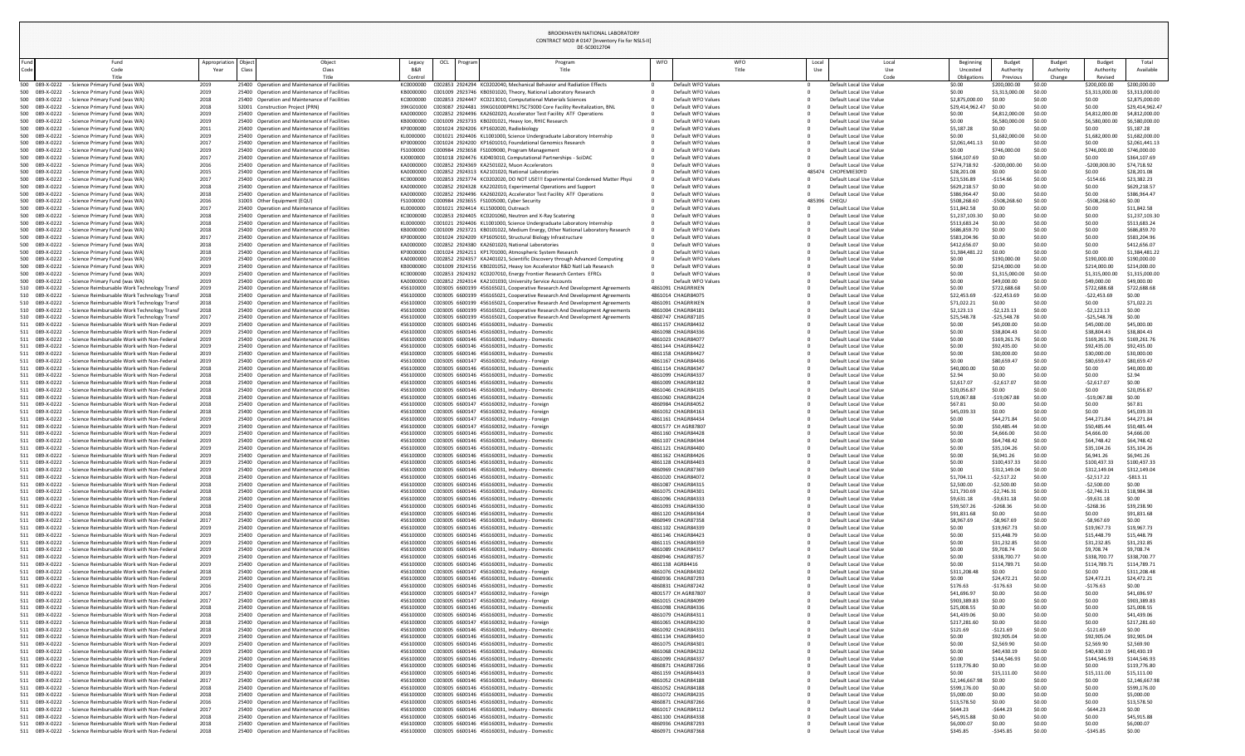DE-SC0012704

| Beginning<br>Uncosted<br>Obligations | <b>Budget</b><br>Authority<br>Previous | <b>Budget</b><br>Authority<br>Change | <b>Budget</b><br>Authority<br>Revised | Total<br>Available                |
|--------------------------------------|----------------------------------------|--------------------------------------|---------------------------------------|-----------------------------------|
| \$0.00                               | \$200,000.00                           | \$0.00                               | \$200,000.00                          | \$200,000.00                      |
| \$0.00                               | \$3,313,000.00                         | \$0.00                               | \$3,313,000.00                        | \$3,313,000.00                    |
| \$2,875,000.00<br>\$29,414,962.47    | \$0.00<br>\$0.00                       | \$0.00<br>\$0.00                     | \$0.00<br>\$0.00                      | \$2,875,000.00<br>\$29,414,962.47 |
| \$0.00                               | \$4,812,000.00                         | \$0.00                               | \$4,812,000.00                        | \$4,812,000.00                    |
| \$0.00                               | \$6,580,000.00                         | \$0.00                               | \$6,580,000.00                        | \$6,580,000.00                    |
| \$5,187.28                           | \$0.00                                 | \$0.00                               | \$0.00                                | \$5,187.28                        |
| \$0.00<br>\$2,061,441.13             | \$1,682,000.00<br>\$0.00               | \$0.00<br>\$0.00                     | \$1,682,000.00<br>\$0.00              | \$1,682,000.00<br>\$2,061,441.13  |
| \$0.00                               | \$746,000.00                           | \$0.00                               | \$746,000.00                          | \$746,000.00                      |
| \$364,107.69                         | \$0.00                                 | \$0.00                               | \$0.00                                | \$364,107.69                      |
| \$274,718.92                         | $-$200,000.00$                         | \$0.00                               | $-$200,000.00$                        | \$74,718.92                       |
| \$28,201.08                          | \$0.00                                 | \$0.00                               | \$0.00                                | \$28,201.08                       |
| \$23,536.89<br>\$629,218.57          | $-$154.66$<br>\$0.00                   | \$0.00<br>\$0.00                     | $-$154.66$<br>\$0.00                  | \$23,382.23<br>\$629,218.57       |
| \$386,964.47                         | \$0.00                                 | \$0.00                               | \$0.00                                | \$386,964.47                      |
| \$508,268.60                         | -\$508,268.60                          | \$0.00                               | $-5508,268.60$                        | \$0.00                            |
| \$11,842.58                          | \$0.00                                 | \$0.00                               | \$0.00                                | \$11,842.58                       |
| \$1,237,103.30<br>\$513,683.24       | \$0.00<br>\$0.00                       | \$0.00<br>\$0.00                     | \$0.00<br>\$0.00                      | \$1,237,103.30<br>\$513,683.24    |
| \$686,859.70                         | \$0.00                                 | \$0.00                               | \$0.00                                | \$686,859.70                      |
| \$583,204.96                         | \$0.00                                 | \$0.00                               | \$0.00                                | \$583,204.96                      |
| \$412,656.07                         | \$0.00                                 | \$0.00                               | \$0.00                                | \$412,656.07                      |
| \$1,384,481.22<br>\$0.00             | \$0.00<br>\$190,000.00                 | \$0.00<br>\$0.00                     | \$0.00<br>\$190,000.00                | \$1,384,481.22<br>\$190,000.00    |
| \$0.00                               | \$214,000.00                           | \$0.00                               | \$214,000.00                          | \$214,000.00                      |
| \$0.00                               | \$1,315,000.00                         | \$0.00                               | \$1,315,000.00                        | \$1,315,000.00                    |
| \$0.00                               | \$49,000.00                            | \$0.00                               | \$49,000.00                           | \$49,000.00                       |
| \$0.00<br>\$22,453.69                | \$722,688.68<br>$-$22,453.69$          | \$0.00<br>\$0.00                     | \$722,688.68<br>$-$22,453.69$         | \$722,688.68<br>\$0.00            |
| \$71,022.21                          | \$0.00                                 | \$0.00                               | \$0.00                                | \$71,022.21                       |
| \$2,123.13                           | $-52,123.13$                           | \$0.00                               | $-52,123.13$                          | \$0.00                            |
| \$25,548.78                          | $-525,548.78$                          | \$0.00                               | $-525,548.78$                         | \$0.00                            |
| \$0.00<br>\$0.00                     | \$45,000.00<br>\$38,804.43             | \$0.00<br>\$0.00                     | \$45,000.00<br>\$38,804.43            | \$45,000.00<br>\$38,804.43        |
| \$0.00                               | \$169,261.76                           | \$0.00                               | \$169,261.76                          | \$169,261.76                      |
| \$0.00                               | \$92,435.00                            | \$0.00                               | \$92,435.00                           | \$92,435.00                       |
| \$0.00                               | \$30,000.00                            | \$0.00                               | \$30,000.00                           | \$30,000.00                       |
| \$0.00<br>\$40,000.00                | \$80,659.47<br>\$0.00                  | \$0.00<br>\$0.00                     | \$80,659.47<br>\$0.00                 | \$80,659.47<br>\$40,000.00        |
| \$2.94                               | \$0.00                                 | \$0.00                               | \$0.00                                | \$2.94                            |
| \$2,617.07                           | $-$2,617.07$                           | \$0.00                               | $-52,617.07$                          | \$0.00                            |
| \$20,056.87                          | \$0.00                                 | \$0.00                               | \$0.00                                | \$20,056.87                       |
| \$19,067.88<br>\$67.81               | $-$19,067.88$<br>\$0.00                | \$0.00<br>\$0.00                     | $-$19,067.88$<br>\$0.00               | \$0.00<br>\$67.81                 |
| \$45,039.33                          | \$0.00                                 | \$0.00                               | \$0.00                                | \$45,039.33                       |
| \$0.00                               | \$44,271.84                            | \$0.00                               | \$44,271.84                           | \$44,271.84                       |
| \$0.00                               | \$50,485.44                            | \$0.00                               | \$50,485.44                           | \$50,485.44                       |
| \$0.00<br>\$0.00                     | \$4,666.00<br>\$64,748.42              | \$0.00<br>\$0.00                     | \$4,666.00<br>\$64,748.42             | \$4,666.00<br>\$64,748.42         |
| \$0.00                               | \$35,104.26                            | \$0.00                               | \$35,104.26                           | \$35,104.26                       |
| \$0.00                               | \$6,941.26                             | \$0.00                               | \$6,941.26                            | \$6,941.26                        |
| \$0.00                               | \$100,437.33                           | \$0.00                               | \$100,437.33                          | \$100,437.33                      |
| \$0.00<br>\$1,704.11                 | \$312,149.04<br>$-52,517.22$           | \$0.00<br>\$0.00                     | \$312,149.04<br>$-52,517.22$          | \$312,149.04<br>$-5813.11$        |
| \$2,500.00                           | $-52,500.00$                           | \$0.00                               | $-$2,500.00$                          | \$0.00                            |
| \$21,730.69                          | $-52,746.31$                           | \$0.00                               | $-52,746.31$                          | \$18,984.38                       |
| \$9,631.18                           | $-59,631.18$                           | \$0.00                               | $-59,631.18$                          | \$0.00                            |
| \$39,507.26<br>\$91,831.68           | $-5268.36$<br>\$0.00                   | \$0.00<br>\$0.00                     | $-5268.36$<br>\$0.00                  | \$39,238.90<br>\$91,831.68        |
| \$8,967.69                           | -\$8,967.69                            | \$0.00                               | $-$8,967.69$                          | \$0.00                            |
| \$0.00                               | \$19,967.73                            | \$0.00                               | \$19,967.73                           | \$19,967.73                       |
| \$0.00                               | \$15,448.79                            | \$0.00                               | \$15,448.79                           | \$15,448.79                       |
| \$0.00<br>\$0.00                     | \$31,232.85<br>\$9,708.74              | \$0.00<br>\$0.00                     | \$31,232.85<br>\$9,708.74             | \$31,232.85<br>\$9,708.74         |
| \$0.00                               | \$338,700.77                           | \$0.00                               | \$338,700.77                          | \$338,700.77                      |
| \$0.00                               | \$114,789.71                           | \$0.00                               | \$114,789.71                          | \$114,789.71                      |
| \$311,208.48                         | \$0.00                                 | \$0.00                               | \$0.00                                | \$311,208.48                      |
| \$0.00<br>\$176.63                   | \$24,472.21<br>$-$176.63$              | \$0.00<br>\$0.00                     | \$24,472.21<br>$-$176.63$             | \$24,472.21<br>\$0.00             |
| \$41,696.97                          | \$0.00                                 | \$0.00                               | \$0.00                                | \$41,696.97                       |
| \$903,389.83                         | \$0.00                                 | \$0.00                               | \$0.00                                | \$903,389.83                      |
| \$25,008.55                          | \$0.00                                 | \$0.00                               | \$0.00                                | \$25,008.55                       |
| \$41,439.06<br>\$217,281.60          | \$0.00<br>\$0.00                       | \$0.00<br>\$0.00                     | \$0.00<br>\$0.00                      | \$41,439.06<br>\$217,281.60       |
| \$121.69                             | $-$121.69$                             | \$0.00                               | $-5121.69$                            | \$0.00                            |
| \$0.00                               | \$92,905.04                            | \$0.00                               | \$92,905.04                           | \$92,905.04                       |
| \$0.00                               | \$2,569.90                             | \$0.00                               | \$2,569.90                            | \$2,569.90                        |
| \$0.00<br>\$0.00                     | \$40,430.19<br>\$144,546.93            | \$0.00<br>\$0.00                     | \$40,430.19<br>\$144,546.93           | \$40,430.19<br>\$144,546.93       |
| \$119,776.80                         | \$0.00                                 | \$0.00                               | \$0.00                                | \$119,776.80                      |
| \$0.00                               | \$15,111.00                            | \$0.00                               | \$15,111.00                           | \$15,111.00                       |
| \$2,146,667.98                       | \$0.00                                 | \$0.00                               | \$0.00                                | \$2,146,667.98                    |
| \$599,176.00<br>\$5,000.00           | \$0.00<br>\$0.00                       | \$0.00<br>\$0.00                     | \$0.00<br>\$0.00                      | \$599,176.00<br>\$5,000.00        |
| \$13,578.50                          | \$0.00                                 | \$0.00                               | \$0.00                                | \$13,578.50                       |
| \$644.23                             | $-$644.23$                             | \$0.00                               | $-$644.23$                            | \$0.00                            |
| \$45,915.88<br>\$6,000.07            | \$0.00<br>\$0.00                       | \$0.00<br>\$0.00                     | \$0.00<br>\$0.00                      | \$45,915.88<br>\$6,000.07         |
| CO JAC OF                            | CO JAC OF                              | cn nn                                | CO AC OC                              | cn nn.                            |

CONTRACT MOD # 0147 [Inventory Fix for NSLS-II]

| und        |                                                                                                        | Fund                                                                                                           | Appropriation | Object                           | Object                                                                                         | Legacy<br>B&R          | OCL | Prograr | Program<br>Title                                                                                                                               | <b>WFO</b> | WFO<br>Title                             | Local<br>Use |                                                    | Local       | Beginning<br>Uncosted         | Budget<br>Authority         | <b>Budget</b><br>Authority | <b>Budget</b><br>Authority | Total<br>Available                |
|------------|--------------------------------------------------------------------------------------------------------|----------------------------------------------------------------------------------------------------------------|---------------|----------------------------------|------------------------------------------------------------------------------------------------|------------------------|-----|---------|------------------------------------------------------------------------------------------------------------------------------------------------|------------|------------------------------------------|--------------|----------------------------------------------------|-------------|-------------------------------|-----------------------------|----------------------------|----------------------------|-----------------------------------|
| ode        |                                                                                                        | Code<br>Title                                                                                                  | Year          | Class                            | Class<br>Title                                                                                 | Control                |     |         |                                                                                                                                                |            |                                          |              |                                                    | Use<br>Code | Obligations                   | Previous                    | Change                     | Revised                    |                                   |
|            | 500 089-X-0222 - Science Primary Fund (was WA)                                                         |                                                                                                                | 2019          |                                  | 25400 Operation and Maintenance of Facilities                                                  |                        |     |         | KC0000000 C002853 2924294 KC0202040. Mechanical Behavior and Radiation Effects                                                                 |            | Default WFO Values                       |              | Default Local Use Value                            |             | \$0.00                        | \$200,000.00                | \$0.00                     | \$200,000.00               | \$200,000.00                      |
|            | 500 089-X-0222<br>- Science Primary Fund (was WA)                                                      |                                                                                                                | 2019          |                                  | 25400 Operation and Maintenance of Facilities                                                  | KB0000000              |     |         | C001009 2923746 KB0301020, Theory, National Laboratory Research                                                                                |            | Default WFO Values                       |              | Default Local Use Value                            |             | \$0.00                        | \$3,313,000.00              | \$0.00                     | \$3,313,000.00             | \$3,313,000.00                    |
|            | 500 089-X-0222<br>- Science Primary Fund (was WA)                                                      |                                                                                                                | 2018          |                                  | 25400 Operation and Maintenance of Facilities                                                  | KC0000000              |     |         | C002853 2924447 KC0213010, Computational Materials Sciences                                                                                    |            | Default WFO Values                       |              | Default Local Use Value                            |             | \$2,875,000.00                | \$0.00                      | \$0.00                     | \$0.00                     | \$2,875,000.00                    |
|            | 500 089-X-0222<br>- Science Primary Fund (was WA)<br>500 089-X-0222<br>- Science Primary Fund (was WA) |                                                                                                                | 2018<br>2019  | 32001 Construction Project (PRN) | 25400 Operation and Maintenance of Facilities                                                  | 39KG01000<br>KA0000000 |     |         | C003087 2924481 39KG01000PRN17SC73000 Core Facility Revitalization, BNL<br>C002852 2924496 KA2602020, Accelerator Test Facility ATF Operations |            | Default WFO Values<br>Default WFO Values |              | Default Local Use Value<br>Default Local Use Value |             | \$29,414,962.47<br>\$0.00     | \$0.00<br>\$4,812,000.00    | \$0.00<br>\$0.00           | \$0.00<br>\$4,812,000.0    | \$29,414,962.47<br>\$4,812,000.00 |
|            | 500 089-X-0222<br>- Science Primary Fund (was WA)                                                      |                                                                                                                | 2019          |                                  | 25400 Operation and Maintenance of Facilities                                                  | KB0000000              |     |         | C001009 2923733 KB0201021, Heavy Ion, RHIC Research                                                                                            |            | Default WFO Values                       |              | Default Local Use Value                            |             | \$0.00                        | \$6,580,000.00              | \$0.00                     | \$6,580,000.0              | \$6,580,000.00                    |
| 500        | 089-X-0222<br>- Science Primary Fund (was WA)                                                          |                                                                                                                | 2011          |                                  | 25400 Operation and Maintenance of Facilities                                                  | KP0000000              |     |         | C001024 2924206 KP1602020, Radiobiology                                                                                                        |            | Default WFO Values                       |              | Default Local Use Value                            |             | \$5,187.28                    | \$0.00                      | \$0.00                     | \$0.00                     | \$5,187.28                        |
|            | 500 089-X-0222<br>- Science Primary Fund (was WA)                                                      |                                                                                                                | 2019          |                                  | 25400 Operation and Maintenance of Facilities                                                  | KL0000000              |     |         | C001021 2924406 KL1001000, Science Undergraduate Laboratory Internship                                                                         |            | Default WFO Values                       |              | Default Local Use Value                            |             | \$0.00                        | \$1,682,000.00              | \$0.00                     | \$1,682,000.00             | \$1,682,000.00                    |
|            | 500 089-X-0222<br>- Science Primary Fund (was WA)                                                      |                                                                                                                | 2017          |                                  | 25400 Operation and Maintenance of Facilities                                                  | KP0000000              |     |         | C001024 2924200 KP1601010, Foundational Genomics Research                                                                                      |            | Default WFO Values                       |              | Default Local Use Value                            |             | \$2,061,441                   | \$0.00                      | \$0.00                     | \$0.00                     | \$2,061,441.13                    |
|            | 500 089-X-0222<br>- Science Primary Fund (was WA)<br>500 089-X-0222<br>- Science Primary Fund (was WA) |                                                                                                                | 2019<br>2017  |                                  | 25400 Operation and Maintenance of Facilities<br>25400 Operation and Maintenance of Facilities | FS1000000<br>KJ0000000 |     |         | C000984 2923658 FS1009000, Program Management<br>C001018 2924476 KJ0403010, Computational Partnerships - SciDAC                                |            | Default WFO Values<br>Default WFO Values |              | Default Local Use Value<br>Default Local Use Value |             | \$0.00<br>\$364,107.69        | \$746,000.0<br>\$0.00       | \$0.00<br>\$0.00           | \$746,000.00<br>\$0.00     | \$746,000.00<br>\$364,107.69      |
|            | 500 089-X-0222<br>- Science Primary Fund (was WA)                                                      |                                                                                                                | 2016          |                                  | 25400 Operation and Maintenance of Facilities                                                  | KA0000000              |     |         | C002852 2924369 KA2501022, Muon Accelerators                                                                                                   |            | Default WFO Values                       |              | Default Local Use Value                            |             | \$274,718.92                  | -\$200,000.00               | \$0.00                     | $-5200,000.0$              | \$74,718.92                       |
|            | 500 089-X-0222<br>- Science Primary Fund (was WA)                                                      |                                                                                                                | 2015          |                                  | 25400 Operation and Maintenance of Facilities                                                  | KA0000000              |     |         | C002852 2924313 KA2101020, National Laboratories                                                                                               |            | Default WFO Values                       |              | 485474 CHOPEMIE30YD                                |             | \$28,201.08                   | \$0.00                      | \$0.00                     | \$0.00                     | \$28,201.08                       |
|            | 500 089-X-0222<br>- Science Primary Fund (was WA)                                                      |                                                                                                                | 2017          |                                  | 25400 Operation and Maintenance of Facilities                                                  | KC0000000              |     |         | C002853 2923774 KC0202020, DO NOT USE !!! Experimental Condensed Matter Physi                                                                  |            | Default WFO Values                       |              | Default Local Use Value                            |             | \$23,536.89                   | $-$154.66$                  | \$0.00                     | $-5154.66$                 | \$23,382.23                       |
|            | 500 089-X-0222<br>- Science Primary Fund (was WA)                                                      |                                                                                                                | 2018          |                                  | 25400 Operation and Maintenance of Facilities                                                  | KA0000000              |     |         | C002852 2924328 KA2202010, Experimental Operations and Support                                                                                 |            | Default WFO Values                       |              | Default Local Use Value                            |             | \$629,218.57                  | \$0.00<br>\$0.00            | \$0.00                     | \$0.00                     | \$629,218.57                      |
| 500        | 500 089-X-0222<br>- Science Primary Fund (was WA)<br>089-X-0222<br>- Science Primary Fund (was WA)     |                                                                                                                | 2018<br>2016  | 31003 Other Equipment (EQU)      | 25400 Operation and Maintenance of Facilities                                                  | KA0000000<br>FS1000000 |     |         | C002852 2924496 KA2602020, Accelerator Test Facility ATF Operations<br>C000984 2923655 FS1005000, Cyber Security                               |            | Default WFO Values<br>Default WFO Values | 485396 CHEQU | Default Local Use Value                            |             | \$386,964.47<br>\$508,268.60  | -\$508,268.                 | \$0.00<br>\$0.00           | \$0.00<br>$-5508,268.0$    | \$386,964.47<br>\$0.00            |
|            | 500 089-X-0222<br>- Science Primary Fund (was WA)                                                      |                                                                                                                | 2017          |                                  | 25400 Operation and Maintenance of Facilities                                                  | KL0000000              |     |         | C001021 2924414 KL1500000, Outreach                                                                                                            |            | Default WFO Values                       |              | Default Local Use Value                            |             | \$11,842.58                   | \$0.00                      | \$0.00                     | \$0.00                     | \$11,842.58                       |
|            | 500 089-X-0222<br>- Science Primary Fund (was WA)                                                      |                                                                                                                | 2018          |                                  | 25400 Operation and Maintenance of Facilities                                                  | KC0000000              |     |         | C002853 2924405 KC0201060, Neutron and X-Ray Scatering                                                                                         |            | Default WFO Values                       |              | Default Local Use Value                            |             | \$1,237,103.                  | \$0.00                      | \$0.00                     | \$0.00                     | \$1,237,103.30                    |
|            | 500 089-X-0222<br>- Science Primary Fund (was WA)                                                      |                                                                                                                | 2018          |                                  | 25400 Operation and Maintenance of Facilities                                                  | KL0000000              |     |         | C001021 2924406 KL1001000, Science Undergraduate Laboratory Internship                                                                         |            | Default WFO Values                       |              | Default Local Use Value                            |             | \$513,683.24                  | \$0.00                      | \$0.00                     | \$0.00                     | \$513,683.24                      |
|            | 500 089-X-0222<br>- Science Primary Fund (was WA)                                                      |                                                                                                                | 2018          |                                  | 25400 Operation and Maintenance of Facilities                                                  | KB0000000              |     |         | C001009 2923721 KB0101022, Medium Energy, Other National Laboratory Research                                                                   |            | Default WFO Values                       |              | Default Local Use Value                            |             | \$686,859.70                  | \$0.00                      | \$0.00                     | \$0.00                     | \$686,859.70                      |
| 500        | 089-X-0222<br>- Science Primary Fund (was WA)<br>500 089-X-0222<br>- Science Primary Fund (was WA)     |                                                                                                                | 2017<br>2018  |                                  | 25400 Operation and Maintenance of Facilities<br>25400 Operation and Maintenance of Facilities | KP0000000<br>KA0000000 |     |         | C001024 2924209 KP1605010, Structural Biology Infrastructure<br>C002852 2924380 KA2601020, National Laboratories                               |            | Default WFO Values<br>Default WFO Values |              | Default Local Use Value<br>Default Local Use Value |             | \$583,204.96<br>\$412,656.07  | \$0.00<br>\$0.00            | \$0.00<br>\$0.00           | \$0.00<br>\$0.00           | \$583,204.96<br>\$412,656.07      |
|            | 500 089-X-0222<br>- Science Primary Fund (was WA)                                                      |                                                                                                                | 2018          |                                  | 25400 Operation and Maintenance of Facilities                                                  | KP0000000              |     |         | C001024 2924211 KP1701000, Atmospheric System Research                                                                                         |            | Default WFO Values                       |              | Default Local Use Value                            |             | \$1,384,481.2                 | \$0.00                      | \$0.00                     | \$0.00                     | \$1,384,481.2                     |
|            | 500 089-X-0222<br>- Science Primary Fund (was WA)                                                      |                                                                                                                | 2019          |                                  | 25400 Operation and Maintenance of Facilities                                                  | KA0000000              |     |         | C002852 2924357 KA2401021, Scientific Discovery through Advanced Computing                                                                     |            | Default WFO Values                       |              | Default Local Use Value                            |             | \$0.00                        | \$190,000.00                | \$0.00                     | \$190,000.00               | \$190,000.00                      |
|            | 500 089-X-0222<br>- Science Primary Fund (was WA)                                                      |                                                                                                                | 2019          |                                  | 25400 Operation and Maintenance of Facilities                                                  | KB0000000              |     |         | C001009 2924156 KB0201052, Heavy Ion Accelerator R&D Natl Lab Research                                                                         |            | Default WFO Values                       |              | Default Local Use Value                            |             | \$0.00                        | \$214,000.00                | \$0.00                     | \$214,000.00               | \$214,000.00                      |
|            | 500 089-X-0222<br>- Science Primary Fund (was WA                                                       |                                                                                                                | 2019          |                                  | 25400 Operation and Maintenance of Facilities                                                  | KC0000000              |     |         | C002853 2924192 KC0207010, Energy Frontier Research Centers EFRCs                                                                              |            | Default WFO Values                       |              | Default Local Use Value                            |             | \$0.00                        | \$1,315,000.00              | \$0.00                     | \$1,315,000.00             | \$1,315,000.00                    |
| 500 l      | 089-X-0222<br>- Science Primary Fund (was WA)<br>510 089-X-0222                                        | - Science Reimbursable Work Technology Transf                                                                  | 2019<br>2019  |                                  | 25400 Operation and Maintenance of Facilities<br>25400 Operation and Maintenance of Facilities | 456100000              |     |         | C002852 2924314 KA2101030, University Service Accounts<br>C003005 6600199 456165021, Cooperative Research And Development Agreements           |            | Default WFO Values<br>4861091 CHAGRRIKEN |              | Default Local Use Value<br>Default Local Use Value |             | \$0.00<br>\$0.00              | \$49,000.00<br>\$722,688.68 | \$0.00<br>\$0.00           | \$49,000.0<br>\$722,688.68 | \$49,000.00<br>\$722,688.68       |
|            | 510 089-X-0222                                                                                         | - Science Reimbursable Work Technology Transf                                                                  | 2018          |                                  | 25400 Operation and Maintenance of Facilities                                                  | 456100000              |     |         | C003005 6600199 456165021, Cooperative Research And Development Agreements                                                                     |            | 4861014 CHAGR84075                       |              | Default Local Use Value                            |             | \$22,453.69                   | -\$22,453.6                 | \$0.00                     | $-$22,453.69$              | \$0.00                            |
|            | 510 089-X-0222                                                                                         | - Science Reimbursable Work Technology Transf                                                                  | 2018          |                                  | 25400 Operation and Maintenance of Facilities                                                  | 456100000              |     |         | C003005 6600199 456165021, Cooperative Research And Development Agreements                                                                     |            | 4861091 CHAGRRIKEN                       |              | Default Local Use Value                            |             | \$71,022.21                   | \$0.00                      | \$0.00                     | \$0.00                     | \$71,022.21                       |
|            | 510 089-X-0222                                                                                         | - Science Reimbursable Work Technology Transf                                                                  | 2018          |                                  | 25400 Operation and Maintenance of Facilities                                                  | 456100000              |     |         | C003005 6600199 456165021, Cooperative Research And Development Agreements                                                                     |            | 4861004 CHAGR84181                       |              | Default Local Use Value                            |             | \$2,123.13                    | $-52,123.13$                | \$0.00                     | $-52,123.13$               | \$0.00                            |
|            | 510 089-X-0222                                                                                         | - Science Reimbursable Work Technology Transf                                                                  | 2017          |                                  | 25400 Operation and Maintenance of Facilities                                                  | 456100000              |     |         | C003005 6600199 456165021, Cooperative Research And Development Agreements                                                                     |            | 4860747 CHAGR87105                       |              | Default Local Use Value                            |             | \$25,548.78                   | $-525,548.7$                | SO.OO                      | $-525,548.78$              | \$0.00                            |
|            | 511 089-X-0222<br>089-X-0222                                                                           | - Science Reimbursable Work with Non-Federal<br><b>Science Reimbursable Work with Non-Federal</b>              | 2019<br>2019  |                                  | 25400 Operation and Maintenance of Facilities<br>25400 Operation and Maintenance of Facilities | 456100000<br>456100000 |     |         | C003005 6600146 456160031, Industry - Domestic<br>C003005 6600146 456160031, Industry - Domestic                                               |            | 4861157 CHAGR84432<br>4861098 CHAGR84336 |              | Default Local Use Value<br>Default Local Use Value |             | \$0.00<br>\$0.00              | \$45,000.00<br>\$38,804.43  | \$0.00<br>\$0.00           | \$45,000.00<br>\$38,804.4  | \$45,000.00<br>\$38,804.43        |
|            | 511 089-X-0222                                                                                         | - Science Reimbursable Work with Non-Federal                                                                   | 2019          |                                  | 25400 Operation and Maintenance of Facilities                                                  | 456100000              |     |         | C003005 6600146 456160031, Industry - Domestic                                                                                                 |            | 4861023 CHAGR84077                       |              | Default Local Use Value                            |             | \$0.00                        | \$169,261.76                | \$0.00                     | \$169,261.7                | \$169,261.76                      |
|            | 511 089-X-0222                                                                                         | <b>Science Reimbursable Work with Non-Federal</b>                                                              | 2019          |                                  | 25400 Operation and Maintenance of Facilities                                                  | 456100000              |     |         | C003005 6600146 456160031, Industry - Domestic                                                                                                 |            | 4861144 CHAGR84422                       |              | Default Local Use Value                            |             | \$0.00                        | \$92,435.00                 | \$0.00                     | \$92,435.0                 | \$92,435.00                       |
|            | 089-X-0222                                                                                             | - Science Reimbursable Work with Non-Federal                                                                   | 2019          |                                  | 25400 Operation and Maintenance of Facilities                                                  | 456100000              |     |         | C003005 6600146 456160031, Industry - Domestic                                                                                                 |            | 4861158 CHAGR84427                       |              | Default Local Use Value                            |             | \$0.00                        | \$30,000.00                 | \$0.00                     | \$30,000.0                 | \$30,000.00                       |
| 511        | 089-X-0222                                                                                             | - Science Reimbursable Work with Non-Federal                                                                   | 2019          |                                  | 25400 Operation and Maintenance of Facilities                                                  | 456100000              |     |         | C003005 6600147 456160032, Industry - Foreign                                                                                                  |            | 4861167 CHAGR84436                       |              | Default Local Use Value                            |             | \$0.00                        | \$80,659.47                 | \$0.00                     | \$80,659.4                 | \$80,659.47                       |
| 511<br>511 | 089-X-0222<br>089-X-0222                                                                               | <b>Science Reimbursable Work with Non-Federal</b><br>- Science Reimbursable Work with Non-Federal              | 2018<br>2018  |                                  | 25400 Operation and Maintenance of Facilities<br>25400 Operation and Maintenance of Facilities | 456100000<br>456100000 |     |         | C003005 6600146 456160031, Industry - Domestic<br>C003005 6600146 456160031, Industry - Domestic                                               |            | 4861114 CHAGR84347<br>4861099 CHAGR84337 |              | Default Local Use Value<br>Default Local Use Value |             | \$40,000.<br>\$2.94           | \$0.00<br>\$0.00            | \$0.00<br>\$0.00           | \$0.00<br>\$0.00           | \$40,000.00<br>\$2.94             |
|            | 511 089-X-0222                                                                                         | - Science Reimbursable Work with Non-Federal                                                                   | 2018          |                                  | 25400 Operation and Maintenance of Facilities                                                  | 456100000              |     |         | C003005 6600146 456160031, Industry - Domestic                                                                                                 |            | 4861009 CHAGR84182                       |              | Default Local Use Value                            |             | \$2,617.07                    | $-52,617.07$                | \$0.00                     | $-52,617.07$               | \$0.00                            |
|            | 089-X-0222                                                                                             | <b>Science Reimbursable Work with Non-Federal</b>                                                              | 2018          |                                  | 25400 Operation and Maintenance of Facilities                                                  | 456100000              |     |         | C003005 6600146 456160031, Industry - Domestic                                                                                                 |            | 4861046 CHAGR84105                       |              | Default Local Use Value                            |             | \$20,056.87                   | \$0.00                      | \$0.00                     | \$0.00                     | \$20,056.87                       |
|            | 089-X-0222                                                                                             | - Science Reimbursable Work with Non-Federal                                                                   | 2018          |                                  | 25400 Operation and Maintenance of Facilities                                                  | 456100000              |     |         | C003005 6600146 456160031, Industry - Domestic                                                                                                 |            | 4861060 CHAGR84224                       |              | Default Local Use Value                            |             | \$19,067.88                   | $-$19,067.8$                | \$0.00                     | $-$19,067.3$               | \$0.00                            |
| 511        | 089-X-0222                                                                                             | <b>Science Reimbursable Work with Non-Federal</b>                                                              | 2018          |                                  | 25400 Operation and Maintenance of Facilities                                                  | 456100000              |     |         | C003005 6600147 456160032, Industry - Foreign                                                                                                  |            | 4860984 CHAGR84052                       |              | Default Local Use Value                            |             | \$67.81                       | \$0.00                      | \$0.00                     | \$0.00                     | \$67.81                           |
|            | 089-X-0222<br>511 089-X-0222                                                                           | <b>Science Reimbursable Work with Non-Federal</b><br>- Science Reimbursable Work with Non-Federal              | 2018<br>2019  |                                  | 25400 Operation and Maintenance of Facilities<br>25400 Operation and Maintenance of Facilities | 456100000<br>456100000 |     |         | C003005 6600147 456160032, Industry - Foreign<br>C003005 6600147 456160032, Industry - Foreign                                                 |            | 4861032 CHAGR84163<br>4861161 CHAGR84434 |              | Default Local Use Value<br>Default Local Use Value |             | \$45,039.3<br>\$0.00          | \$0.00<br>\$44,271.84       | \$0.00<br>\$0.00           | \$0.00<br>\$44,271.8       | \$45,039.33<br>\$44,271.84        |
|            | 089-X-0222                                                                                             | - Science Reimbursable Work with Non-Federal                                                                   | 2019          |                                  | 25400 Operation and Maintenance of Facilities                                                  | 456100000              |     |         | C003005 6600147 456160032, Industry - Foreign                                                                                                  |            | 4801577 CH AGR87807                      |              | Default Local Use Value                            |             | \$0.00                        | \$50,485.44                 | \$0.00                     | \$50,485.4                 | \$50,485.44                       |
|            | 089-X-0222                                                                                             | - Science Reimbursable Work with Non-Federal                                                                   | 2019          |                                  | 25400 Operation and Maintenance of Facilities                                                  | 456100000              |     |         | C003005 6600146 456160031, Industry - Domestic                                                                                                 |            | 4861160 CHAGR84428                       |              | Default Local Use Value                            |             | \$0.00                        | \$4,666.00                  | \$0.00                     | \$4,666.00                 | \$4,666.00                        |
| 511        | 089-X-0222                                                                                             | Science Reimbursable Work with Non-Federal                                                                     | 2019          |                                  | 25400 Operation and Maintenance of Facilities                                                  | 456100000              |     |         | C003005 6600146 456160031, Industry - Domestic                                                                                                 |            | 4861107 CHAGR84344                       |              | Default Local Use Value                            |             | \$0.00                        | \$64,748.42                 | \$0.00                     | \$64,748.42                | \$64,748.42                       |
|            | 089-X-0222<br>511 089-X-0222                                                                           | <b>Science Reimbursable Work with Non-Federal</b><br>- Science Reimbursable Work with Non-Federal              | 2019<br>2019  |                                  | 25400 Operation and Maintenance of Facilities<br>25400 Operation and Maintenance of Facilities | 456100000<br>456100000 |     |         | C003005 6600146 456160031, Industry - Domestic<br>C003005 6600146 456160031, Industry - Domestic                                               |            | 4861121 CHAGR84400<br>4861162 CHAGR84426 |              | Default Local Use Value                            |             | \$0.00                        | \$35,104.26<br>\$6,941.26   | \$0.00                     | \$35,104.2<br>\$6,941.26   | \$35,104.26<br>\$6,941.26         |
|            | 089-X-0222                                                                                             | - Science Reimbursable Work with Non-Federal                                                                   | 2019          |                                  | 25400 Operation and Maintenance of Facilities                                                  | 456100000              |     |         | C003005 6600146 456160031, Industry - Domestic                                                                                                 |            | 4861128 CHAGR84403                       |              | Default Local Use Value<br>Default Local Use Value |             | \$0.00<br>\$0.00              | \$100,437.                  | \$0.00<br>\$0.00           | \$100,437.3                | \$100,437.33                      |
|            | 089-X-0222                                                                                             | - Science Reimbursable Work with Non-Federal                                                                   | 2019          |                                  | 25400 Operation and Maintenance of Facilities                                                  | 456100000              |     |         | C003005 6600146 456160031, Industry - Domestic                                                                                                 |            | 4860969 CHAGR87369                       |              | Default Local Use Value                            |             | \$0.00                        | \$312,149.04                | \$0.00                     | \$312,149.04               | \$312,149.04                      |
| 511        | 089-X-0222                                                                                             | - Science Reimbursable Work with Non-Federal                                                                   | 2018          |                                  | 25400 Operation and Maintenance of Facilities                                                  | 456100000              |     |         | C003005 6600146 456160031, Industry - Domestic                                                                                                 |            | 4861020 CHAGR84072                       |              | Default Local Use Value                            |             | \$1,704.11                    | $-52,517.22$                | \$0.00                     | $-52,517.22$               | $-5813.11$                        |
|            | 089-X-0222                                                                                             | Science Reimbursable Work with Non-Federal                                                                     | 2018          |                                  | 25400 Operation and Maintenance of Facilities                                                  | 456100000              |     |         | C003005 6600146 456160031, Industry - Domestic                                                                                                 |            | 4861087 CHAGR84315                       |              | Default Local Use Value                            |             | \$2,500.00                    | -\$2,500.00                 | \$0.00                     | $-52,500.00$               | \$0.00                            |
| 511 -      | 089-X-0222                                                                                             | - Science Reimbursable Work with Non-Federal                                                                   | 2018          |                                  | 25400 Operation and Maintenance of Facilities                                                  | 456100000              |     |         | C003005 6600146 456160031, Industry - Domestic                                                                                                 |            | 4861075 CHAGR84301                       |              | Default Local Use Value                            |             | \$21,730.69                   | -\$2,746.31                 | \$0.00                     | $-52,746.31$               | \$18,984.38                       |
|            | 511 089-X-0222<br>511 089-X-0222                                                                       | - Science Reimbursable Work with Non-Federal<br>- Science Reimbursable Work with Non-Federal                   | 2018<br>2018  |                                  | 25400 Operation and Maintenance of Facilities<br>25400 Operation and Maintenance of Facilities | 456100000              |     |         | C003005 6600146 456160031, Industry - Domestic<br>C003005 6600146 456160031, Industry - Domestic                                               |            | 4861096 CHAGR84333<br>4861093 CHAGR84330 |              | Default Local Use Value<br>Default Local Use Value |             | \$9,631.18<br>\$39,507.26     | $-59,631.18$<br>$-5268.36$  | \$0.00                     | $-59,631.18$<br>$-5268.36$ | \$0.00<br>\$39,238.90             |
|            | 511 089-X-0222                                                                                         | - Science Reimbursable Work with Non-Federal                                                                   | 2018          |                                  | 25400 Operation and Maintenance of Facilities                                                  | 456100000              |     |         | C003005 6600146 456160031, Industry - Domestic                                                                                                 |            | 4861120 CHAGR84364                       |              | Default Local Use Value                            |             | \$91,831.68                   | \$0.00                      | \$0.00                     | \$0.00                     | \$91,831.68                       |
|            | 089-X-0222                                                                                             | <b>Science Reimbursable Work with Non-Federal</b>                                                              | 2017          |                                  | 25400 Operation and Maintenance of Facilities                                                  | 456100000              |     |         | C003005 6600146 456160031, Industry - Domestic                                                                                                 |            | 4860949 CHAGR87358                       |              | Default Local Use Value                            |             | \$8,967.69                    | $-58,967.69$                | \$0.00                     | $-58,967.69$               | \$0.00                            |
|            | 511 089-X-0222                                                                                         | - Science Reimbursable Work with Non-Federal                                                                   | 2019          |                                  | 25400 Operation and Maintenance of Facilities                                                  | 456100000              |     |         | C003005 6600146 456160031, Industry - Domestic                                                                                                 |            | 4861102 CHAGR84339                       |              | Default Local Use Value                            |             | \$0.00                        | \$19,967.73                 | \$0.00                     | \$19,967.7                 | \$19,967.73                       |
|            | 089-X-0222<br>089-X-0222                                                                               | <b>Science Reimbursable Work with Non-Federal</b><br>- Science Reimbursable Work with Non-Federal              | 2019<br>2019  |                                  | 25400 Operation and Maintenance of Facilities<br>25400 Operation and Maintenance of Facilities | 456100000<br>456100000 |     |         | C003005 6600146 456160031, Industry - Domestic<br>C003005 6600146 456160031, Industry - Domestic                                               |            | 4861146 CHAGR84423<br>4861115 CHAGR84359 |              | Default Local Use Value<br>Default Local Use Value |             | \$0.00<br>\$0.00              | \$15,448.79<br>\$31,232.85  | \$0.00<br>\$0.00           | \$15,448.7<br>\$31,232.85  | \$15,448.79<br>\$31,232.85        |
|            | 511 089-X-0222                                                                                         | - Science Reimbursable Work with Non-Federal                                                                   | 2019          |                                  | 25400 Operation and Maintenance of Facilities                                                  | 456100000              |     |         | C003005 6600146 456160031, Industry - Domestic                                                                                                 |            | 4861089 CHAGR84317                       |              | Default Local Use Value                            |             | \$0.00                        | \$9,708.74                  | \$0.00                     | \$9,708.74                 | \$9,708.74                        |
|            | 511 089-X-0222                                                                                         | - Science Reimbursable Work with Non-Federal                                                                   | 2019          |                                  | 25400 Operation and Maintenance of Facilities                                                  | 456100000              |     |         | C003005 6600146 456160031, Industry - Domestic                                                                                                 |            | 4860946 CHAGR87357                       |              | Default Local Use Value                            |             | \$0.00                        | \$338,700.7                 | \$0.00                     | \$338,700.7                | \$338,700.7                       |
|            | 511 089-X-0222                                                                                         | - Science Reimbursable Work with Non-Federal                                                                   | 2019          |                                  | 25400 Operation and Maintenance of Facilities                                                  | 456100000              |     |         | C003005 6600146 456160031, Industry - Domestic                                                                                                 |            | 4861138 AGR84416                         |              | Default Local Use Value                            |             | \$0.00                        | \$114,789.71                | \$0.00                     | \$114,789.7                | \$114,789.71                      |
|            | 511 089-X-0222                                                                                         | Science Reimbursable Work with Non-Federal                                                                     | 2018          |                                  | 25400 Operation and Maintenance of Facilities                                                  | 456100000              |     |         | C003005 6600147 456160032, Industry - Foreign                                                                                                  |            | 4861076 CHAGR84302                       |              | Default Local Use Value                            |             | \$311,208.48                  | \$0.00                      | \$0.00                     | \$0.00                     | \$311,208.48                      |
|            | 089-X-0222<br>511 089-X-0222                                                                           | Science Reimbursable Work with Non-Federal<br>- Science Reimbursable Work with Non-Federal                     | 2019<br>2016  |                                  | 25400 Operation and Maintenance of Facilities<br>25400 Operation and Maintenance of Facilities | 456100000<br>456100000 |     |         | C003005 6600146 456160031, Industry - Domestic<br>C003005 6600146 456160031, Industry - Domestic                                               |            | 4860936 CHAGR87293<br>4860831 CHAGR87242 |              | Default Local Use Value<br>Default Local Use Value |             | \$0.00<br>\$176.63            | \$24,472.21<br>$-$176.63$   | \$0.00<br>\$0.00           | \$24,472.21<br>$-$176.63$  | \$24,472.21<br>\$0.00             |
|            | 089-X-0222                                                                                             | - Science Reimbursable Work with Non-Federal                                                                   | 2017          |                                  | 25400 Operation and Maintenance of Facilities                                                  | 456100000              |     |         | C003005 6600147 456160032, Industry - Foreign                                                                                                  |            | 4801577 CH AGR87807                      |              | Default Local Use Value                            |             | \$41,696.97                   | \$0.00                      | \$0.00                     | \$0.00                     | \$41,696.97                       |
| 511        | 089-X-0222                                                                                             | - Science Reimbursable Work with Non-Federal                                                                   | 2017          |                                  | 25400 Operation and Maintenance of Facilities                                                  | 456100000              |     |         | C003005 6600147 456160032, Industry - Foreign                                                                                                  |            | 4861015 CHAGR84099                       |              | Default Local Use Value                            |             | \$903,389.83                  | \$0.00                      | \$0.00                     | \$0.00                     | \$903,389.83                      |
|            | 511 089-X-0222                                                                                         | - Science Reimbursable Work with Non-Federal                                                                   | 2018          |                                  | 25400 Operation and Maintenance of Facilities                                                  | 456100000              |     |         | C003005 6600146 456160031, Industry - Domestic                                                                                                 |            | 4861098 CHAGR84336                       |              | Default Local Use Value                            |             | \$25,008.55                   | \$0.00                      | \$0.00                     | \$0.00                     | \$25,008.55                       |
|            | 089-X-0222                                                                                             | <b>Science Reimbursable Work with Non-Federal</b>                                                              | 2018          |                                  | 25400 Operation and Maintenance of Facilities                                                  | 456100000              |     |         | C003005 6600146 456160031, Industry - Domestic                                                                                                 |            | 4861079 CHAGR84311                       |              | Default Local Use Value                            |             | \$41,439.06                   | \$0.00                      | \$0.00                     | \$0.00                     | \$41,439.06                       |
| 511        | 089-X-0222                                                                                             | - Science Reimbursable Work with Non-Federal<br>- Science Reimbursable Work with Non-Federal                   | 2018<br>2018  |                                  | 25400 Operation and Maintenance of Facilities                                                  | 456100000<br>456100000 |     |         | C003005 6600147 456160032, Industry - Foreign<br>C003005 6600146 456160031, Industry - Domestic                                                |            | 4861065 CHAGR84230<br>4861092 CHAGR84331 |              | Default Local Use Value                            |             | \$217,281.60<br>\$121.69      | \$0.00<br>$-$121.69$        | \$0.00<br>\$0.00           | \$0.00<br>$-5121.69$       | \$217,281.60<br>\$0.00            |
|            | 089-X-0222<br>089-X-0222                                                                               | - Science Reimbursable Work with Non-Federal                                                                   | 2019          |                                  | 25400 Operation and Maintenance of Facilities<br>25400 Operation and Maintenance of Facilities | 456100000              |     |         | C003005 6600146 456160031, Industry - Domestic                                                                                                 |            | 4861134 CHAGR84410                       |              | Default Local Use Value<br>Default Local Use Value |             | \$0.00                        | \$92,905.04                 | \$0.00                     | \$92,905.0                 | \$92,905.04                       |
| 511        | 089-X-0222                                                                                             | - Science Reimbursable Work with Non-Federal                                                                   | 2019          |                                  | 25400 Operation and Maintenance of Facilities                                                  | 456100000              |     |         | C003005 6600146 456160031, Industry - Domestic                                                                                                 |            | 4861075 CHAGR84301                       |              | Default Local Use Value                            |             | \$0.00                        | \$2,569.90                  | \$0.00                     | \$2,569.90                 | \$2,569.90                        |
|            | 089-X-0222                                                                                             | - Science Reimbursable Work with Non-Federal                                                                   | 2019          |                                  | 25400 Operation and Maintenance of Facilities                                                  | 456100000              |     |         | C003005 6600146 456160031, Industry - Domestic                                                                                                 |            | 4861068 CHAGR84232                       |              | Default Local Use Value                            |             | \$0.00                        | \$40,430.19                 | \$0.00                     | \$40,430.1                 | \$40,430.19                       |
|            | 511 089-X-0222                                                                                         | - Science Reimbursable Work with Non-Federal                                                                   | 2019          |                                  | 25400 Operation and Maintenance of Facilities                                                  | 456100000              |     |         | C003005 6600146 456160031, Industry - Domestic                                                                                                 |            | 4861099 CHAGR84337                       |              | Default Local Use Value                            |             | \$0.00                        | \$144,546.9                 | \$0.00                     | \$144,546.93               | \$144,546.93                      |
| 511        | 089-X-0222                                                                                             | - Science Reimbursable Work with Non-Federal                                                                   | 2014          |                                  | 25400 Operation and Maintenance of Facilities                                                  | 456100000              |     |         | C003005 6600146 456160031, Industry - Domestic                                                                                                 |            | 4860871 CHAGR87266                       |              | Default Local Use Value                            |             | \$119,776.80                  | \$0.00<br>\$15,111.00       | \$0.00                     | \$0.00                     | \$119,776.80                      |
| 511        | 089-X-0222<br>089-X-0222                                                                               | - Science Reimbursable Work with Non-Federal<br>- Science Reimbursable Work with Non-Federal                   | 2019<br>2017  |                                  | 25400 Operation and Maintenance of Facilities<br>25400 Operation and Maintenance of Facilities | 456100000<br>456100000 |     |         | C003005 6600146 456160031, Industry - Domestic<br>C003005 6600146 456160031, Industry - Domestic                                               |            | 4861159 CHAGR84433<br>4861052 CHAGR84188 |              | Default Local Use Value<br>Default Local Use Value |             | \$0.00<br>\$2,146,667         | \$0.00                      | \$0.00<br>\$0.00           | \$15,111.0<br>\$0.00       | \$15,111.00<br>\$2,146,667.9      |
| 511        | 089-X-0222                                                                                             | - Science Reimbursable Work with Non-Federal                                                                   | 2018          |                                  | 25400 Operation and Maintenance of Facilities                                                  | 456100000              |     |         | C003005 6600146 456160031, Industry - Domestic                                                                                                 |            | 4861052 CHAGR84188                       |              | Default Local Use Value                            |             | \$599,176.00                  | \$0.00                      | \$0.00                     | \$0.00                     | \$599,176.00                      |
|            | 511 089-X-0222                                                                                         | - Science Reimbursable Work with Non-Federal                                                                   | 2018          |                                  | 25400 Operation and Maintenance of Facilities                                                  | 456100000              |     |         | C003005 6600146 456160031, Industry - Domestic                                                                                                 |            | 4861072 CHAGR84235                       |              | Default Local Use Value                            |             | \$5,000.00                    | \$0.00                      | \$0.00                     | \$0.00                     | \$5,000.00                        |
| 511        | 089-X-0222                                                                                             | - Science Reimbursable Work with Non-Federal                                                                   | 2016          |                                  | 25400 Operation and Maintenance of Facilities                                                  | 456100000              |     |         | C003005 6600146 456160031, Industry - Domestic                                                                                                 |            | 4860871 CHAGR87266                       |              | Default Local Use Value                            |             | \$13,578.50                   | \$0.00                      | \$0.00                     | \$0.00                     | \$13,578.50                       |
|            | 089-X-0222<br>089-X-0222                                                                               | - Science Reimbursable Work with Non-Federal<br>- Science Reimbursable Work with Non-Federal                   | 2017<br>2018  |                                  | 25400 Operation and Maintenance of Facilities<br>25400 Operation and Maintenance of Facilities | 456100000<br>456100000 |     |         | C003005 6600146 456160031, Industry - Domestic<br>C003005 6600146 456160031, Industry - Domestic                                               |            | 4861017 CHAGR84112<br>4861100 CHAGR84338 |              | Default Local Use Value                            |             | \$644.23<br>\$45,915.88       | $-5644.23$                  | \$0.00                     | $-5644.23$<br>\$0.00       | \$0.00<br>\$45,915.88             |
| 511 -      | 511 089-X-0222                                                                                         | - Science Reimbursable Work with Non-Federal                                                                   | 2018          |                                  | 25400 Operation and Maintenance of Facilities                                                  | 456100000              |     |         | C003005 6600146 456160031, Industry - Domestic                                                                                                 |            | 4860936 CHAGR87293                       |              | Default Local Use Value<br>Default Local Use Value |             | \$6,000.0                     | \$0.00<br>\$0.00            | \$0.00<br>\$0.00           | \$0.00                     | \$6,000.07                        |
|            |                                                                                                        | 511 089-X-0222 - Science Reimbursable Work with Non-Federal 2018 25400 Operation and Maintenance of Facilities |               |                                  |                                                                                                |                        |     |         |                                                                                                                                                |            | 4860971 CHAGR87368                       |              | 0 Default Local Use Value                          |             | $$345.85$ - $$345.85$ $$0.00$ |                             |                            | -\$345.85 \$0.00           |                                   |
|            |                                                                                                        |                                                                                                                |               |                                  |                                                                                                |                        |     |         |                                                                                                                                                |            |                                          |              |                                                    |             |                               |                             |                            |                            |                                   |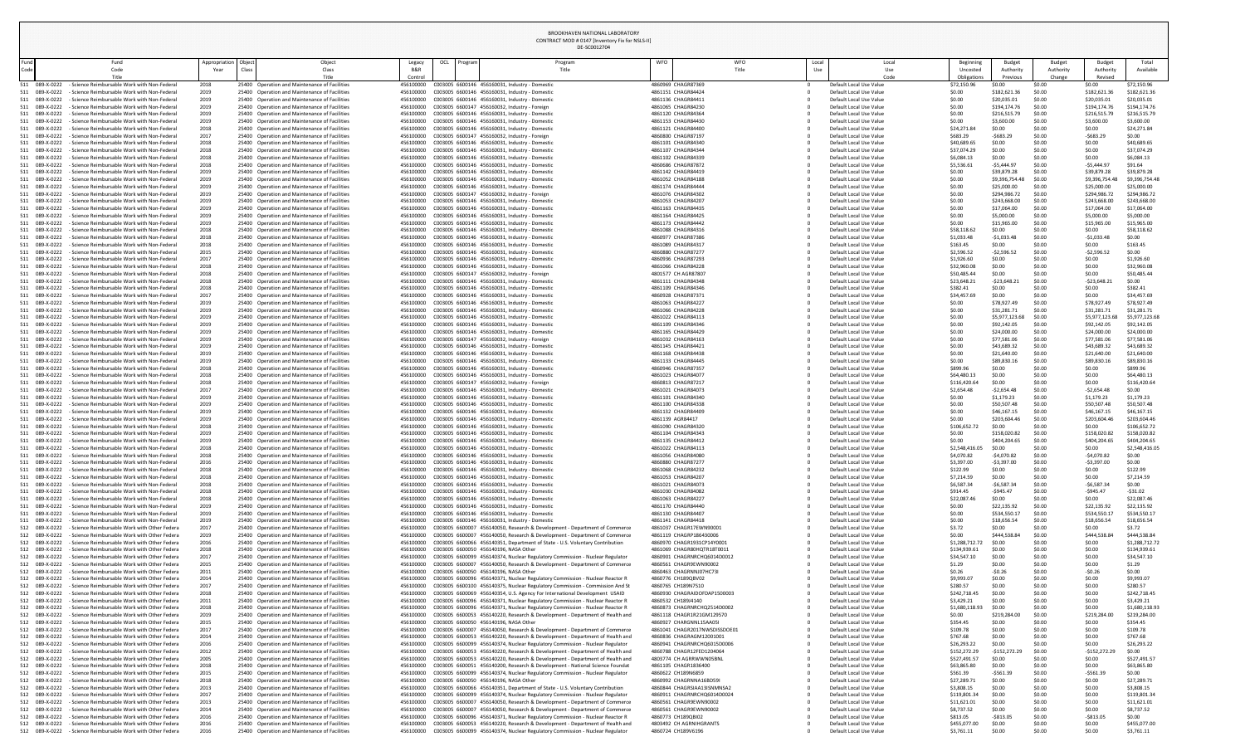| <b>Beginning</b><br>Uncosted | <b>Budget</b><br>Authority  | <b>Budget</b><br>Authority | <b>Budget</b><br>Authority  | Total<br>Available          |
|------------------------------|-----------------------------|----------------------------|-----------------------------|-----------------------------|
| Obligations                  | Previous                    | Change                     | Revised                     |                             |
| \$72,150.96<br>\$0.00        | \$0.00<br>\$182,621.36      | \$0.00<br>\$0.00           | \$0.00<br>\$182,621.36      | \$72,150.96<br>\$182,621.36 |
| \$0.00                       | \$20,035.01                 | \$0.00                     | \$20,035.01                 | \$20,035.01                 |
| \$0.00                       | \$194,174.76                | \$0.00                     | \$194,174.76                | \$194,174.76                |
| \$0.00                       | \$216,515.79                | \$0.00                     | \$216,515.79                | \$216,515.79                |
| \$0.00                       | \$3,600.00                  | \$0.00                     | \$3,600.00                  | \$3,600.00                  |
| \$24,271.84                  | \$0.00                      | \$0.00                     | \$0.00                      | \$24,271.84                 |
| \$683.29                     | $-5683.29$                  | \$0.00                     | $-5683.29$                  | \$0.00                      |
| \$40,689.65                  | \$0.00                      | \$0.00                     | \$0.00                      | \$40,689.65                 |
| \$37,074.29                  | \$0.00                      | \$0.00                     | \$0.00                      | \$37,074.29                 |
| \$6,084.13                   | \$0.00                      | \$0.00                     | \$0.00                      | \$6,084.13                  |
| \$5,536.61<br>\$0.00         | $-$5,444.97$<br>\$39,879.28 | \$0.00<br>\$0.00           | $-$5,444.97$<br>\$39,879.28 | \$91.64<br>\$39,879.28      |
| \$0.00                       | \$9,396,754.48              | \$0.00                     | \$9,396,754.48              | \$9,396,754.48              |
| \$0.00                       | \$25,000.00                 | \$0.00                     | \$25,000.00                 | \$25,000.00                 |
| \$0.00                       | \$294,986.72                | \$0.00                     | \$294,986.72                | \$294,986.72                |
| \$0.00                       | \$243,668.00                | \$0.00                     | \$243,668.00                | \$243,668.00                |
| \$0.00                       | \$17,064.00                 | \$0.00                     | \$17,064.00                 | \$17,064.00                 |
| \$0.00                       | \$5,000.00                  | \$0.00                     | \$5,000.00                  | \$5,000.00                  |
| \$0.00                       | \$15,965.00                 | \$0.00                     | \$15,965.00                 | \$15,965.00                 |
| \$58,118.62                  | \$0.00                      | \$0.00                     | \$0.00                      | \$58,118.62                 |
| \$1,033.48                   | $-$1,033.48$                | \$0.00                     | $-$1,033.48$                | \$0.00                      |
| \$163.45                     | \$0.00                      | \$0.00                     | \$0.00                      | \$163.45                    |
| \$2,596.52                   | $-52,596.52$                | \$0.00                     | $-52,596.52$                | \$0.00                      |
| \$1,926.60<br>\$32,960.08    | \$0.00<br>\$0.00            | \$0.00<br>\$0.00           | \$0.00<br>\$0.00            | \$1,926.60<br>\$32,960.08   |
| \$50,485.44                  | \$0.00                      | \$0.00                     | \$0.00                      | \$50,485.44                 |
| \$23,648.21                  | $-523,648.21$               | \$0.00                     | $-$23,648.21$               | \$0.00                      |
| \$382.41                     | \$0.00                      | \$0.00                     | \$0.00                      | \$382.41                    |
| \$34,457.69                  | \$0.00                      | \$0.00                     | \$0.00                      | \$34,457.69                 |
| \$0.00                       | \$78,927.49                 | \$0.00                     | \$78,927.49                 | \$78,927.49                 |
| \$0.00                       | \$31,281.71                 | \$0.00                     | \$31,281.71                 | \$31,281.71                 |
| \$0.00                       | \$5,977,123.68              | \$0.00                     | \$5,977,123.68              | \$5,977,123.68              |
| \$0.00                       | \$92,142.05                 | \$0.00                     | \$92,142.05                 | \$92,142.05                 |
| \$0.00                       | \$24,000.00                 | \$0.00                     | \$24,000.00                 | \$24,000.00                 |
| \$0.00                       | \$77,581.06                 | \$0.00                     | \$77,581.06                 | \$77,581.06                 |
| \$0.00                       | \$43,689.32                 | \$0.00                     | \$43,689.32                 | \$43,689.32                 |
| \$0.00                       | \$21,640.00                 | \$0.00                     | \$21,640.00                 | \$21,640.00                 |
| \$0.00                       | \$89,830.16                 | \$0.00                     | \$89,830.16                 | \$89,830.16                 |
| \$899.96                     | \$0.00                      | \$0.00                     | \$0.00                      | \$899.96                    |
| \$64,480.13                  | \$0.00                      | \$0.00                     | \$0.00                      | \$64,480.13                 |
| \$116,420.64<br>\$2,654.48   | \$0.00<br>$-52,654.48$      | \$0.00<br>\$0.00           | \$0.00<br>$-52,654.48$      | \$116,420.64<br>\$0.00      |
| \$0.00                       | \$1,179.23                  | \$0.00                     | \$1,179.23                  | \$1,179.23                  |
| \$0.00                       | \$50,507.48                 | \$0.00                     | \$50,507.48                 | \$50,507.48                 |
| \$0.00                       | \$46,167.15                 | \$0.00                     | \$46,167.15                 | \$46,167.15                 |
| \$0.00                       | \$203,604.46                | \$0.00                     | \$203,604.46                | \$203,604.46                |
| \$106,652.72                 | \$0.00                      | \$0.00                     | \$0.00                      | \$106,652.72                |
| \$0.00                       | \$158,020.82                | \$0.00                     | \$158,020.82                | \$158,020.82                |
| \$0.00                       | \$404,204.65                | \$0.00                     | \$404,204.65                | \$404,204.65                |
| \$2,548,416.05               | \$0.00                      | \$0.00                     | \$0.00                      | \$2,548,416.05              |
| \$4,070.82                   | $-$4,070.82$                | \$0.00                     | $-$4,070.82$                | \$0.00                      |
| \$3,397.00                   | $-53,397.00$                | \$0.00                     | $-53,397.00$                | \$0.00                      |
| \$122.99                     | \$0.00                      | \$0.00                     | \$0.00                      | \$122.99                    |
| \$7,214.59                   | \$0.00                      | \$0.00                     | \$0.00                      | \$7,214.59                  |
| \$6,587.34                   | $-56,587.34$                | \$0.00                     | $-56,587.34$                | \$0.00                      |
| \$914.45                     | $-$945.47$                  | \$0.00                     | $-$945.47$                  | $-531.02$                   |
| \$22,087.46<br>\$0.00        | \$0.00                      | \$0.00                     | \$0.00                      | \$22,087.46                 |
| \$0.00                       | \$22,135.92<br>\$534,550.17 | \$0.00<br>\$0.00           | \$22,135.92<br>\$534,550.17 | \$22,135.92<br>\$534,550.17 |
| \$0.00                       | \$18,656.54                 | \$0.00                     | \$18,656.54                 | \$18,656.54                 |
| \$3.72                       | \$0.00                      | \$0.00                     | \$0.00                      | \$3.72                      |
| \$0.00                       | \$444,538.84                | \$0.00                     | \$444,538.84                | \$444,538.84                |
| \$1,288,712.72               | \$0.00                      | \$0.00                     | \$0.00                      | \$1,288,712.72              |
| \$134,939.61                 | \$0.00                      | \$0.00                     | \$0.00                      | \$134,939.61                |
| \$34,547.10                  | \$0.00                      | \$0.00                     | \$0.00                      | \$34,547.10                 |
| \$1.29                       | \$0.00                      | \$0.00                     | \$0.00                      | \$1.29                      |
| \$0.26                       | $-50.26$                    | \$0.00                     | $-50.26$                    | \$0.00                      |
| \$9,993.07                   | \$0.00                      | \$0.00                     | \$0.00                      | \$9,993.07                  |
| \$280.57                     | \$0.00                      | \$0.00                     | \$0.00                      | \$280.57                    |
| \$242,718.45                 | \$0.00                      | \$0.00                     | \$0.00                      | \$242,718.45                |
| \$3,429.21                   | \$0.00                      | \$0.00                     | \$0.00                      | \$3,429.21                  |
| \$1,680,118.93               | \$0.00                      | \$0.00                     | \$0.00                      | \$1,680,118.93              |
| \$0.00                       | \$219,284.00<br>\$0.00      | \$0.00                     | \$219,284.00                | \$219,284.00                |
| \$354.45<br>\$109.78         | \$0.00                      | \$0.00<br>\$0.00           | \$0.00<br>\$0.00            | \$354.45<br>\$109.78        |
| \$767.68                     | \$0.00                      | \$0.00                     | \$0.00                      | \$767.68                    |
| \$26,293.22                  | \$0.00                      | \$0.00                     | \$0.00                      | \$26,293.22                 |
| \$152,272.29                 | $-$152,272.29$              | \$0.00                     | $-$152,272.29$              | \$0.00                      |
| \$527,491.57                 | \$0.00                      | \$0.00                     | \$0.00                      | \$527,491.57                |
| \$63,865.80                  | \$0.00                      | \$0.00                     | \$0.00                      | \$63,865.80                 |
| \$561.39                     | $-5561.39$                  | \$0.00                     | $-5561.39$                  | \$0.00                      |
| \$27,289.71                  | \$0.00                      | \$0.00                     | \$0.00                      | \$27,289.71                 |
| \$3,808.15                   | \$0.00                      | \$0.00                     | \$0.00                      | \$3,808.15                  |
| \$119,801.34                 | \$0.00                      | \$0.00                     | \$0.00                      | \$119,801.34                |
| \$11,621.01                  | \$0.00                      | \$0.00                     | \$0.00                      | \$11,621.01                 |
| \$8,737.52                   | \$0.00                      | \$0.00                     | \$0.00                      | \$8,737.52                  |
| \$813.05                     | $-$813.05$                  | \$0.00                     | $-5813.05$                  | \$0.00                      |
| \$455,077.00                 | \$0.00                      | \$0.00                     | \$0.00                      | \$455,077.00                |
| 6270111                      | co oo                       | co oo                      | co oo                       | 6270111                     |

|              |                                       |  |                                                                                                             |                            |                                                                                                |                        |     |         | DE-SC0012704                                                                                                                                                 |                                          |                                                       |              |                                                    |                                      |                                 |                                      |                                       |                               |
|--------------|---------------------------------------|--|-------------------------------------------------------------------------------------------------------------|----------------------------|------------------------------------------------------------------------------------------------|------------------------|-----|---------|--------------------------------------------------------------------------------------------------------------------------------------------------------------|------------------------------------------|-------------------------------------------------------|--------------|----------------------------------------------------|--------------------------------------|---------------------------------|--------------------------------------|---------------------------------------|-------------------------------|
| Fund<br>Code |                                       |  | Fund<br>Code<br>Title                                                                                       | Appropriation Obje<br>Year | Object<br>Class<br>Title                                                                       | Legacy<br>Control      | OCL | Progran | Program                                                                                                                                                      | WFO                                      | WFO<br>Title                                          | Local<br>Use | Local<br>Use<br>Code                               | Beginning<br>Uncosted<br>Obligations | Budget<br>Authority<br>Previous | <b>Budget</b><br>Authority<br>Change | <b>Budget</b><br>Authority<br>Revised | Total<br>Available            |
|              | 089-X-0222                            |  | - Science Reimbursable Work with Non-Federal                                                                | 2018                       | 25400 Operation and Maintenance of Facilities                                                  | 456100000              |     |         | C003005 6600146 456160031, Industry - Domestic                                                                                                               | 4860969 CHAGR87369                       |                                                       |              | Default Local Use Value                            | \$72,150.96                          | \$0.00                          | \$0.00                               | \$0.00                                | \$72,150.96                   |
| 511          | 089-X-0222<br>089-X-0222              |  | - Science Reimbursable Work with Non-Federal<br>- Science Reimbursable Work with Non-Federal                | 2019<br>2019               | 25400 Operation and Maintenance of Facilities<br>25400 Operation and Maintenance of Facilities | 456100000<br>456100000 |     |         | C003005 6600146 456160031, Industry - Domestic<br>C003005 6600146 456160031, Industry - Domestic                                                             | 4861151 CHAGR84424<br>4861136 CHAGR84411 |                                                       |              | Default Local Use Value<br>Default Local Use Value | \$0.00<br>\$0.00                     | \$182,621.36<br>\$20,035.0      | \$0.00<br>\$0.00                     | \$182,621.<br>\$20,035.01             | \$182,621.<br>\$20,035.01     |
| 511          | 089-X-0222                            |  | - Science Reimbursable Work with Non-Federal                                                                | 2019                       | 25400 Operation and Maintenance of Facilities                                                  | 456100000              |     |         | C003005 6600147 456160032, Industry - Foreign                                                                                                                |                                          | 4861065 CHAGR84230                                    |              | Default Local Use Value                            | \$0.00                               | \$194,174.76                    | \$0.00                               | \$194,174.76                          | \$194,174.7                   |
| 511          | 089-X-0222                            |  | - Science Reimbursable Work with Non-Federal                                                                | 2019                       | 25400 Operation and Maintenance of Facilities                                                  | 456100000              |     |         | C003005 6600146 456160031, Industry - Domestic                                                                                                               | 4861120 CHAGR84364                       |                                                       |              | Default Local Use Value                            | \$0.00                               | \$216,515.7                     | \$0.00                               | \$216,515.79                          | \$216,515.7                   |
| 511          | 089-X-0222                            |  | - Science Reimbursable Work with Non-Federal                                                                | 2019                       | 25400 Operation and Maintenance of Facilities                                                  | 456100000              |     |         | C003005 6600146 456160031, Industry - Domestic                                                                                                               |                                          | 4861153 CHAGR84430                                    |              | Default Local Use Value                            | \$0.00                               | \$3,600.00                      | \$0.00                               | \$3,600.00                            | \$3,600.00                    |
|              | 089-X-0222                            |  | - Science Reimbursable Work with Non-Federal                                                                | 2018                       | 25400 Operation and Maintenance of Facilities                                                  | 456100000              |     |         | C003005 6600146 456160031, Industry - Domestic                                                                                                               |                                          | 4861121 CHAGR84400                                    |              | Default Local Use Value                            | \$24,271.84                          | \$0.00                          | \$0.00                               | \$0.00                                | \$24,271.84                   |
| 511<br>511   | 089-X-0222<br>089-X-0222              |  | - Science Reimbursable Work with Non-Federal<br>- Science Reimbursable Work with Non-Federal                | 2017<br>2018               | 25400 Operation and Maintenance of Facilities<br>25400 Operation and Maintenance of Facilities | 456100000<br>456100000 |     |         | C003005 6600147 456160032, Industry - Foreign<br>C003005 6600146 456160031, Industry - Domestic                                                              | 4860800 CHAGR87197                       | 4861101 CHAGR84340                                    |              | Default Local Use Value<br>Default Local Use Value | \$683.29<br>\$40,689.65              | $-5683.29$<br>\$0.00            | \$0.00<br>\$0.00                     | $-5683.29$<br>\$0.00                  | \$0.00<br>\$40,689.65         |
| 511          | 089-X-0222                            |  | - Science Reimbursable Work with Non-Federal                                                                | 2018                       | 25400 Operation and Maintenance of Facilities                                                  | 456100000              |     |         | C003005 6600146 456160031, Industry - Domestic                                                                                                               |                                          | 4861107 CHAGR84344                                    |              | Default Local Use Value                            | \$37,074.29                          | \$0.00                          | \$0.00                               | \$0.00                                | \$37,074.29                   |
| 511          | 089-X-0222                            |  | - Science Reimbursable Work with Non-Federal                                                                | 2018                       | 25400 Operation and Maintenance of Facilities                                                  | 456100000              |     |         | C003005 6600146 456160031, Industry - Domestic                                                                                                               | 4861102 CHAGR84339                       |                                                       |              | Default Local Use Value                            | \$6,084.13                           | \$0.00                          | \$0.00                               | \$0.00                                | \$6,084.13                    |
| 511          | 089-X-0222                            |  | - Science Reimbursable Work with Non-Federal                                                                | 2018                       | 25400 Operation and Maintenance of Facilities                                                  | 456100000              |     |         | C003005 6600146 456160031, Industry - Domestic                                                                                                               | 4860686 CHAGR87872                       |                                                       |              | Default Local Use Value                            | \$5,536.6                            | $-$5,444.97$                    | \$0.00                               | $-$5,444.97$                          | \$91.64                       |
| 511          | 089-X-0222                            |  | - Science Reimbursable Work with Non-Federal                                                                | 2019                       | 25400 Operation and Maintenance of Facilities                                                  | 456100000              |     |         | C003005 6600146 456160031, Industry - Domestic                                                                                                               | 4861142 CHAGR84419                       |                                                       |              | Default Local Use Value                            | \$0.00                               | \$39,879.2                      | \$0.00                               | \$39,879.28                           | \$39,879.28                   |
| 511.<br>511  | 089-X-0222<br>089-X-0222              |  | - Science Reimbursable Work with Non-Federal<br>- Science Reimbursable Work with Non-Federal                | 2019<br>2019               | 25400 Operation and Maintenance of Facilities<br>25400 Operation and Maintenance of Facilities | 456100000<br>456100000 |     |         | C003005 6600146 456160031, Industry - Domestic<br>C003005 6600146 456160031, Industry - Domestic                                                             |                                          | 4861052 CHAGR84188<br>4861174 CHAGR84444              |              | Default Local Use Value<br>Default Local Use Value | \$0.00<br>\$0.00                     | \$9,396,754.4<br>\$25,000.00    | \$0.00<br>\$0.00                     | \$9,396,754<br>\$25,000.00            | \$9,396,754.48<br>\$25,000.00 |
| 511          | 089-X-0222                            |  | - Science Reimbursable Work with Non-Federal                                                                | 2019                       | 25400 Operation and Maintenance of Facilities                                                  | 456100000              |     |         | C003005 6600147 456160032, Industry - Foreign                                                                                                                | 4861076 CHAGR84302                       |                                                       |              | Default Local Use Value                            | \$0.00                               | \$294,986.72                    | \$0.00                               | \$294,986.72                          | \$294,986.7                   |
|              | 089-X-0222                            |  | - Science Reimbursable Work with Non-Federal                                                                | 2019                       | 25400 Operation and Maintenance of Facilities                                                  | 456100000              |     |         | C003005 6600146 456160031, Industry - Domestic                                                                                                               |                                          | 4861053 CHAGR84207                                    |              | Default Local Use Value                            | \$0.00                               | \$243,668.00                    | \$0.00                               | \$243,668.00                          | \$243,668.0                   |
| 511          | 089-X-0222                            |  | - Science Reimbursable Work with Non-Federal                                                                | 2019                       | 25400 Operation and Maintenance of Facilities                                                  | 456100000              |     |         | C003005 6600146 456160031, Industry - Domestic                                                                                                               | 4861163 CHAGR84435                       |                                                       |              | Default Local Use Value                            | \$0.00                               | \$17,064.00                     | \$0.00                               | \$17,064.00                           | \$17,064.00                   |
| 511          | 089-X-0222<br>089-X-0222              |  | - Science Reimbursable Work with Non-Federal<br>- Science Reimbursable Work with Non-Federal                | 2019                       | 25400 Operation and Maintenance of Facilities<br>25400 Operation and Maintenance of Facilities | 456100000<br>456100000 |     |         | C003005 6600146 456160031, Industry - Domestic                                                                                                               | 4861164 CHAGR84425                       | 4861173 CHAGR84442                                    |              | Default Local Use Value<br>Default Local Use Value | \$0.00<br>\$0.00                     | \$5,000.00<br>\$15,965.00       | \$0.00<br>\$0.00                     | \$5,000.00<br>\$15,965.00             | \$5,000.00<br>\$15,965.00     |
| 511<br>511   | 089-X-0222                            |  | - Science Reimbursable Work with Non-Federal                                                                | 2019<br>2018               | 25400 Operation and Maintenance of Facilities                                                  | 456100000              |     |         | C003005 6600146 456160031, Industry - Domestic<br>C003005 6600146 456160031, Industry - Domestic                                                             | 4861088 CHAGR84316                       |                                                       |              | Default Local Use Value                            | \$58,118.6                           | \$0.00                          | \$0.00                               | \$0.00                                | \$58,118.62                   |
|              | 089-X-0222                            |  | - Science Reimbursable Work with Non-Federal                                                                | 2018                       | 25400 Operation and Maintenance of Facilities                                                  | 456100000              |     |         | C003005 6600146 456160031, Industry - Domestic                                                                                                               | 4860977 CHAGR87386                       |                                                       |              | Default Local Use Value                            | \$1,033.48                           | $-$1,033.48$                    | \$0.00                               | $-$1,033.48$                          | \$0.00                        |
| 511          | 089-X-0222                            |  | - Science Reimbursable Work with Non-Federal                                                                | 2018                       | 25400 Operation and Maintenance of Facilities                                                  | 456100000              |     |         | C003005 6600146 456160031, Industry - Domestic                                                                                                               | 4861089 CHAGR84317                       |                                                       |              | Default Local Use Value                            | \$163.45                             | \$0.00                          | \$0.00                               | \$0.00                                | \$163.45                      |
|              | 089-X-0222                            |  | - Science Reimbursable Work with Non-Federal                                                                | 2015                       | 25400 Operation and Maintenance of Facilities                                                  | 456100000              |     |         | C003005 6600146 456160031, Industry - Domestic                                                                                                               | 4860880 CHAGR87277                       |                                                       |              | Default Local Use Value                            | \$2,596.52                           | $-52,596.5$                     | \$0.00                               | $-52,596.5$                           | \$0.00                        |
| 511          | 089-X-0222                            |  | - Science Reimbursable Work with Non-Federal                                                                | 2017                       | 25400 Operation and Maintenance of Facilities                                                  | 456100000              |     |         | C003005 6600146 456160031, Industry - Domestic                                                                                                               | 4860936 CHAGR87293                       |                                                       |              | Default Local Use Value                            | \$1,926.60                           | \$0.00                          | \$0.00                               | \$0.00                                | \$1,926.60                    |
|              | 511 089-X-0222<br>511 089-X-0222      |  | - Science Reimbursable Work with Non-Federal<br>- Science Reimbursable Work with Non-Federal                | 2018                       | 25400 Operation and Maintenance of Facilities<br>25400 Operation and Maintenance of Facilities | 456100000              |     |         | C003005 6600146 456160031, Industry - Domestic                                                                                                               | 4861066 CHAGR84228                       | 4801577 CH AGR87807                                   |              | Default Local Use Value<br>Default Local Use Value | \$32,960.08<br>\$50,485.44           | \$0.00                          | \$0.00                               | \$0.00<br>\$0.00                      | \$32,960.08<br>\$50,485.44    |
| 511          | 089-X-0222                            |  | - Science Reimbursable Work with Non-Federal                                                                | 2018                       | 25400 Operation and Maintenance of Facilities                                                  | 456100000              |     |         | C003005 6600146 456160031, Industry - Domestic                                                                                                               |                                          | 4861111 CHAGR84348                                    |              | Default Local Use Value                            | \$23,648.2                           | $-523,648.2$                    | \$0.00                               | $-523,648.2$                          | \$0.00                        |
|              | 511 089-X-0222                        |  | - Science Reimbursable Work with Non-Federal                                                                | 2018                       | 25400 Operation and Maintenance of Facilities                                                  | 456100000              |     |         | C003005 6600146 456160031, Industry - Domestic                                                                                                               |                                          | 4861109 CHAGR84346                                    |              | Default Local Use Value                            | \$382.41                             | \$0.00                          | \$0.00                               | \$0.00                                | \$382.41                      |
|              | 511 089-X-0222                        |  | - Science Reimbursable Work with Non-Federal                                                                | 2017                       | 25400 Operation and Maintenance of Facilities                                                  | 456100000              |     |         | C003005 6600146 456160031, Industry - Domestic                                                                                                               | 4860928 CHAGR87371                       |                                                       |              | Default Local Use Value                            | \$34,457.69                          | \$0.00                          | \$0.00                               | \$0.00                                | \$34,457.69                   |
| 511          | 089-X-0222                            |  | - Science Reimbursable Work with Non-Federal                                                                | 2019                       | 25400 Operation and Maintenance of Facilities                                                  | 456100000              |     |         | C003005 6600146 456160031, Industry - Domestic                                                                                                               | 4861063 CHAGR84227                       |                                                       |              | Default Local Use Value                            | \$0.00                               | \$78,927.49                     | \$0.00                               | \$78,927.49                           | \$78,927.49                   |
| 511          | 089-X-0222<br>089-X-0222              |  | - Science Reimbursable Work with Non-Federal<br>- Science Reimbursable Work with Non-Federal                | 2019<br>2019               | 25400 Operation and Maintenance of Facilities<br>25400 Operation and Maintenance of Facilities | 456100000<br>456100000 |     |         | C003005 6600146 456160031, Industry - Domestic<br>C003005 6600146 456160031, Industry - Domestic                                                             | 4861066 CHAGR84228                       | 4861022 CHAGR84113                                    |              | Default Local Use Value<br>Default Local Use Value | \$0.00<br>\$0.00                     | \$31,281.7<br>\$5,977,123.68    | \$0.00<br>\$0.00                     | \$31,281.7<br>\$5,977,123.6           | \$31,281.71<br>\$5,977,123.68 |
| 511<br>511   | 089-X-0222                            |  | - Science Reimbursable Work with Non-Federal                                                                | 2019                       | 25400 Operation and Maintenance of Facilities                                                  | 456100000              |     |         | C003005 6600146 456160031, Industry - Domestic                                                                                                               | 4861109 CHAGR84346                       |                                                       |              | Default Local Use Value                            | \$0.00                               | \$92,142.05                     | \$0.00                               | \$92,142.05                           | \$92,142.05                   |
|              | 511 089-X-0222                        |  | - Science Reimbursable Work with Non-Federal                                                                | 2019                       | 25400 Operation and Maintenance of Facilities                                                  | 456100000              |     |         | C003005 6600146 456160031, Industry - Domestic                                                                                                               |                                          | 4861165 CHAGR84429                                    |              | Default Local Use Value                            | \$0.00                               | \$24,000.00                     | \$0.00                               | \$24,000.00                           | \$24,000.00                   |
| 511          | 089-X-0222                            |  | - Science Reimbursable Work with Non-Federal                                                                | 2019                       | 25400 Operation and Maintenance of Facilities                                                  | 456100000              |     |         | C003005 6600147 456160032, Industry - Foreign                                                                                                                | 4861032 CHAGR84163                       |                                                       |              | Default Local Use Value                            | \$0.00                               | \$77,581.06                     | \$0.00                               | \$77,581.06                           | \$77,581.06                   |
| 511.         | 089-X-0222                            |  | - Science Reimbursable Work with Non-Federal                                                                | 2019                       | 25400 Operation and Maintenance of Facilities                                                  | 456100000              |     |         | C003005 6600146 456160031, Industry - Domestic                                                                                                               | 4861145 CHAGR84421                       |                                                       |              | Default Local Use Value                            | \$0.00                               | \$43,689.32                     | \$0.00                               | \$43,689.32                           | \$43,689.32                   |
| 511          | 089-X-0222                            |  | - Science Reimbursable Work with Non-Federal<br>- Science Reimbursable Work with Non-Federal                | 2019<br>2019               | 25400 Operation and Maintenance of Facilities<br>25400 Operation and Maintenance of Facilities | 456100000<br>456100000 |     |         | C003005 6600146 456160031, Industry - Domestic<br>C003005 6600146 456160031, Industry - Domestic                                                             |                                          | 4861168 CHAGR84438<br>4861133 CHAGR84445              |              | Default Local Use Value                            | \$0.00                               | \$21,640.00                     | \$0.00<br>\$0.00                     | \$21,640.00                           | \$21,640.00<br>\$89,830.16    |
| 511          | 089-X-0222<br>089-X-0222              |  | - Science Reimbursable Work with Non-Federal                                                                | 2018                       | 25400 Operation and Maintenance of Facilities                                                  | 456100000              |     |         | C003005 6600146 456160031, Industry - Domestic                                                                                                               |                                          | 4860946 CHAGR87357                                    |              | Default Local Use Value<br>Default Local Use Value | \$0.00<br>\$899.96                   | \$89,830.<br>\$0.00             | \$0.00                               | \$89,830.1<br>\$0.00                  | \$899.96                      |
|              | 511 089-X-0222                        |  | - Science Reimbursable Work with Non-Federal                                                                | 2018                       | 25400 Operation and Maintenance of Facilities                                                  | 456100000              |     |         | C003005 6600146 456160031, Industry - Domestic                                                                                                               |                                          | 4861023 CHAGR84077                                    |              | Default Local Use Value                            | \$64,480.1                           | \$0.00                          | \$0.00                               | \$0.00                                | \$64,480.1                    |
|              | 089-X-0222                            |  | - Science Reimbursable Work with Non-Federal                                                                | 2018                       | 25400 Operation and Maintenance of Facilities                                                  | 456100000              |     |         | C003005 6600147 456160032, Industry - Foreign                                                                                                                | 4860813 CHAGR87217                       |                                                       |              | Default Local Use Value                            | \$116,420.6                          | \$0.00                          | \$0.00                               | \$0.00                                | \$116,420.6                   |
| 511          | 089-X-0222                            |  | - Science Reimbursable Work with Non-Federal                                                                | 2017                       | 25400 Operation and Maintenance of Facilities                                                  | 456100000              |     |         | C003005 6600146 456160031, Industry - Domestic                                                                                                               |                                          | 4861021 CHAGR84073                                    |              | Default Local Use Value                            | \$2,654.48                           | -\$2,654.48                     | \$0.00                               | $-52,654.48$                          | \$0.00                        |
|              | 511 089-X-0222                        |  | - Science Reimbursable Work with Non-Federal                                                                | 2019                       | 25400 Operation and Maintenance of Facilities                                                  | 456100000              |     |         | C003005 6600146 456160031, Industry - Domestic                                                                                                               |                                          | 4861101 CHAGR84340                                    |              | Default Local Use Value                            | \$0.00                               | \$1,179.23                      | \$0.00                               | \$1,179.23                            | \$1,179.23                    |
| 511          | 089-X-0222<br>089-X-0222              |  | - Science Reimbursable Work with Non-Federal<br>- Science Reimbursable Work with Non-Federal                | 2019<br>2019               | 25400 Operation and Maintenance of Facilities<br>25400 Operation and Maintenance of Facilities | 456100000<br>456100000 |     |         | C003005 6600146 456160031, Industry - Domestic<br>C003005 6600146 456160031, Industry - Domestic                                                             |                                          | 4861100 CHAGR84338<br>4861132 CHAGR84409              |              | Default Local Use Value<br>Default Local Use Value | \$0.00<br>\$0.00                     | \$50,507.48<br>\$46,167.1       | \$0.00<br>\$0.00                     | \$50,507.48<br>\$46,167.15            | \$50,507.48<br>\$46,167.15    |
|              | 089-X-0222                            |  | - Science Reimbursable Work with Non-Federal                                                                | 2019                       | 25400 Operation and Maintenance of Facilities                                                  | 456100000              |     |         | C003005 6600146 456160031, Industry - Domestic                                                                                                               | 4861139 AGR84417                         |                                                       |              | Default Local Use Value                            | \$0.00                               | \$203,604.46                    | \$0.00                               | \$203,604.46                          | \$203,604.4                   |
| 511          | 089-X-0222                            |  | - Science Reimbursable Work with Non-Federal                                                                | 2018                       | 25400 Operation and Maintenance of Facilities                                                  | 456100000              |     |         | C003005 6600146 456160031, Industry - Domestic                                                                                                               |                                          | 4861090 CHAGR84320                                    |              | Default Local Use Value                            | \$106,652.7                          | \$0.00                          | \$0.00                               | \$0.00                                | \$106,652.7                   |
|              | 511 089-X-0222                        |  | - Science Reimbursable Work with Non-Federal                                                                | 2019                       | 25400 Operation and Maintenance of Facilities                                                  | 456100000              |     |         | C003005 6600146 456160031, Industry - Domestic                                                                                                               |                                          | 4861104 CHAGR84343                                    |              | Default Local Use Value                            | \$0.00                               | \$158,020.82                    | \$0.00                               | \$158,020.82                          | \$158,020.8                   |
|              | 089-X-0222                            |  | - Science Reimbursable Work with Non-Federal                                                                | 2019                       | 25400 Operation and Maintenance of Facilities                                                  | 456100000              |     |         | C003005 6600146 456160031, Industry - Domestic                                                                                                               |                                          | 4861135 CHAGR84412                                    |              | Default Local Use Value                            | \$0.00                               | \$404,204.6                     | \$0.00                               | \$404,204.65                          | \$404,204.65                  |
| 511<br>511   | 089-X-0222<br>089-X-0222              |  | - Science Reimbursable Work with Non-Federal<br>- Science Reimbursable Work with Non-Federal                | 2018<br>2018               | 25400 Operation and Maintenance of Facilities<br>25400 Operation and Maintenance of Facilities | 456100000<br>456100000 |     |         | C003005 6600146 456160031, Industry - Domestic<br>C003005 6600146 456160031, Industry - Domestic                                                             |                                          | 4861022 CHAGR84113<br>4861056 CHAGR84080              |              | Default Local Use Value<br>Default Local Use Value | \$2,548,416.0<br>\$4,070.82          | \$0.00<br>-\$4,070.82           | \$0.00<br>\$0.00                     | \$0.00<br>$-$4,070.82$                | \$2,548,416.05<br>\$0.00      |
| 511          | 089-X-0222                            |  | - Science Reimbursable Work with Non-Federal                                                                | 2016                       | 25400 Operation and Maintenance of Facilities                                                  | 456100000              |     |         | C003005 6600146 456160031, Industry - Domestic                                                                                                               | 4860880 CHAGR87277                       |                                                       |              | Default Local Use Value                            | \$3,397.00                           | $-53,397.00$                    | \$0.00                               | $-53,397.00$                          | \$0.00                        |
| 511          | 089-X-0222                            |  | - Science Reimbursable Work with Non-Federal                                                                | 2018                       | 25400 Operation and Maintenance of Facilities                                                  | 456100000              |     |         | C003005 6600146 456160031, Industry - Domestic                                                                                                               | 4861068 CHAGR84232                       |                                                       |              | Default Local Use Value                            | \$122.99                             | \$0.00                          | \$0.00                               | \$0.00                                | \$122.99                      |
|              | 089-X-0222                            |  | - Science Reimbursable Work with Non-Federal                                                                | 2018                       | 25400 Operation and Maintenance of Facilities                                                  | 456100000              |     |         | C003005 6600146 456160031, Industry - Domestic                                                                                                               | 4861053 CHAGR84207                       |                                                       |              | Default Local Use Value                            | \$7,214.59                           | \$0.00                          | \$0.00                               | \$0.00                                | \$7,214.59                    |
| 511          | 089-X-0222                            |  | - Science Reimbursable Work with Non-Federal                                                                | 2018                       | 25400 Operation and Maintenance of Facilities                                                  | 456100000              |     |         | C003005 6600146 456160031, Industry - Domestic                                                                                                               |                                          | 4861021 CHAGR84073                                    |              | Default Local Use Value                            | \$6,587.34                           | $-56,587.34$                    | \$0.00                               | $-56,587.34$                          | \$0.00                        |
|              | 511 089-X-0222                        |  | - Science Reimbursable Work with Non-Federal<br>511 089-X-0222 - Science Reimbursable Work with Non-Federal | 2018                       | 25400 Operation and Maintenance of Facilities<br>25400 Operation and Maintenance of Facilities | 456100000<br>456100000 |     |         | C003005 6600146 456160031, Industry - Domestic<br>C003005 6600146 456160031, Industry - Domestic                                                             | 4861030 CHAGR84082                       | 4861063 CHAGR84227                                    |              | Default Local Use Value<br>Default Local Use Value | \$914.45<br>\$22.087                 | -\$945.47                       | \$0.00                               | $-$945.47$<br>\$0.00                  | $-531.02$<br>\$22,087.46      |
| 511 -        | 089-X-0222                            |  | - Science Reimbursable Work with Non-Federal                                                                | 2019                       | 25400 Operation and Maintenance of Facilities                                                  |                        |     |         | C003005 6600146 456160031, Industry - Domestic                                                                                                               |                                          | 4861170 CHAGR84440                                    |              | Default Local Use Value                            | \$0.00                               | \$22,135.9                      | \$0.00                               | \$22,135.92                           | \$22,135.92                   |
|              | 089-X-0222                            |  | - Science Reimbursable Work with Non-Federal                                                                | 2019                       | 25400 Operation and Maintenance of Facilities                                                  | 456100000              |     |         | C003005 6600146 456160031, Industry - Domestic                                                                                                               |                                          | 4861130 CHAGR84407                                    |              | Default Local Use Value                            | \$0.00                               | \$534,550.17                    | \$0.00                               | \$534,550.1                           | \$534,550.17                  |
|              | 089-X-0222                            |  | - Science Reimbursable Work with Non-Federal                                                                | 2019                       | 25400 Operation and Maintenance of Facilities                                                  | 456100000              |     |         | C003005 6600146 456160031, Industry - Domestic                                                                                                               |                                          | 4861141 CHAGR84418                                    |              | Default Local Use Value                            | \$0.00                               | \$18,656.54                     | \$0.00                               | \$18,656.54                           | \$18,656.54                   |
|              | 512 089-X-0222                        |  | - Science Reimbursable Work with Other Federa                                                               | 2017                       | 25400 Operation and Maintenance of Facilities                                                  | 456100000              |     |         | C003005 6600007 456140050. Research & Development - Department of Commerce                                                                                   |                                          | 4861037 CHAGR17EWN90001                               |              | Default Local Use Value                            | \$3.72                               | \$0.00                          | \$0.00                               | \$0.00                                | \$3.72                        |
|              | 512 089-X-0222                        |  | - Science Reimbursable Work with Other Federa<br>- Science Reimbursable Work with Other Federa              | 2019<br>2016               | 25400 Operation and Maintenance of Facilities<br>25400 Operation and Maintenance of Facilities | 456100000<br>456100000 |     |         | C003005 6600007 456140050, Research & Development - Department of Commerce<br>C003005 6600066 456140351, Department of State - U.S. Voluntary Contribution   |                                          | 4861119 CHAGRP186430006<br>4860970 CHAGR1931CP14Y0001 |              | Default Local Use Value<br>Default Local Use Value | \$0.00<br>\$1,288,712                | \$444,538<br>\$0.00             | \$0.00<br>\$0.00                     | \$444,538.84<br>\$0.00                | \$444,538.8<br>\$1,288,712.72 |
| 512 -        | 089-X-0222                            |  | - Science Reimbursable Work with Other Federa                                                               | 2018                       | 25400 Operation and Maintenance of Facilities                                                  | 456100000              |     |         | C003005 6600050 456140196, NASA Other                                                                                                                        |                                          | 4861069 CHAGR80HQTR18T0011                            |              | Default Local Use Value                            | \$134,939.6                          | \$0.00                          | \$0.00                               | \$0.00                                | \$134,939.6                   |
|              |                                       |  | - Science Reimbursable Work with Other Federa                                                               | 2017                       | 25400 Operation and Maintenance of Facilities                                                  | 456100000              |     |         | C003005 6600099 456140374, Nuclear Regulatory Commission - Nuclear Regulator                                                                                 |                                          | 4860901 CHAGRNRCHQ6014D0012                           |              | Default Local Use Value                            | \$34,547.10                          | \$0.00                          | \$0.00                               | \$0.00                                | \$34,547.10                   |
|              | 512 089-X-0222                        |  | - Science Reimbursable Work with Other Federa                                                               | 2015                       | 25400 Operation and Maintenance of Facilities                                                  | 456100000              |     |         | C003005 6600007 456140050, Research & Development - Department of Commerce                                                                                   |                                          | 4860561 CHAGR9EWN90002                                |              | Default Local Use Value                            | \$1.29                               | \$0.00                          | \$0.00                               | \$0.00                                | \$1.29                        |
|              | 512 089-X-0222                        |  | - Science Reimbursable Work with Other Federa                                                               | 2011                       | 25400 Operation and Maintenance of Facilities                                                  | 456100000              |     |         | C003005 6600050 456140196, NASA Other                                                                                                                        |                                          | 4860463 CHAGRNNJ07HC73I                               |              | Default Local Use Value                            |                                      | $-50.26$                        | \$0.00                               | $-50.26$                              | \$0.00                        |
| 512          | 089-X-0222                            |  | - Science Reimbursable Work with Other Federa<br>- Science Reimbursable Work with Other Federa              | 2014<br>2017               | 25400 Operation and Maintenance of Facilities<br>25400 Operation and Maintenance of Facilities | 456100000<br>456100000 |     |         | C003005 6600096 456140371, Nuclear Regulatory Commission - Nuclear Reactor R<br>C003005 6600100 456140375, Nuclear Regulatory Commission - Commission And St | 4860765 CH189N7510                       | 4860776 CH189QBV02                                    |              | Default Local Use Value<br>Default Local Use Value | \$9,993.<br>\$280.57                 | \$0.00<br>\$0.00                | \$0.00<br>\$0.00                     | \$0.00<br>\$0.00                      | \$9,993.07<br>\$280.57        |
|              | 512 089-X-0222                        |  | - Science Reimbursable Work with Other Federa                                                               | 2018                       | 25400 Operation and Maintenance of Facilities                                                  | 456100000              |     |         | C003005 6600069 456140354, U.S. Agency For International Development USAID                                                                                   |                                          | 4860930 CHAGRAIDOFDAP1500003                          |              | Default Local Use Value                            | \$242,718.4                          | \$0.00                          | \$0.00                               | \$0.00                                | \$242,718.4                   |
|              | 512 089-X-0222                        |  | - Science Reimbursable Work with Other Federa                                                               | 2011                       | 25400 Operation and Maintenance of Facilities                                                  | 456100000              |     |         | C003005 6600096 456140371, Nuclear Regulatory Commission - Nuclear Reactor R                                                                                 | 4860532 CH189J4140                       |                                                       |              | Default Local Use Value                            | \$3,429.21                           | \$0.00                          | \$0.00                               | \$0.00                                | \$3,429.21                    |
|              | 512 089-X-0222                        |  | - Science Reimbursable Work with Other Federa                                                               | 2018                       | 25400 Operation and Maintenance of Facilities                                                  | 456100000              |     |         | C003005 6600096 456140371, Nuclear Regulatory Commission - Nuclear Reactor R                                                                                 |                                          | 4860873 CHAGRNRCHQ2514D0002                           |              | Default Local Use Value                            | \$1,680,118.9                        | \$0.00                          | \$0.00                               | \$0.00                                | \$1,680,118.93                |
|              | 512 089-X-0222                        |  | - Science Reimbursable Work with Other Federa                                                               | 2019                       | 25400 Operation and Maintenance of Facilities                                                  | 456100000              |     |         | C003005 6600053 456140220, Research & Development - Department of Health and                                                                                 |                                          | 4861118 CHAGR1R21GM129570<br>4860927 CHARGNNL15AA05I  |              | Default Local Use Value                            | \$0.00                               | \$219,284.0                     | \$0.00                               | \$219,284.00                          | \$219,284.00                  |
|              | 512      089-X-0222<br>512 089-X-0222 |  | - Science Reimbursable Work with Other Federa<br>- Science Reimbursable Work with Other Federa              | 2015<br>2017               | 25400 Operation and Maintenance of Facilities<br>25400 Operation and Maintenance of Facilities | 456100000<br>456100000 |     |         | C003005 6600050 456140196, NASA Other<br>C003005 6600007 456140050, Research & Development - Department of Commerce                                          |                                          | 4861041 CHAGR2017NWSDISSDOE01                         |              | Default Local Use Value<br>Default Local Use Value | \$354.45<br>\$109.78                 | \$0.00<br>\$0.00                | \$0.00<br>\$0.00                     | \$0.00<br>\$0.00                      | \$354.45<br>\$109.78          |
|              | 512 089-X-0222                        |  | - Science Reimbursable Work with Other Federa                                                               | 2014                       | 25400 Operation and Maintenance of Facilities                                                  | 456100000              |     |         | C003005 6600053 456140220, Research & Development - Department of Health and                                                                                 |                                          | 4860836 CHAGRAGM12001001                              |              | Default Local Use Value                            | \$767.68                             | \$0.00                          | \$0.00                               | \$0.00                                | \$767.68                      |
| 512 -        | 089-X-0222                            |  | - Science Reimbursable Work with Other Federa                                                               | 2016                       | 25400 Operation and Maintenance of Facilities                                                  | 456100000              |     |         | C003005 6600099 456140374, Nuclear Regulatory Commission - Nuclear Regulator                                                                                 |                                          | 4860941 CHAGRNRCHQ6015D0006                           |              | Default Local Use Value                            | \$26,293.2                           | \$0.00                          | \$0.00                               | \$0.00                                | \$26,293.22                   |
|              | 512 089-X-0222                        |  | - Science Reimbursable Work with Other Federa                                                               | 2012                       | 25400 Operation and Maintenance of Facilities                                                  | 456100000              |     |         | C003005 6600053 456140220, Research & Development - Department of Health and                                                                                 |                                          | 4860788 CHAGR12FED1204064                             |              | Default Local Use Value                            | \$152,272.2                          | $-$152,272.29$                  | \$0.00                               | $-$152,272.$                          | \$0.00                        |
|              | 512 089-X-0222                        |  | - Science Reimbursable Work with Other Federa                                                               | 2005                       | 25400 Operation and Maintenance of Facilities                                                  | 456100000              |     |         | C003005 6600053 456140220, Research & Development - Department of Health and                                                                                 |                                          | 4803774 CH AGRRWWN05BNL                               |              | Default Local Use Value                            | \$527,491.57                         | \$0.00                          | \$0.00                               | \$0.00                                | \$527,491.5                   |
|              | 512 089-X-0222<br>512 089-X-0222      |  | - Science Reimbursable Work with Other Federa<br>- Science Reimbursable Work with Other Federa              | 2018<br>2015               | 25400 Operation and Maintenance of Facilities<br>25400 Operation and Maintenance of Facilities | 456100000<br>456100000 |     |         | C003005 6600051 456140200, Research & Development - National Science Foundat<br>C003005 6600099 456140374, Nuclear Regulatory Commission - Nuclear Regulator | 4860622 CH189N6859                       | 4861105 CHAGR1836400                                  |              | Default Local Use Value<br>Default Local Use Value | \$63,865.80<br>\$561.39              | \$0.00<br>$-5561.39$            | \$0.00<br>\$0.00                     | \$0.00<br>$-5561.39$                  | \$63,865.80<br>\$0.00         |
|              | 089-X-0222                            |  | - Science Reimbursable Work with Other Federa                                                               | 2018                       | 25400 Operation and Maintenance of Facilities                                                  | 456100000              |     |         | C003005 6600050 456140196, NASA Other                                                                                                                        |                                          | 4860992 CHAGRNNA16BD59                                |              | Default Local Use Value                            | \$27,289.7                           | \$0.00                          | \$0.00                               | \$0.00                                | \$27,289.7                    |
|              | 512 089-X-0222                        |  | - Science Reimbursable Work with Other Federa                                                               | 2013                       | 25400 Operation and Maintenance of Facilities                                                  | 456100000              |     |         | C003005 6600066 456140351, Department of State - U.S. Voluntary Contribution                                                                                 |                                          | 4860844 CHAGRSIAA13ISNMNSA2                           |              | Default Local Use Value                            | \$3,808.15                           | \$0.00                          | \$0.00                               | \$0.00                                | \$3,808.15                    |
|              | 512 089-X-0222                        |  | - Science Reimbursable Work with Other Federa                                                               | 2017                       | 25400 Operation and Maintenance of Facilities                                                  | 456100000              |     |         | C003005 6600099 456140374, Nuclear Regulatory Commission - Nuclear Regulator                                                                                 |                                          | 4860911 CHAGRNRCHQ6014D0024                           |              | Default Local Use Value                            | \$119,801.                           | \$0.00                          | \$0.00                               | \$0.00                                | \$119,801.                    |
| 512 -        | 089-X-0222                            |  | - Science Reimbursable Work with Other Federa                                                               | 2013                       | 25400 Operation and Maintenance of Facilities                                                  | 456100000              |     |         | C003005 6600007 456140050, Research & Development - Department of Commerce                                                                                   |                                          | 4860561 CHAGR9EWN90002                                |              | Default Local Use Value                            | \$11,621.0                           | \$0.00                          | \$0.00                               | \$0.00                                | \$11,621.01                   |
|              | 512 089-X-0222<br>512 089-X-0222      |  | - Science Reimbursable Work with Other Federa<br>- Science Reimbursable Work with Other Federa              | 2014<br>2016               | 25400 Operation and Maintenance of Facilities<br>25400 Operation and Maintenance of Facilities | 456100000<br>456100000 |     |         | C003005 6600007 456140050, Research & Development - Department of Commerce<br>C003005 6600096 456140371, Nuclear Regulatory Commission - Nuclear Reactor R   | 4860773 CH189QBI02                       | 4860561 CHAGR9EWN90002                                |              | Default Local Use Value<br>Default Local Use Value | \$8,737.52<br>\$813.05               | \$0.00<br>$-$ \$813.05          | \$0.00<br>\$0.00                     | \$0.00<br>$-5813.05$                  | \$8,737.52<br>\$0.00          |
|              | 512 089-X-0222                        |  | - Science Reimbursable Work with Other Federa                                                               | 2016                       | 25400 Operation and Maintenance of Facilities                                                  | 456100000              |     |         | C003005 6600053 456140220, Research & Development - Department of Health and                                                                                 |                                          | 4803492 CH AGRNIHGRANTS                               |              | Default Local Use Value                            | \$455,077.00                         | \$0.00                          | \$0.00                               | \$0.00                                | \$455,077.00                  |
|              |                                       |  | 512 089-X-0222 - Science Reimbursable Work with Other Federa                                                | 2016                       | 25400 Operation and Maintenance of Facilities                                                  |                        |     |         | 456100000 C003005 6600099 456140374, Nuclear Regulatory Commission - Nuclear Regulator                                                                       |                                          | 4860724 CH189V6196                                    |              | Default Local Use Value                            | \$3,761.11                           | \$0.00                          | \$0.00                               | \$0.00                                | \$3,761.11                    |
|              |                                       |  |                                                                                                             |                            |                                                                                                |                        |     |         |                                                                                                                                                              |                                          |                                                       |              |                                                    |                                      |                                 |                                      |                                       |                               |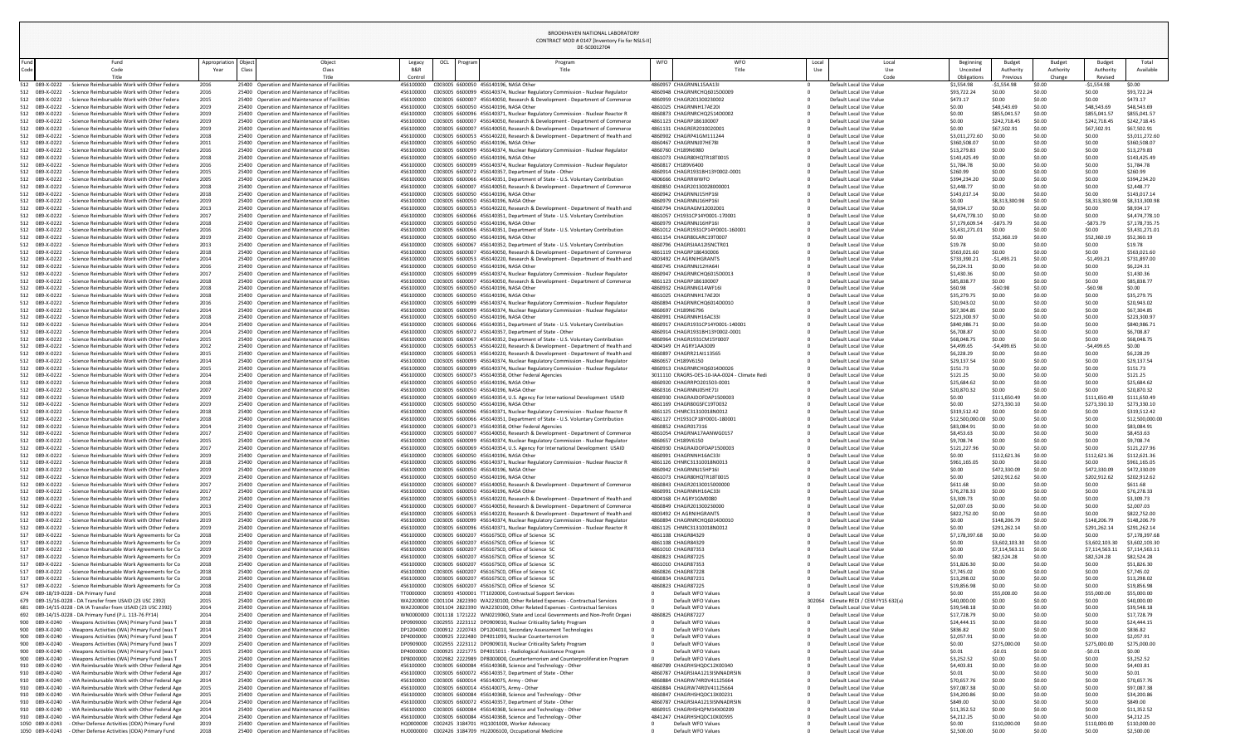DE-SC0012704

CONTRACT MOD # 0147 [Inventory Fix for NSLS-II]

| Beginning<br>Uncosted            | <b>Budget</b><br>Authority   | <b>Budget</b><br>Authority | <b>Budget</b><br>Authority   | Total<br>Available               |
|----------------------------------|------------------------------|----------------------------|------------------------------|----------------------------------|
| Obligations                      | Previous                     | Change                     | Revised                      |                                  |
| \$1,554.98<br>\$93,722.24        | $-$1,554.98$<br>\$0.00       | \$0.00<br>\$0.00           | $-51,554.98$<br>\$0.00       | \$0.00<br>\$93,722.24            |
| \$473.17                         | \$0.00                       | \$0.00                     | \$0.00                       | \$473.17                         |
| \$0.00                           | \$48,543.69                  | \$0.00                     | \$48,543.69                  | \$48,543.69                      |
| \$0.00                           | \$855,041.57                 | \$0.00                     | \$855,041.57                 | \$855,041.57                     |
| \$0.00                           | \$242,718.45                 | \$0.00                     | \$242,718.45                 | \$242,718.45                     |
| \$0.00<br>\$3,011,272.60         | \$67,502.91<br>\$0.00        | \$0.00<br>\$0.00           | \$67,502.91<br>\$0.00        | \$67,502.91<br>\$3,011,272.60    |
| \$360,508.07                     | \$0.00                       | \$0.00                     | \$0.00                       | \$360,508.07                     |
| \$13,279.83                      | \$0.00                       | \$0.00                     | \$0.00                       | \$13,279.83                      |
| \$143,425.49                     | \$0.00                       | \$0.00                     | \$0.00                       | \$143,425.49                     |
| \$1,784.78                       | \$0.00                       | \$0.00                     | \$0.00                       | \$1,784.78                       |
| \$260.99<br>\$394,234.20         | \$0.00<br>\$0.00             | \$0.00<br>\$0.00           | \$0.00<br>\$0.00             | \$260.99<br>\$394,234.20         |
| \$2,448.77                       | \$0.00                       | \$0.00                     | \$0.00                       | \$2,448.77                       |
| \$143,017.14                     | \$0.00                       | \$0.00                     | \$0.00                       | \$143,017.14                     |
| \$0.00                           | \$8,313,300.98               | \$0.00                     | \$8,313,300.98               | \$8,313,300.98                   |
| \$8,934.17                       | \$0.00                       | \$0.00                     | \$0.00                       | \$8,934.17                       |
| \$4,474,778.10<br>\$7,179,609.54 | \$0.00<br>$-$873.79$         | \$0.00<br>\$0.00           | \$0.00<br>$-5873.79$         | \$4,474,778.10<br>\$7,178,735.75 |
| \$3,431,271.01                   | \$0.00                       | \$0.00                     | \$0.00                       | \$3,431,271.01                   |
| \$0.00                           | \$52,360.19                  | \$0.00                     | \$52,360.19                  | \$52,360.19                      |
| \$19.78                          | \$0.00                       | \$0.00                     | \$0.00                       | \$19.78                          |
| \$563,021.60                     | \$0.00                       | \$0.00                     | \$0.00                       | \$563,021.60                     |
| \$733,390.21<br>\$6,224.31       | $-51,493.21$<br>\$0.00       | \$0.00<br>\$0.00           | $-51,493.21$<br>\$0.00       | \$731,897.00<br>\$6,224.31       |
| \$1,430.36                       | \$0.00                       | \$0.00                     | \$0.00                       | \$1,430.36                       |
| \$85,838.77                      | \$0.00                       | \$0.00                     | \$0.00                       | \$85,838.77                      |
| \$60.98                          | $-$60.98$                    | \$0.00                     | $-$60.98$                    | \$0.00                           |
| \$35,279.75                      | \$0.00                       | \$0.00                     | \$0.00                       | \$35,279.75                      |
| \$20,943.02<br>\$67,304.85       | \$0.00<br>\$0.00             | \$0.00<br>\$0.00           | \$0.00<br>\$0.00             | \$20,943.02<br>\$67,304.85       |
| \$223,300.97                     | \$0.00                       | \$0.00                     | \$0.00                       | \$223,300.97                     |
| \$840,986.71                     | \$0.00                       | \$0.00                     | \$0.00                       | \$840,986.71                     |
| \$6,708.87                       | \$0.00                       | \$0.00                     | \$0.00                       | \$6,708.87                       |
| \$68,048.75                      | \$0.00                       | \$0.00                     | \$0.00                       | \$68,048.75                      |
| \$4,499.65<br>\$6,228.29         | $-$4,499.65$<br>\$0.00       | \$0.00<br>\$0.00           | $-$4,499.65$<br>\$0.00       | \$0.00<br>\$6,228.29             |
| \$29,137.54                      | \$0.00                       | \$0.00                     | \$0.00                       | \$29,137.54                      |
| \$151.73                         | \$0.00                       | \$0.00                     | \$0.00                       | \$151.73                         |
| \$121.25                         | \$0.00                       | \$0.00                     | \$0.00                       | \$121.25                         |
| \$25,684.62                      | \$0.00                       | \$0.00                     | \$0.00                       | \$25,684.62                      |
| \$20,870.32<br>\$0.00            | \$0.00<br>\$111,650.49       | \$0.00<br>\$0.00           | \$0.00<br>\$111,650.49       | \$20,870.32<br>\$111,650.49      |
| \$0.00                           | \$273,330.10                 | \$0.00                     | \$273,330.10                 | \$273,330.10                     |
| \$319,512.42                     | \$0.00                       | \$0.00                     | \$0.00                       | \$319,512.42                     |
| \$12,500,000.00                  | \$0.00                       | \$0.00                     | \$0.00                       | \$12,500,000.00                  |
| \$83,084.91                      | \$0.00                       | \$0.00                     | \$0.00                       | \$83,084.91                      |
| \$8,453.63<br>\$9,708.74         | \$0.00<br>\$0.00             | \$0.00<br>\$0.00           | \$0.00<br>\$0.00             | \$8,453.63<br>\$9,708.74         |
| \$121,227.96                     | \$0.00                       | \$0.00                     | \$0.00                       | \$121,227.96                     |
| \$0.00                           | \$112,621.36                 | \$0.00                     | \$112,621.36                 | \$112,621.36                     |
| \$961,165.05                     | \$0.00                       | \$0.00                     | \$0.00                       | \$961,165.05                     |
| \$0.00                           | \$472,330.09                 | \$0.00                     | \$472,330.09                 | \$472,330.09                     |
| \$0.00<br>\$611.68               | \$202,912.62<br>\$0.00       | \$0.00<br>\$0.00           | \$202,912.62<br>\$0.00       | \$202,912.62<br>\$611.68         |
| \$76,278.33                      | \$0.00                       | \$0.00                     | \$0.00                       | \$76,278.33                      |
| \$3,309.73                       | \$0.00                       | \$0.00                     | \$0.00                       | \$3,309.73                       |
| \$2,007.03                       | \$0.00                       | \$0.00                     | \$0.00                       | \$2,007.03                       |
| \$822,752.00                     | \$0.00                       | \$0.00<br>\$0.00           | \$0.00                       | \$822,752.00                     |
| \$0.00<br>\$0.00                 | \$148,206.79<br>\$291,262.14 | \$0.00                     | \$148,206.79<br>\$291,262.14 | \$148,206.79<br>\$291,262.14     |
| \$7,178,397.68                   | \$0.00                       | \$0.00                     | \$0.00                       | \$7,178,397.68                   |
| \$0.00                           | \$3,602,103.30               | \$0.00                     | \$3,602,103.30               | \$3,602,103.30                   |
| \$0.00                           | \$7,114,563.11               | \$0.00                     | \$7,114,563.11               | \$7,114,563.11                   |
| \$0.00                           | \$82,524.28                  | \$0.00                     | \$82,524.28                  | \$82,524.28                      |
| \$51,826.30<br>\$7,745.02        | \$0.00<br>\$0.00             | \$0.00<br>\$0.00           | \$0.00<br>\$0.00             | \$51,826.30<br>\$7,745.02        |
| \$13,298.02                      | \$0.00                       | \$0.00                     | \$0.00                       | \$13,298.02                      |
| \$19,856.98                      | \$0.00                       | \$0.00                     | \$0.00                       | \$19,856.98                      |
| \$0.00                           | \$55,000.00                  | \$0.00                     | \$55,000.00                  | \$55,000.00                      |
| \$40,000.00                      | \$0.00                       | \$0.00                     | \$0.00                       | \$40,000.00                      |
| \$39,548.18<br>\$17,728.79       | \$0.00<br>\$0.00             | \$0.00<br>\$0.00           | \$0.00<br>\$0.00             | \$39,548.18<br>\$17,728.79       |
| \$24,444.15                      | \$0.00                       | \$0.00                     | \$0.00                       | \$24,444.15                      |
| \$836.82                         | \$0.00                       | \$0.00                     | \$0.00                       | \$836.82                         |
| \$2,057.91                       | \$0.00                       | \$0.00                     | \$0.00                       | \$2,057.91                       |
| \$0.00                           | \$275,000.00                 | \$0.00                     | \$275,000.00                 | \$275,000.00                     |
| \$0.01<br>\$3,252.52             | $-50.01$<br>\$0.00           | \$0.00<br>\$0.00           | $-50.01$<br>\$0.00           | \$0.00<br>\$3,252.52             |
| \$4,403.81                       | \$0.00                       | \$0.00                     | \$0.00                       | \$4,403.81                       |
| \$0.01                           | \$0.00                       | \$0.00                     | \$0.00                       | \$0.01                           |
| \$70,657.76                      | \$0.00                       | \$0.00                     | \$0.00                       | \$70,657.76                      |
| \$97,087.38                      | \$0.00                       | \$0.00                     | \$0.00                       | \$97,087.38                      |
| \$34,200.86                      | \$0.00                       | \$0.00                     | \$0.00                       | \$34,200.86                      |
| \$849.00                         | \$0.00                       | \$0.00<br>\$0.00           | \$0.00<br>\$0.00             | \$849.00                         |
| \$11,352.52<br>\$4,212.25        | \$0.00<br>\$0.00             | \$0.00                     | \$0.00                       | \$11,352.52<br>\$4,212.25        |
| \$0.00                           | \$110,000.00                 | \$0.00                     | \$110,000.00                 | \$110,000.00                     |
| $$250000$ $$00$                  |                              | sn nn                      | sn nn                        | 5250000                          |

|              |                                                                                                                                    |                                |       |                                                                                                |                        |             |                                                                                                    | DE-SC0012704                                                                                                                                                             |            |                                                                |              |                                                           |                              |                              |                            |                              |                          |
|--------------|------------------------------------------------------------------------------------------------------------------------------------|--------------------------------|-------|------------------------------------------------------------------------------------------------|------------------------|-------------|----------------------------------------------------------------------------------------------------|--------------------------------------------------------------------------------------------------------------------------------------------------------------------------|------------|----------------------------------------------------------------|--------------|-----------------------------------------------------------|------------------------------|------------------------------|----------------------------|------------------------------|--------------------------|
| Fund<br>Code | Fund<br>Code                                                                                                                       | Appropriation   Object<br>Year | Class | Object<br>Class                                                                                | Legacy<br>B&R          | OCL Program |                                                                                                    | Program<br>Title                                                                                                                                                         | <b>WFO</b> | <b>WFO</b><br>Title                                            | Local<br>Use | Local                                                     | Beginning<br>Uncosted        | Budget<br>Authorit           | <b>Budget</b><br>Authority | Budget<br>Authority          | Tot<br>Availa            |
| 512          | Title<br>- Science Reimbursable Work with Other Federa<br>089-X-0222                                                               | 2016                           |       | Title<br>25400 Operation and Maintenance of Facilities                                         | Control<br>456100000   |             | C003005 6600050 456140196, NASA Other                                                              |                                                                                                                                                                          |            | 4860957 CHAGRNNL15AA13I                                        |              | Code<br>Default Local Use Value                           | Obligations<br>\$1,554.98    | Previous<br>$-51,554.98$     | Change<br>\$0.00           | Revised<br>$-$1,554.98$      | \$0.00                   |
|              | 089-X-0222<br>- Science Reimbursable Work with Other Federa                                                                        | 2016                           |       | 25400 Operation and Maintenance of Facilities                                                  | 456100000              |             |                                                                                                    | C003005 6600099 456140374, Nuclear Regulatory Commission - Nuclear Regulator                                                                                             |            | 4860948 CHAGRNRCHQ6015D0009                                    |              | Default Local Use Value                                   | \$93,722.24                  | \$0.00                       | \$0.00                     | \$0.00                       | \$93,722.2               |
| 512          | 089-X-0222<br>- Science Reimbursable Work with Other Federa                                                                        | 2015                           |       | 25400 Operation and Maintenance of Facilities                                                  | 456100000              |             |                                                                                                    | C003005 6600007 456140050, Research & Development - Department of Commerce                                                                                               |            | 4860959 CHAGR201300230002                                      |              | Default Local Use Value                                   | \$473.17                     | \$0.00                       | \$0.00                     | \$0.00                       | \$473.17                 |
| 512          | 089-X-0222<br>- Science Reimbursable Work with Other Federa                                                                        | 2019                           |       | 25400 Operation and Maintenance of Facilities                                                  | 456100000              |             | C003005 6600050 456140196, NASA Other                                                              |                                                                                                                                                                          |            | 4861025 CHAGRNNH17AE20I<br>4860873 CHAGRNRCHQ2514D0002         |              | Default Local Use Value                                   | \$0.00                       | \$48,543.6                   | \$0.00                     | \$48,543.69                  | \$48,543.6               |
| 512          | 089-X-0222<br>- Science Reimbursable Work with Other Federa<br>512 089-X-0222<br>- Science Reimbursable Work with Other Federa     | 2019<br>2019                   |       | 25400 Operation and Maintenance of Facilities<br>25400 Operation and Maintenance of Facilities | 456100000<br>456100000 |             |                                                                                                    | C003005 6600096 456140371, Nuclear Regulatory Commission - Nuclear Reactor R<br>C003005 6600007 456140050, Research & Development - Department of Commerce               |            | 4861123 CHAGRP186100007                                        |              | Default Local Use Value<br>Default Local Use Value        | \$0.00<br>\$0.00             | \$855,041.57<br>\$242,718.45 | \$0.00<br>\$0.00           | \$855,041.57<br>\$242,718.45 | \$855,041<br>\$242,718   |
| 512          | 089-X-0222<br>- Science Reimbursable Work with Other Federa                                                                        | 2019                           |       | 25400 Operation and Maintenance of Facilities                                                  | 456100000              |             |                                                                                                    | C003005 6600007 456140050, Research & Development - Department of Commerce                                                                                               |            | 4861131 CHAGRER2010020001                                      |              | Default Local Use Value                                   | \$0.00                       | \$67,502.9                   | \$0.00                     | \$67,502.9                   | \$67,502.9               |
|              | 512 089-X-0222<br>- Science Reimbursable Work with Other Federa                                                                    | 2018                           |       | 25400 Operation and Maintenance of Facilities                                                  | 456100000              |             |                                                                                                    | C003005 6600053 456140220, Research & Development - Department of Health and                                                                                             |            | 4860902 CHAGRP41GM111244                                       |              | Default Local Use Value                                   | \$3,011,272.60               | \$0.00                       | \$0.00                     | \$0.00                       | \$3,011,27               |
| 512<br>512   | 089-X-0222<br>- Science Reimbursable Work with Other Federa<br>089-X-0222<br>- Science Reimbursable Work with Other Federa         | 2011<br>2016                   |       | 25400 Operation and Maintenance of Facilities<br>25400 Operation and Maintenance of Facilities | 456100000<br>456100000 |             | C003005 6600050 456140196, NASA Other                                                              | C003005 6600099 456140374, Nuclear Regulatory Commission - Nuclear Regulator                                                                                             |            | 4860467 CHAGRNNJ07HE78I<br>4860760 CH189N6980                  |              | Default Local Use Value<br>Default Local Use Value        | \$360,508.0<br>\$13,279.83   | \$0.00<br>\$0.00             | \$0.00<br>\$0.00           | \$0.00<br>\$0.00             | \$360,508<br>\$13,279.8  |
| 512          | 089-X-0222<br>- Science Reimbursable Work with Other Federa                                                                        | 2018                           |       | 25400 Operation and Maintenance of Facilities                                                  | 456100000              |             | C003005 6600050 456140196, NASA Other                                                              |                                                                                                                                                                          |            | 4861073 CHAGR80HQTR18T0015                                     |              | Default Local Use Value                                   | \$143,425.49                 | \$0.00                       | \$0.00                     | \$0.00                       | \$143,425                |
|              | 512 089-X-0222<br>- Science Reimbursable Work with Other Federa                                                                    | 2016                           |       | 25400 Operation and Maintenance of Facilities                                                  | 456100000              |             |                                                                                                    | C003005 6600099 456140374, Nuclear Regulatory Commission - Nuclear Regulator                                                                                             |            | 4860817 CH189V6400                                             |              | Default Local Use Value                                   | \$1,784.78                   | \$0.00                       | \$0.00                     | \$0.00                       | \$1,784.78               |
| 512          | 089-X-0222<br>- Science Reimbursable Work with Other Federa<br>089-X-0222<br>- Science Reimbursable Work with Other Federa         | 2015                           |       | 25400 Operation and Maintenance of Facilities<br>25400 Operation and Maintenance of Facilities | 456100000<br>456100000 |             |                                                                                                    | C003005 6600072 456140357, Department of State - Other<br>C003005 6600066 456140351, Department of State - U.S. Voluntary Contribution                                   |            | 4860914 CHAGR1931BH13Y0002-0001<br>4806666 CHAGRRWWFO          |              | Default Local Use Value<br>Default Local Use Value        | \$260.99                     | \$0.00<br>\$0.00             | \$0.00<br>\$0.00           | \$0.00<br>\$0.00             | \$260.99<br>\$394,234    |
| 512<br>512   | 089-X-0222<br>- Science Reimbursable Work with Other Federa                                                                        | 2005<br>2018                   |       | 25400 Operation and Maintenance of Facilities                                                  | 456100000              |             |                                                                                                    | C003005 6600007 456140050, Research & Development - Department of Commerce                                                                                               |            | 4860850 CHAGR20130028000001                                    |              | Default Local Use Value                                   | \$394,234.20<br>\$2,448.77   | \$0.00                       | \$0.00                     | \$0.00                       | \$2,448.77               |
| 512          | 089-X-0222<br>- Science Reimbursable Work with Other Federa                                                                        | 2018                           |       | 25400 Operation and Maintenance of Facilities                                                  | 456100000              |             | C003005 6600050 456140196, NASA Other                                                              |                                                                                                                                                                          |            | 4860942 CHAGRNNJ15HP16I                                        |              | Default Local Use Value                                   | \$143,017.14                 | \$0.00                       | \$0.00                     | \$0.00                       | \$143,017                |
| 512          | 089-X-0222<br>- Science Reimbursable Work with Other Federa                                                                        | 2019                           |       | 25400 Operation and Maintenance of Facilities                                                  | 456100000              |             | C003005 6600050 456140196, NASA Other                                                              |                                                                                                                                                                          |            | 4860979 CHAGRNNJ16HP16I                                        |              | Default Local Use Value                                   | \$0.00                       | \$8,313,30                   | \$0.00                     | \$8,313,300                  | \$8,313,30               |
| 512          | 089-X-0222<br>- Science Reimbursable Work with Other Federa<br>512 089-X-0222<br>- Science Reimbursable Work with Other Federa     | 2013<br>2017                   |       | 25400 Operation and Maintenance of Facilities<br>25400 Operation and Maintenance of Facilities | 456100000<br>456100000 |             |                                                                                                    | C003005 6600053 456140220, Research & Development - Department of Health and<br>C003005 6600066 456140351, Department of State - U.S. Voluntary Contribution             |            | 4860794 CHAGRAGM12002001<br>4861057 CH1931CP14Y0001-170001     |              | Default Local Use Value<br>Default Local Use Value        | \$8,934.17<br>\$4,474,778.10 | \$0.00<br>\$0.00             | \$0.00<br>\$0.00           | \$0.00<br>\$0.00             | \$8,934.17<br>\$4,474,77 |
| 512          | 089-X-0222<br>- Science Reimbursable Work with Other Federa                                                                        | 2018                           |       | 25400 Operation and Maintenance of Facilities                                                  | 456100000              |             | C003005 6600050 456140196, NASA Other                                                              |                                                                                                                                                                          |            | 4860979 CHAGRNNJ16HP16I                                        |              | Default Local Use Value                                   | \$7,179,609.54               | -\$873.79                    | \$0.00                     | $-5873.7$                    | \$7,178,73               |
| 512          | 089-X-0222<br>- Science Reimbursable Work with Other Federa                                                                        | 2016                           |       | 25400 Operation and Maintenance of Facilities                                                  | 456100000              |             |                                                                                                    | C003005 6600066 456140351, Department of State - U.S. Voluntary Contribution                                                                                             |            | 4861012 CHAGR1931CP14Y0001-160001                              |              | Default Local Use Value                                   | \$3,431,271.01               | \$0.00                       | \$0.00                     | \$0.00                       | \$3,431,27               |
|              | 512 089-X-0222<br>- Science Reimbursable Work with Other Federa                                                                    | 2019                           |       | 25400 Operation and Maintenance of Facilities                                                  | 456100000              |             | C003005 6600050 456140196, NASA Other                                                              |                                                                                                                                                                          |            | 4861154 CHAGR80LARC19T0007                                     |              | Default Local Use Value                                   | \$0.00                       | \$52,360.1                   | \$0.00                     | \$52,360.19                  | \$52,360.1               |
| 512<br>512   | 089-X-0222<br>- Science Reimbursable Work with Other Federa<br>089-X-0222<br>- Science Reimbursable Work with Other Federa         | 2013<br>2018                   |       | 25400 Operation and Maintenance of Facilities<br>25400 Operation and Maintenance of Facilities | 456100000<br>456100000 |             |                                                                                                    | C003005 6600067 456140352, Department of State - U.S. Voluntary Contribution<br>C003005 6600007 456140050, Research & Development - Department of Commerce               |            | 4860796 CHAGRSIAA12ISNCTR01<br>4861119 CHAGRP186430006         |              | Default Local Use Value<br>Default Local Use Value        | \$19.78<br>\$563,021.60      | \$0.00<br>\$0.00             | \$0.00<br>\$0.00           | \$0.00<br>\$0.00             | \$19.78<br>\$563,021     |
| 512          | 089-X-0222<br>- Science Reimbursable Work with Other Federa                                                                        | 2014                           |       | 25400 Operation and Maintenance of Facilities                                                  | 456100000              |             |                                                                                                    | C003005 6600053 456140220, Research & Development - Department of Health and                                                                                             |            | 4803492 CH AGRNIHGRANTS                                        |              | Default Local Use Value                                   | \$733,390.2                  | $-$1,493.2$                  | \$0.00                     | $-$1,493.2$                  | \$731,897                |
|              | 512 089-X-0222<br>- Science Reimbursable Work with Other Federa                                                                    | 2016                           |       | 25400 Operation and Maintenance of Facilities                                                  | 456100000              |             | C003005 6600050 456140196, NASA Other                                                              |                                                                                                                                                                          |            | 4860745 CHAGRNNJ12HA64I                                        |              | Default Local Use Value                                   | \$6,224.31                   | \$0.00                       | \$0.00                     | \$0.00                       | \$6,224.31               |
|              | 512 089-X-0222<br>- Science Reimbursable Work with Other Federa                                                                    | 2017                           |       | 25400 Operation and Maintenance of Facilities                                                  | 456100000              |             |                                                                                                    | C003005 6600099 456140374, Nuclear Regulatory Commission - Nuclear Regulator                                                                                             |            | 4860947 CHAGRNRCHQ6015D0013                                    |              | Default Local Use Value                                   | \$1,430.36                   |                              | \$0.00                     | \$0.00                       | \$1,430.36               |
| 512          | 089-X-0222<br>- Science Reimbursable Work with Other Federa<br>089-X-0222<br>- Science Reimbursable Work with Other Federa         | 2018<br>2018                   |       | 25400 Operation and Maintenance of Facilities<br>25400 Operation and Maintenance of Facilities | 456100000              |             | C003005 6600050 456140196, NASA Other                                                              | C003005 6600007 456140050, Research & Development - Department of Commerce                                                                                               |            | 4861123 CHAGRP186100007<br>4860932 CHAGRNNG14WF16I             |              | Default Local Use Value<br>Default Local Use Value        | \$85,838.77<br>\$60.98       | \$0.00<br>$-$ \$60.98        | \$0.00<br>\$0.00           | \$0.00<br>$-$60.9$           | \$85,838.7<br>\$0.00     |
|              | 089-X-0222<br>- Science Reimbursable Work with Other Federa                                                                        | 2018                           |       | 25400 Operation and Maintenance of Facilities                                                  | 456100000              |             | C003005 6600050 456140196, NASA Other                                                              |                                                                                                                                                                          |            | 4861025 CHAGRNNH17AE20I                                        |              | Default Local Use Value                                   | \$35,279.75                  | \$0.00                       | \$0.00                     | \$0.00                       | \$35,279.7               |
|              | 512 089-X-0222<br>- Science Reimbursable Work with Other Federa                                                                    | 2016                           |       | 25400 Operation and Maintenance of Facilities                                                  | 456100000              |             |                                                                                                    | C003005 6600099 456140374, Nuclear Regulatory Commission - Nuclear Regulator                                                                                             |            | 4860894 CHAGRNRCHQ6014D0010                                    |              | Default Local Use Value                                   | \$20,943.02                  | \$0.00                       | \$0.00                     | \$0.00                       | \$20,943.0               |
|              | 512 089-X-0222<br>- Science Reimbursable Work with Other Federa                                                                    | 2014                           |       | 25400 Operation and Maintenance of Facilities                                                  | 456100000              |             |                                                                                                    | C003005 6600099 456140374, Nuclear Regulatory Commission - Nuclear Regulator                                                                                             |            | 4860697 CH189N6796                                             |              | Default Local Use Value                                   | \$67,304.85                  | \$0.00                       | \$0.00                     | \$0.00                       | \$67,304.8               |
|              | 512 089-X-0222<br>- Science Reimbursable Work with Other Federa<br>512 089-X-0222<br>- Science Reimbursable Work with Other Federa | 2018<br>2014                   |       | 25400 Operation and Maintenance of Facilities<br>25400 Operation and Maintenance of Facilities | 456100000<br>456100000 |             | C003005 6600050 456140196, NASA Other                                                              | C003005 6600066 456140351, Department of State - U.S. Voluntary Contribution                                                                                             |            | 4860991 CHAGRNNH16AC33I<br>4860917 CHAGR1931CP14Y0001-140001   |              | Default Local Use Value<br>Default Local Use Value        | \$223,300.9<br>\$840,986.7   | \$0.00<br>\$0.00             | \$0.00<br>\$0.00           | \$0.00<br>\$0.00             | \$223,300<br>\$840,986   |
|              | 512 089-X-0222<br>- Science Reimbursable Work with Other Federa                                                                    | 2014                           |       | 25400 Operation and Maintenance of Facilities                                                  | 456100000              |             |                                                                                                    | C003005 6600072 456140357, Department of State - Other                                                                                                                   |            | 4860914 CHAGR1931BH13Y0002-0001                                |              | Default Local Use Value                                   | \$6,708.87                   | \$0.00                       | \$0.00                     | \$0.00                       | \$6,708.87               |
|              | 512 089-X-0222<br>- Science Reimbursable Work with Other Federa                                                                    | 2015                           |       | 25400 Operation and Maintenance of Facilities                                                  | 456100000              |             |                                                                                                    | C003005 6600067 456140352, Department of State - U.S. Voluntary Contribution                                                                                             |            | 4860964 CHAGR1931CM15Y0007                                     |              | Default Local Use Value                                   | \$68,048.75                  | \$0.00                       | \$0.00                     | \$0.00                       | \$68,048.7               |
|              | 512 089-X-0222<br>- Science Reimbursable Work with Other Federa                                                                    | 2012                           |       | 25400 Operation and Maintenance of Facilities                                                  | 456100000              |             |                                                                                                    | C003005 6600053 456140220, Research & Development - Department of Health and                                                                                             |            | 4804149 CH AGRY1AA3009                                         |              | Default Local Use Value                                   | \$4,499.65                   | $-$4,499.6$                  | \$0.00                     | $-$4,499.6$                  | \$0.00                   |
| 512<br>512 - | 089-X-0222<br>- Science Reimbursable Work with Other Federa<br>089-X-0222<br>- Science Reimbursable Work with Other Federa         | 2015<br>2014                   |       | 25400 Operation and Maintenance of Facilities<br>25400 Operation and Maintenance of Facilities | 456100000<br>456100000 |             |                                                                                                    | C003005 6600053 456140220, Research & Development - Department of Health and<br>C003005 6600099 456140374, Nuclear Regulatory Commission - Nuclear Regulator             |            | 4860897 CHAGRR21AI113565<br>4860657 CH189V6150                 |              | Default Local Use Value<br>Default Local Use Value        | \$6,228.29<br>\$29,137.54    | \$0.00<br>\$0.00             | \$0.00<br>\$0.00           | \$0.00<br>\$0.00             | \$6,228.29<br>\$29,137.5 |
|              | 512 089-X-0222<br>- Science Reimbursable Work with Other Federa                                                                    | 2015                           |       | 25400 Operation and Maintenance of Facilities                                                  | 456100000              |             |                                                                                                    | C003005 6600099 456140374, Nuclear Regulatory Commission - Nuclear Regulator                                                                                             |            | 4860913 CHAGRNRCHQ6014D0026                                    |              | Default Local Use Value                                   | \$151.73                     | \$0.00                       | \$0.00                     | \$0.00                       | \$151.73                 |
| 512          | 089-X-0222<br>- Science Reimbursable Work with Other Federa                                                                        | 2014                           |       | 25400 Operation and Maintenance of Facilities                                                  | 456100000              |             |                                                                                                    | C003005 6600073 456140358, Other Federal Agencies                                                                                                                        |            | 3011110 CRAGRS-OES-10-IAA-0024 - Climate Redi                  |              | Default Local Use Value                                   | \$121.25                     | \$0.00                       | \$0.00                     | \$0.00                       | \$121.25                 |
|              | 512 089-X-0222<br>- Science Reimbursable Work with Other Federa                                                                    | 2018                           |       | 25400 Operation and Maintenance of Facilities                                                  | 456100000              |             | C003005 6600050 456140196, NASA Other                                                              |                                                                                                                                                                          |            | 4860920 CHAGRRPO201503-0001                                    |              | Default Local Use Value                                   | \$25,684.62                  | \$0.00                       | \$0.00                     | \$0.00                       | \$25,684.6               |
| 512 -        | 089-X-0222<br>- Science Reimbursable Work with Other Federa<br>512 089-X-0222<br>- Science Reimbursable Work with Other Federa     | 2007<br>2019                   |       | 25400 Operation and Maintenance of Facilities<br>25400 Operation and Maintenance of Facilities | 456100000<br>456100000 |             | C003005 6600050 456140196, NASA Other                                                              | C003005 6600069 456140354, U.S. Agency For International Development USAID                                                                                               |            | 4860316 CHAGRNNJ05HE71I<br>4860930 CHAGRAIDOFDAP1500003        |              | Default Local Use Value<br>Default Local Use Value        | \$20,870.32<br>\$0.00        | \$0.00<br>\$111,650.49       | \$0.00<br>\$0.00           | \$0.00<br>\$111,650.49       | \$20,870.3<br>\$111,650  |
|              | 512 089-X-0222<br>- Science Reimbursable Work with Other Federa                                                                    | 2019                           |       | 25400 Operation and Maintenance of Facilities                                                  | 456100000              |             | C003005 6600050 456140196, NASA Other                                                              |                                                                                                                                                                          |            | 4861169 CHAGR80GSFC19T0032                                     |              | Default Local Use Value                                   | \$0.00                       | \$273,330.1                  | \$0.00                     | \$273,330.1                  | \$273,330                |
|              | 089-X-0222<br>- Science Reimbursable Work with Other Federa                                                                        | 2018                           |       | 25400 Operation and Maintenance of Facilities                                                  | 456100000              |             |                                                                                                    | C003005 6600096 456140371, Nuclear Regulatory Commission - Nuclear Reactor R                                                                                             |            | 4861125 CHNRC31310018N0012                                     |              | Default Local Use Value                                   | \$319,512.42                 | \$0.00                       | \$0.00                     | \$0.00                       | \$319,512                |
|              | 512 089-X-0222<br>- Science Reimbursable Work with Other Federa                                                                    | 2018                           |       | 25400 Operation and Maintenance of Facilities                                                  | 456100000              |             |                                                                                                    | C003005 6600066 456140351, Department of State - U.S. Voluntary Contribution                                                                                             |            | 4861127 CH1931CP18Y0001-180001                                 |              | Default Local Use Value                                   | \$12,500,000.00              | \$0.00                       | \$0.00                     | \$0.00                       | \$12,500,0               |
| 512          | 089-X-0222<br>- Science Reimbursable Work with Other Federa<br>512 089-X-0222<br>- Science Reimbursable Work with Other Federa     | 2014<br>2017                   |       | 25400 Operation and Maintenance of Facilities<br>25400 Operation and Maintenance of Facilities | 456100000<br>456100000 |             |                                                                                                    | C003005 6600073 456140358, Other Federal Agencies<br>C003005 6600007 456140050, Research & Development - Department of Commerce                                          |            | 4860852 CHAGR017316<br>4861054 CHAGRNA17AANWG0157              |              | Default Local Use Value<br>Default Local Use Value        | \$83,084.91<br>\$8,453.63    | \$0.00<br>\$0.00             | \$0.00<br>\$0.00           | \$0.00<br>\$0.00             | \$83,084.9<br>\$8,453.63 |
|              | 512 089-X-0222<br>- Science Reimbursable Work with Other Federa                                                                    | 2015                           |       | 25400 Operation and Maintenance of Facilities                                                  | 456100000              |             |                                                                                                    | C003005 6600099 456140374, Nuclear Regulatory Commission - Nuclear Regulator                                                                                             |            | 4860657 CH189V6150                                             |              | Default Local Use Value                                   | \$9,708.74                   | \$0.00                       | \$0.00                     | \$0.00                       | \$9,708.74               |
|              | 089-X-0222<br>- Science Reimbursable Work with Other Federa                                                                        | 2017                           |       | 25400 Operation and Maintenance of Facilities                                                  | 456100000              |             |                                                                                                    | C003005 6600069 456140354, U.S. Agency For International Development USAID                                                                                               |            | 4860930 CHAGRAIDOFDAP1500003                                   |              | Default Local Use Value                                   | \$121,227.96                 | \$0.00                       | \$0.00                     | \$0.00                       | \$121,227                |
|              | 512 089-X-0222<br>- Science Reimbursable Work with Other Federa                                                                    | 2019                           |       | 25400 Operation and Maintenance of Facilities                                                  | 456100000              |             | C003005 6600050 456140196, NASA Other                                                              |                                                                                                                                                                          |            | 4860991 CHAGRNNH16AC33I                                        |              | Default Local Use Value                                   | \$0.00                       | \$112,621.                   | \$0.00                     | \$112,621.3                  | \$112,621                |
| 512          | - Science Reimbursable Work with Other Federa<br>089-X-0222<br>512 089-X-0222<br>- Science Reimbursable Work with Other Federa     | 2018<br>2019                   |       | 25400 Operation and Maintenance of Facilities<br>25400 Operation and Maintenance of Facilities | 456100000<br>456100000 |             | C003005 6600050 456140196, NASA Other                                                              | C003005 6600096 456140371, Nuclear Regulatory Commission - Nuclear Reactor R                                                                                             |            | 4861126 CHNRC31310018N0013<br>4860942 CHAGRNNJ15HP16I          |              | Default Local Use Value<br>Default Local Use Value        | \$961,165.0<br>\$0.00        | \$0.00<br>\$472,330.09       | \$0.00<br>\$0.00           | \$0.00<br>\$472,330.09       | \$961,165<br>\$472,330   |
| 512          | 089-X-0222<br>- Science Reimbursable Work with Other Federa                                                                        | 2019                           |       | 25400 Operation and Maintenance of Facilities                                                  | 456100000              |             | C003005 6600050 456140196. NASA Other                                                              |                                                                                                                                                                          |            | 4861073 CHAGR80HQTR18T0015                                     |              | Default Local Use Value                                   | \$0.00                       | \$202,912.6                  | \$0.00                     | \$202,912.62                 | \$202,912                |
|              | 089-X-0222<br>- Science Reimbursable Work with Other Federa                                                                        | 2017                           |       | 25400 Operation and Maintenance of Facilities                                                  | 456100000              |             |                                                                                                    | C003005 6600007 456140050, Research & Development - Department of Commerce                                                                                               |            | 4860843 CHAGR20130015000000                                    |              | Default Local Use Value                                   | \$611.68                     | \$0.00                       | \$0.00                     | \$0.00                       | \$611.68                 |
|              | 089-X-0222<br>- Science Reimbursable Work with Other Federa                                                                        | 2017<br>2012                   |       | 25400 Operation and Maintenance of Facilities<br>25400 Operation and Maintenance of Facilities | 456100000<br>456100000 |             | C003005 6600050 456140196, NASA Other                                                              | C003005 6600053 456140220, Research & Development - Department of Health and                                                                                             |            | 4860991 CHAGRNNH16AC33I<br>4804168 CH AGRY1GM0080              |              | Default Local Use Value                                   | \$76,278.33<br>\$3,309.73    | \$0.00<br>\$0.00             | \$0.00<br>\$0.00           | \$0.00<br>\$0.00             | \$76,278.3<br>\$3,309.73 |
|              | 512 089-X-0222<br>- Science Reimbursable Work with Other Federa<br>089-X-0222<br>- Science Reimbursable Work with Other Federa     | 2013                           |       | 25400 Operation and Maintenance of Facilities                                                  |                        |             |                                                                                                    | C003005 6600007 456140050. Research & Development - Department of Commerce                                                                                               |            | 4860849 CHAGR201300230000                                      |              | Default Local Use Value<br>Default Local Use Value        | \$2,007.03                   | \$0.00                       | \$0.00                     | \$0.00                       | \$2,007.03               |
|              | 512 089-X-0222<br>- Science Reimbursable Work with Other Federa                                                                    | 2015                           |       | 25400 Operation and Maintenance of Facilities                                                  | 456100000              |             |                                                                                                    | C003005 6600053 456140220, Research & Development - Department of Health and                                                                                             |            | 4803492 CH AGRNIHGRANTS                                        |              | Default Local Use Value                                   | \$822,752.0                  | \$0.00                       | \$0.00                     | \$0.00                       | \$822,752                |
|              | 512 089-X-0222<br>- Science Reimbursable Work with Other Federa                                                                    | 2019                           |       | 25400 Operation and Maintenance of Facilities                                                  | 456100000              |             |                                                                                                    | C003005 6600099 456140374, Nuclear Regulatory Commission - Nuclear Regulator                                                                                             |            | 4860894 CHAGRNRCHQ6014D0010                                    |              | Default Local Use Value                                   | \$0.00                       | \$148,206.7                  | \$0.00                     | \$148,206.7                  | \$148,206                |
|              | 512 089-X-0222<br>- Science Reimbursable Work with Other Federa<br>517 089-X-0222<br>- Science Reimbursable Work Agreements for Co | 2019<br>2018                   |       | 25400 Operation and Maintenance of Facilities<br>25400 Operation and Maintenance of Facilities | 456100000<br>456100000 |             | C003005 6600207 456167SC0, Office of Science SC                                                    | C003005 6600096 456140371, Nuclear Regulatory Commission - Nuclear Reactor R                                                                                             |            | 4861125 CHNRC31310018N0012<br>4861108 CHAGR84329               |              | Default Local Use Value<br>Default Local Use Value        | \$0.00<br>\$7,178,397.68     | \$291,262.14<br>\$0.00       | \$0.00<br>\$0.00           | \$291,262.14<br>\$0.00       | \$291,262<br>\$7,178,39  |
|              | 517 089-X-0222<br>- Science Reimbursable Work Agreements for Co                                                                    | 2019                           |       | 25400 Operation and Maintenance of Facilities                                                  | 456100000              |             | C003005 6600207 456167SC0, Office of Science SC                                                    |                                                                                                                                                                          |            | 4861108 CHAGR84329                                             |              | Default Local Use Value                                   | \$0.00                       | \$3,602,103.30               | \$0.00                     | \$3,602,103.30               | \$3,602,10               |
|              | 517 089-X-0222<br>- Science Reimbursable Work Agreements for Co                                                                    | 2019                           |       | 25400 Operation and Maintenance of Facilities                                                  | 456100000              |             | C003005 6600207 456167SC0, Office of Science SC                                                    |                                                                                                                                                                          |            | 4861010 CHAGR87353                                             |              | Default Local Use Value                                   | \$0.00                       | \$7,114,563.                 | \$0.00                     | \$7,114,563.11               | \$7,114,56               |
|              | 517 089-X-0222<br>- Science Reimbursable Work Agreements for Co                                                                    | 2019                           |       | 25400 Operation and Maintenance of Facilities                                                  | 456100000              |             | C003005 6600207 456167SC0, Office of Science SC                                                    |                                                                                                                                                                          |            | 4860823 CHAGR87225                                             |              | Default Local Use Value                                   | \$0.00                       | \$82,524.28                  | \$0.00                     | \$82,524.28                  | \$82,524.2               |
|              | 517 089-X-0222<br>- Science Reimbursable Work Agreements for Co<br>517 089-X-0222<br>- Science Reimbursable Work Agreements for Co | 2018<br>2018                   |       | 25400 Operation and Maintenance of Facilities<br>25400 Operation and Maintenance of Facilities | 456100000<br>456100000 |             | C003005 6600207 456167SC0, Office of Science SC<br>C003005 6600207 456167SC0, Office of Science SC |                                                                                                                                                                          |            | 4861010 CHAGR87353<br>4860826 CHAGR87228                       |              | Default Local Use Value<br>Default Local Use Value        | \$51,826.30<br>\$7,745.02    | \$0.00<br>\$0.00             | \$0.00<br>\$0.00           | \$0.00<br>\$0.00             | \$51,826.3<br>\$7,745.02 |
|              | 517 089-X-0222<br>- Science Reimbursable Work Agreements for Co                                                                    | 2018                           |       | 25400 Operation and Maintenance of Facilities                                                  | 456100000              |             | C003005 6600207 456167SC0, Office of Science SC                                                    |                                                                                                                                                                          |            | 4860834 CHAGR87231                                             |              | Default Local Use Value                                   | \$13,298.02                  | \$0.00                       | \$0.00                     | \$0.00                       | \$13,298.0               |
|              | 517 089-X-0222<br>- Science Reimbursable Work Agreements for Co                                                                    | 2018                           |       | 25400 Operation and Maintenance of Facilities                                                  | 456100000              |             | C003005 6600207 456167SC0, Office of Science SC                                                    |                                                                                                                                                                          |            | 4860823 CHAGR87225                                             |              | Default Local Use Value                                   | \$19,856.98                  | \$0.00                       | \$0.00                     | \$0.00                       | \$19,856.9               |
|              | 674 089-18/19-0228 - DA Primary Fund                                                                                               | 2018                           |       | 25400 Operation and Maintenance of Facilities                                                  | TT0000000              |             |                                                                                                    | C003093 4500001 TT1020000, Contractual Support Services                                                                                                                  |            | Default WFO Values                                             |              | Default Local Use Value                                   | \$0.00                       | \$55,000.0                   | \$0.00                     | \$55,000.00                  | \$55,000.0               |
| 681          | 679 089-15/16-0228 - DA Transfer from USAID (23 USC 2392)<br>089-14/15-0228 - DA IA Transfer from USAID (23 USC 2392)              | 2015<br>2014                   |       | 25400 Operation and Maintenance of Facilities<br>25400 Operation and Maintenance of Facilities |                        |             |                                                                                                    | WA2200000 C001104 2822390 WA2230100, Other Related Expenses - Contractual Services<br>WA2200000 C001104 2822390 WA2230100, Other Related Expenses - Contractual Services |            | Default WFO Values<br>Default WFO Values                       |              | Climate REDI / CEM FY15 632(a)<br>Default Local Use Value | \$40,000.00<br>\$39,548.18   | \$0.00<br>\$0.00             | \$0.00<br>\$0.00           | \$0.00<br>\$0.00             | \$40,000.0<br>\$39,548.1 |
|              | 692 089-14/15-0228 - DA Primary Fund (P.L. 113-76 FY14)                                                                            | 2014                           |       | 25400 Operation and Maintenance of Facilities                                                  | WN0000000              |             |                                                                                                    | C001118 1721222 WN0219060, State and Local Governments and Non-Profit Organi                                                                                             |            | 4860825 CHAGR87227                                             |              | Default Local Use Value                                   | \$17,728.79                  | \$0.00                       | \$0.00                     | \$0.00                       | \$17,728.7               |
|              | - Weapons Activities (WA) Primary Fund (was T<br>900  089-X-0240                                                                   | 2018                           |       | 25400 Operation and Maintenance of Facilities                                                  | DP0909000              |             |                                                                                                    | C002955 2223112 DP0909010, Nuclear Criticality Safety Program                                                                                                            |            | Default WFO Values                                             |              | Default Local Use Value                                   | \$24,444.15                  | \$0.00                       | \$0.00                     | \$0.00                       | \$24,444.1               |
|              | 900 089-X-0240<br>- Weapons Activities (WA) Primary Fund (was 1<br>900 089-X-0240<br>- Weapons Activities (WA) Primary Fund (was T | 2014<br>2014                   |       | 25400 Operation and Maintenance of Facilities<br>25400 Operation and Maintenance of Facilities | DP1204000<br>DP4000000 |             |                                                                                                    | C000912 2220743 DP1204010, Secondary Assessment Technologies<br>C000925 2222480 DP4011093, Nuclear Counterterrorism                                                      |            | Default WFO Values<br>Default WFO Values                       |              | Default Local Use Value<br>Default Local Use Value        | \$836.82<br>\$2,057.9        | \$0.00<br>\$0.00             | \$0.00<br>\$0.00           | \$0.00<br>\$0.00             | \$836.82<br>\$2,057.91   |
|              | 900 089-X-0240<br>- Weapons Activities (WA) Primary Fund (was 1                                                                    | 2019                           |       | 25400 Operation and Maintenance of Facilities                                                  | DP0909000              |             |                                                                                                    | C002955 2223112 DP0909010, Nuclear Criticality Safety Program                                                                                                            |            | Default WFO Values                                             |              | Default Local Use Value                                   | \$0.00                       | \$275,000.0                  | \$0.00                     | \$275,000.0                  | \$275,000                |
|              | 900 089-X-0240<br>- Weapons Activities (WA) Primary Fund (was 7                                                                    | 2015                           |       | 25400 Operation and Maintenance of Facilities                                                  | DP4000000              |             |                                                                                                    | C000925 2221775 DP4015011 - Radiological Assistance Program                                                                                                              |            | Default WFO Values                                             |              | Default Local Use Value                                   | \$0.01                       | $-50.01$                     | \$0.00                     | $-50.01$                     | \$0.00                   |
|              | - Weapons Activities (WA) Primary Fund (was T<br>900 089-X-0240                                                                    | 2015                           |       | 25400 Operation and Maintenance of Facilities                                                  | DP8000000              |             |                                                                                                    | C002982 2222989 DP8000000, Counterterrorism and Counterproliferation Program                                                                                             |            | Default WFO Values                                             |              | Default Local Use Value                                   | \$3,252.52                   | \$0.00                       | \$0.00                     | \$0.00                       | \$3,252.52               |
|              | 910 089-X-0240<br>- WA Reimbursable Work with Other Federal Age<br>910 089-X-0240<br>- WA Reimbursable Work with Other Federal Age | 2014<br>2017                   |       | 25400 Operation and Maintenance of Facilities<br>25400 Operation and Maintenance of Facilities | 456100000<br>456100000 |             |                                                                                                    | C003005 6600084 45614036B, Science and Technology - Other<br>C003005 6600072 456140357, Department of State - Other                                                      |            | 4860789 CHAGRHSHQDC12X00340<br>4860787 CHAGRSIAA1213ISNNADR5IN |              | Default Local Use Value<br>Default Local Use Value        | \$4,403.81<br>\$0.01         | \$0.00<br>\$0.00             | \$0.00<br>\$0.00           | \$0.00<br>\$0.00             | \$4,403.81<br>\$0.01     |
|              | 910 089-X-0240<br>- WA Reimbursable Work with Other Federal Age                                                                    | 2014                           |       | 25400 Operation and Maintenance of Facilities                                                  | 456100000              |             | C003005 6600014 456140075, Army - Other                                                            |                                                                                                                                                                          |            | 4860884 CHAGRW74RDV41125664                                    |              | Default Local Use Value                                   | \$70,657.76                  | \$0.00                       | \$0.00                     | \$0.00                       | \$70,657.7               |
|              | 910 089-X-0240<br>- WA Reimbursable Work with Other Federal Age                                                                    | 2015                           |       | 25400 Operation and Maintenance of Facilities                                                  | 456100000              |             | C003005 6600014 456140075, Army - Other                                                            |                                                                                                                                                                          |            | 4860884 CHAGRW74RDV41125664                                    |              | Default Local Use Value                                   | \$97,087.38                  | \$0.00                       | \$0.00                     | \$0.00                       | \$97,087.3               |
|              | 910 089-X-0240<br>- WA Reimbursable Work with Other Federal Age                                                                    | 2015                           |       | 25400 Operation and Maintenance of Facilities                                                  | 456100000              |             |                                                                                                    | C003005 6600084 45614036B, Science and Technology - Other                                                                                                                |            | 4860847 CHAGRHSHQDC13X00231                                    |              | Default Local Use Value                                   | \$34,200.86                  | \$0.00                       | \$0.00                     | \$0.00                       | \$34,200.8               |
|              | 910 089-X-0240<br>- WA Reimbursable Work with Other Federal Age<br>910 089-X-0240<br>- WA Reimbursable Work with Other Federal Age | 2014<br>2014                   |       | 25400 Operation and Maintenance of Facilities<br>25400 Operation and Maintenance of Facilities | 456100000<br>456100000 |             |                                                                                                    | C003005 6600072 456140357, Department of State - Other<br>C003005 6600084 45614036B, Science and Technology - Other                                                      |            | 4860787 CHAGRSIAA1213ISNNADR5IN<br>4860915 CHAGRHSHQPM14X00209 |              | Default Local Use Value<br>Default Local Use Value        | \$849.00<br>\$11,352.52      | \$0.00<br>\$0.00             | \$0.00<br>\$0.00           | \$0.00<br>\$0.00             | \$849.00<br>\$11,352.5   |
|              | 910 089-X-0240<br>- WA Reimbursable Work with Other Federal Age                                                                    | 2014                           |       | 25400 Operation and Maintenance of Facilities                                                  | 456100000              |             |                                                                                                    | C003005 6600084 45614036B, Science and Technology - Other                                                                                                                |            | 4841247 CHAGRHSHQDC10X00595                                    |              | Default Local Use Value                                   | \$4,212.25                   | \$0.00                       | \$0.00                     | \$0.00                       | \$4,212.25               |
|              | 1050 089-X-0243 - Other Defense Activities (ODA) Primary Fund                                                                      | 2019                           |       | 25400 Operation and Maintenance of Facilities                                                  |                        |             | HQ0000000 C002425 3184701 HQ1001000, Worker Advocacy                                               |                                                                                                                                                                          |            | Default WFO Values                                             |              | Default Local Use Value                                   | \$0.00                       | \$110,000.00                 | \$0.00                     | \$110,000.00                 | \$110,000                |
|              | 1050 089-X-0243 - Other Defense Activities (ODA) Primary Fund                                                                      |                                |       | 25400 Operation and Maintenance of Facilities                                                  |                        |             |                                                                                                    | HU0000000 C002426 3184709 HU2006100, Occupational Medicine                                                                                                               |            | Default WFO Values                                             |              | Default Local Use Value                                   | \$2,500.00                   | \$0.00                       | \$0.00                     | \$0.00                       | \$2,500.00               |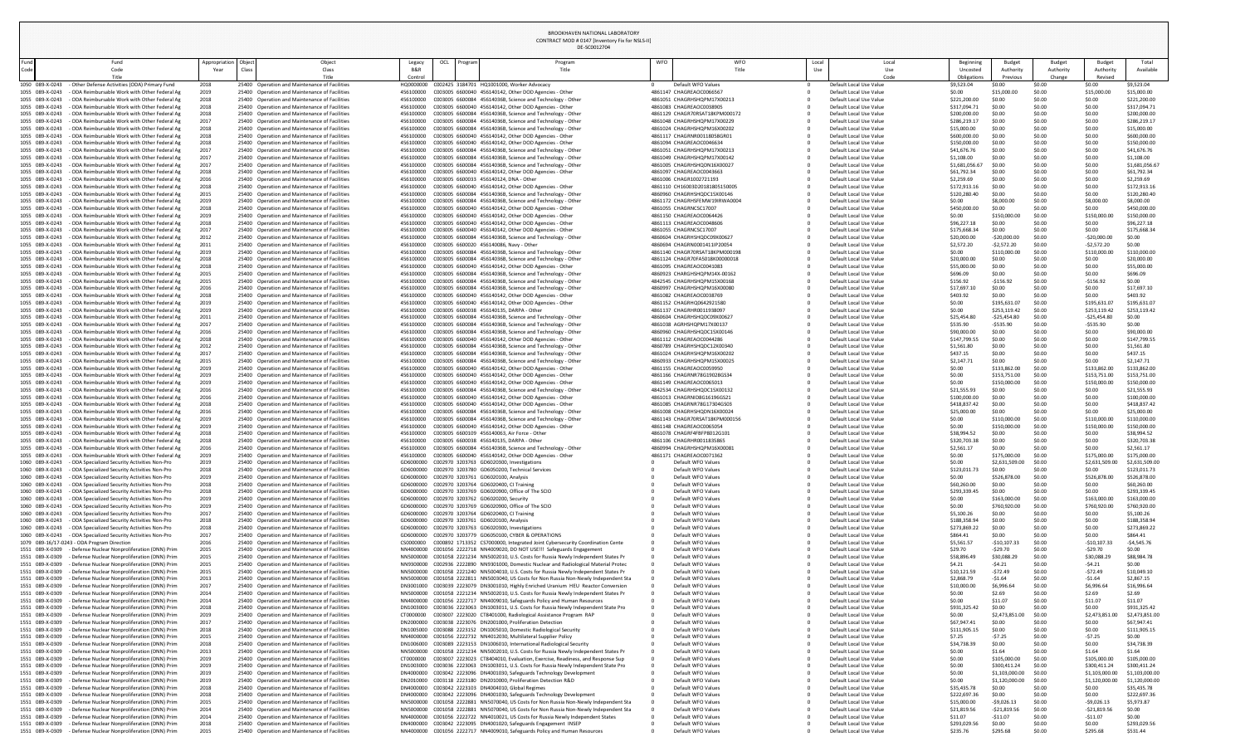| Beginning<br>Uncosted<br>Obligations | <b>Budget</b><br>Authority<br>Previous | <b>Budget</b><br>Authority<br>Change | <b>Budget</b><br>Authority<br>Revised | Total<br>Available           |
|--------------------------------------|----------------------------------------|--------------------------------------|---------------------------------------|------------------------------|
| \$9,523.04<br>\$0.00                 | \$0.00<br>\$15,000.00                  | \$0.00<br>\$0.00                     | \$0.00<br>\$15,000.00                 | \$9,523.04<br>\$15,000.00    |
| \$221,200.00                         | \$0.00                                 | \$0.00                               | \$0.00                                | \$221,200.00                 |
| \$317,094.71                         | \$0.00                                 | \$0.00                               | \$0.00                                | \$317,094.71                 |
| \$200,000.00                         | \$0.00                                 | \$0.00                               | \$0.00                                | \$200,000.00                 |
| \$286,219.17                         | \$0.00                                 | \$0.00                               | \$0.00                                | \$286,219.17                 |
| \$15,000.00                          | \$0.00                                 | \$0.00                               | \$0.00                                | \$15,000.00                  |
| \$600,000.00                         | \$0.00                                 | \$0.00                               | \$0.00                                | \$600,000.00                 |
| \$150,000.00<br>\$41,676.76          | \$0.00<br>\$0.00                       | \$0.00<br>\$0.00                     | \$0.00<br>\$0.00                      | \$150,000.00<br>\$41,676.76  |
| \$1,108.00                           | \$0.00                                 | \$0.00                               | \$0.00                                | \$1,108.00                   |
| \$1,681,056.67                       | \$0.00                                 | \$0.00                               | \$0.00                                | \$1,681,056.67               |
| \$61,792.34                          | \$0.00                                 | \$0.00                               | \$0.00                                | \$61,792.34                  |
| \$2,259.69                           | \$0.00                                 | \$0.00                               | \$0.00                                | \$2,259.69                   |
| \$172,913.16                         | \$0.00                                 | \$0.00                               | \$0.00                                | \$172,913.16                 |
| \$120,280.40<br>\$0.00               | \$0.00<br>\$8,000.00                   | \$0.00<br>\$0.00                     | \$0.00<br>\$8,000.00                  | \$120,280.40<br>\$8,000.00   |
| \$450,000.00                         | \$0.00                                 | \$0.00                               | \$0.00                                | \$450,000.00                 |
| \$0.00                               | \$150,000.00                           | \$0.00                               | \$150,000.00                          | \$150,000.00                 |
| \$96,227.18                          | \$0.00                                 | \$0.00                               | \$0.00                                | \$96,227.18                  |
| \$175,668.34                         | \$0.00                                 | \$0.00                               | \$0.00                                | \$175,668.34                 |
| \$20,000.00                          | $-$20,000.00$                          | \$0.00                               | $-$20,000.00$                         | \$0.00                       |
| \$2,572.20<br>\$0.00                 | $-52,572.20$                           | \$0.00                               | $-52,572.20$                          | \$0.00                       |
| \$20,000.00                          | \$110,000.00<br>\$0.00                 | \$0.00<br>\$0.00                     | \$110,000.00<br>\$0.00                | \$110,000.00<br>\$20,000.00  |
| \$55,000.00                          | \$0.00                                 | \$0.00                               | \$0.00                                | \$55,000.00                  |
| \$696.09                             | \$0.00                                 | \$0.00                               | \$0.00                                | \$696.09                     |
| \$156.92                             | $-$156.92$                             | \$0.00                               | $-$156.92$                            | \$0.00                       |
| \$17,697.10                          | \$0.00                                 | \$0.00                               | \$0.00                                | \$17,697.10                  |
| \$403.92                             | \$0.00                                 | \$0.00                               | \$0.00                                | \$403.92                     |
| \$0.00<br>\$0.00                     | \$195,631.07<br>\$253,119.42           | \$0.00<br>\$0.00                     | \$195,631.07<br>\$253,119.42          | \$195,631.07<br>\$253,119.42 |
| \$25,454.80                          | $-525,454.80$                          | \$0.00                               | $-$25,454.80$                         | \$0.00                       |
| \$535.90                             | $-5535.90$                             | \$0.00                               | $-5535.90$                            | \$0.00                       |
| \$90,000.00                          | \$0.00                                 | \$0.00                               | \$0.00                                | \$90,000.00                  |
| \$147,799.55                         | \$0.00                                 | \$0.00                               | \$0.00                                | \$147,799.55                 |
| \$1,561.80                           | \$0.00                                 | \$0.00                               | \$0.00                                | \$1,561.80                   |
| \$437.15                             | \$0.00                                 | \$0.00                               | \$0.00                                | \$437.15                     |
| \$2,147.71<br>\$0.00                 | \$0.00<br>\$133,862.00                 | \$0.00<br>\$0.00                     | \$0.00<br>\$133,862.00                | \$2,147.71<br>\$133,862.00   |
| \$0.00                               | \$153,751.00                           | \$0.00                               | \$153,751.00                          | \$153,751.00                 |
| \$0.00                               | \$150,000.00                           | \$0.00                               | \$150,000.00                          | \$150,000.00                 |
| \$21,555.93                          | \$0.00                                 | \$0.00                               | \$0.00                                | \$21,555.93                  |
| \$100,000.00                         | \$0.00                                 | \$0.00                               | \$0.00                                | \$100,000.00                 |
| \$418,837.42                         | \$0.00                                 | \$0.00                               | \$0.00                                | \$418,837.42                 |
| \$25,000.00                          | \$0.00                                 | \$0.00                               | \$0.00                                | \$25,000.00                  |
| \$0.00<br>\$0.00                     | \$110,000.00<br>\$150,000.00           | \$0.00<br>\$0.00                     | \$110,000.00<br>\$150,000.00          | \$110,000.00<br>\$150,000.00 |
| \$38,994.52                          | \$0.00                                 | \$0.00                               | \$0.00                                | \$38,994.52                  |
| \$320,703.38                         | \$0.00                                 | \$0.00                               | \$0.00                                | \$320,703.38                 |
| \$2,561.17                           | \$0.00                                 | \$0.00                               | \$0.00                                | \$2,561.17                   |
| \$0.00                               | \$175,000.00                           | \$0.00                               | \$175,000.00                          | \$175,000.00                 |
| \$0.00                               | \$2,631,509.00                         | \$0.00                               | \$2,631,509.00                        | \$2,631,509.00               |
| \$123,011.73<br>\$0.00               | \$0.00<br>\$526,878.00                 | \$0.00<br>\$0.00                     | \$0.00<br>\$526,878.00                | \$123,011.73<br>\$526,878.00 |
| \$60,260.00                          | \$0.00                                 | \$0.00                               | \$0.00                                | \$60,260.00                  |
| \$293,339.45                         | \$0.00                                 | \$0.00                               | \$0.00                                | \$293,339.45                 |
| \$0.00                               | \$163,000.00                           | \$0.00                               | \$163,000.00                          | \$163,000.00                 |
| \$0.00                               | \$760,920.00                           | \$0.00                               | \$760,920.00                          | \$760,920.00                 |
| \$5,100.26                           | \$0.00<br>\$0.00                       | \$0.00<br>\$0.00                     | \$0.00<br>\$0.00                      | \$5,100.26<br>\$188,358.94   |
| \$188,358.94<br>\$273,869.22         | \$0.00                                 | \$0.00                               | \$0.00                                | \$273,869.22                 |
| \$864.41                             | \$0.00                                 | \$0.00                               | \$0.00                                | \$864.41                     |
| \$5,561.57                           | $-$10,107.33$                          | \$0.00                               | $-$10,107.33$                         | $-$4,545.76$                 |
| \$29.70                              | $-529.70$                              | \$0.00                               | $-529.70$                             | \$0.00                       |
| \$58,896.49                          | \$30,088.29                            | \$0.00                               | \$30,088.29                           | \$88,984.78                  |
| \$4.21<br>\$10,121.59                | $-54.21$<br>$-572.49$                  | \$0.00<br>\$0.00                     | $-54.21$<br>$-572.49$                 | \$0.00<br>\$10,049.10        |
| \$2,868.79                           | $-51.64$                               | \$0.00                               | $-51.64$                              | \$2,867.15                   |
| \$10,000.00                          | \$6,996.64                             | \$0.00                               | \$6,996.64                            | \$16,996.64                  |
| \$0.00                               | \$2.69                                 | \$0.00                               | \$2.69                                | \$2.69                       |
| \$0.00                               | \$11.07                                | \$0.00                               | \$11.07                               | \$11.07                      |
| \$931,325.42                         | \$0.00                                 | \$0.00                               | \$0.00                                | \$931,325.42                 |
| \$0.00                               | \$2,473,851.00                         | \$0.00                               | \$2,473,851.00                        | \$2,473,851.00               |
| \$67,947.41<br>\$111,905.15          | \$0.00<br>\$0.00                       | \$0.00<br>\$0.00                     | \$0.00<br>\$0.00                      | \$67,947.41<br>\$111,905.15  |
| \$7.25                               | $-57.25$                               | \$0.00                               | $-57.25$                              | \$0.00                       |
| \$34,738.39                          | \$0.00                                 | \$0.00                               | \$0.00                                | \$34,738.39                  |
| \$0.00                               | \$1.64                                 | \$0.00                               | \$1.64                                | \$1.64                       |
| \$0.00                               | \$105,000.00                           | \$0.00                               | \$105,000.00                          | \$105,000.00                 |
| \$0.00                               | \$300,411.24                           | \$0.00                               | \$300,411.24                          | \$300,411.24                 |
| \$0.00                               | \$1,103,000.00                         | \$0.00                               | \$1,103,000.00                        | \$1,103,000.00               |
| \$0.00                               | \$1,120,000.00                         | \$0.00                               | \$1,120,000.00                        | \$1,120,000.00               |
| \$35,435.78<br>\$222,697.36          | \$0.00<br>\$0.00                       | \$0.00<br>\$0.00                     | \$0.00<br>\$0.00                      | \$35,435.78<br>\$222,697.36  |
| \$15,000.00                          | $-59,026.13$                           | \$0.00                               | $-59,026.13$                          | \$5,973.87                   |
| \$21,819.56                          | $-521,819.56$                          | \$0.00                               | $-521,819.56$                         | \$0.00                       |
| \$11.07                              | $-$11.07$                              | \$0.00                               | $-$11.07$                             | \$0.00                       |
| \$293,029.56<br>$\lambda$            | \$0.00<br>Anne co                      | \$0.00<br>40.00                      | \$0.00<br>$\overline{a}$              | \$293,029.56<br>$A = 24$     |
|                                      |                                        |                                      |                                       |                              |

|                                    |                                                                                                |                       |                                                                                                |                        |                | DE-SC0012704                                                                                                                                                                  |            |                                                                |              |                                                    |                                      |                                 |                                      |                                       |                               |
|------------------------------------|------------------------------------------------------------------------------------------------|-----------------------|------------------------------------------------------------------------------------------------|------------------------|----------------|-------------------------------------------------------------------------------------------------------------------------------------------------------------------------------|------------|----------------------------------------------------------------|--------------|----------------------------------------------------|--------------------------------------|---------------------------------|--------------------------------------|---------------------------------------|-------------------------------|
| -und<br>Code                       | Fund<br>Code<br>Title                                                                          | Appropriation<br>Year | Object<br>Class<br>Title                                                                       | Legacy<br>Control      | OCL<br>Progran | Program                                                                                                                                                                       | <b>WFO</b> | <b>WFO</b><br>Title                                            | Local<br>Use | Local<br>Use<br>Code                               | Beginning<br>Uncosted<br>Obligations | Budget<br>Authority<br>Previous | <b>Budget</b><br>Authority<br>Change | <b>Budget</b><br>Authority<br>Revised | Total<br>Available            |
|                                    | 1050 089-X-0243 - Other Defense Activities (ODA) Primary Fund                                  | 2018                  | 25400 Operation and Maintenance of Facilities                                                  |                        |                | HQ0000000 C002425 3184701 HQ1001000, Worker Advocacy                                                                                                                          |            | Default WFO Values                                             |              | Default Local Use Value                            | \$9,523.04                           | \$0.00                          | \$0.00                               | \$0.00                                | \$9,523.04                    |
| 1055 089-X-0243<br>1055 089-X-0243 | - ODA Reimbursable Work with Other Federal Ag<br>- ODA Reimbursable Work with Other Federal Ag | 2019<br>2018          | 25400 Operation and Maintenance of Facilities<br>25400 Operation and Maintenance of Facilities | 456100000<br>456100000 |                | C003005 6600040 456140142, Other DOD Agencies - Other<br>C003005 6600084 45614036B, Science and Technology - Other                                                            |            | 4861147 CHAGREAOC0066567<br>4861051 CHAGRHSHQPM17X00213        |              | Default Local Use Value<br>Default Local Use Value | \$0.00<br>\$221,200.0                | \$15,000.0<br>\$0.00            | \$0.00<br>\$0.00                     | \$15,000.00<br>\$0.00                 | \$15,000.00<br>\$221,200.0    |
| 1055 089-X-0243                    | - ODA Reimbursable Work with Other Federal Ag                                                  | 2018                  | 25400 Operation and Maintenance of Facilities                                                  | 456100000              |                | C003005 6600040 456140142, Other DOD Agencies - Other                                                                                                                         |            | 4861083 CHAGREAOC0038905                                       |              | Default Local Use Value                            | \$317,094.7                          | \$0.00                          | \$0.00                               | \$0.00                                | \$317,094.7                   |
| 1055 089-X-0243                    | - ODA Reimbursable Work with Other Federal Ag                                                  | 2018                  | 25400 Operation and Maintenance of Facilities                                                  | 456100000              |                | C003005 6600084 45614036B, Science and Technology - Other                                                                                                                     |            | 4861129 CHAGR70RSAT18KPM000172                                 |              | Default Local Use Value                            | \$200,000.00                         | \$0.00                          | \$0.00                               | \$0.00                                | \$200,000.00                  |
| 1055 089-X-0243                    | - ODA Reimbursable Work with Other Federal Ag                                                  | 2017                  | 25400 Operation and Maintenance of Facilities                                                  | 456100000              |                | C003005 6600084 45614036B, Science and Technology - Other                                                                                                                     |            | 4861048 CHAGRHSHQPM17X00229                                    |              | Default Local Use Value                            | \$286,219.17                         | \$0.00                          | \$0.00                               | \$0.00                                | \$286,219.17                  |
| 1055 089-X-0243<br>1055 089-X-0243 | - ODA Reimbursable Work with Other Federal Ag<br>- ODA Reimbursable Work with Other Federal Ag | 2018                  | 25400 Operation and Maintenance of Facilities<br>25400 Operation and Maintenance of Facilities | 456100000<br>456100000 |                | C003005 6600084 45614036B, Science and Technology - Other<br>C003005 6600040 456140142, Other DOD Agencies - Other                                                            |            | 4861024 CHAGRHSHQPM16X00202<br>4861117 CHAGRNR00118058GR01     |              | Default Local Use Value<br>Default Local Use Value | \$15,000.00<br>\$600,000.0           | \$0.00<br>\$0.00                | \$0.00<br>\$0.00                     | \$0.00<br>\$0.00                      | \$15,000.00<br>\$600,000.0    |
| 1055 089-X-0243                    | - ODA Reimbursable Work with Other Federal Ag                                                  | 2018<br>2018          | 25400 Operation and Maintenance of Facilities                                                  | 456100000              |                | C003005 6600040 456140142, Other DOD Agencies - Other                                                                                                                         |            | 4861094 CHAGREAOC0046634                                       |              | Default Local Use Value                            | \$150,000.00                         | \$0.00                          | \$0.00                               | \$0.00                                | \$150,000.0                   |
| 1055 089-X-0243                    | - ODA Reimbursable Work with Other Federal Ag                                                  | 2017                  | 25400 Operation and Maintenance of Facilities                                                  | 456100000              |                | C003005 6600084 45614036B, Science and Technology - Other                                                                                                                     |            | 4861051 CHAGRHSHQPM17X00213                                    |              | Default Local Use Value                            | \$41,676.76                          | \$0.00                          | \$0.00                               | \$0.00                                | \$41,676.76                   |
| 1055 089-X-0243                    | - ODA Reimbursable Work with Other Federal Ag                                                  | 2017                  | 25400 Operation and Maintenance of Facilities                                                  | 456100000              |                | C003005 6600084 45614036B, Science and Technology - Other                                                                                                                     |            | 4861049 CHAGRHSHQPM17X00142                                    |              | Default Local Use Value                            | \$1,108.00                           | \$0.00                          | \$0.00                               | \$0.00                                | \$1,108.00                    |
| 1055 089-X-0243                    | - ODA Reimbursable Work with Other Federal Ag<br>- ODA Reimbursable Work with Other Federal Ag | 2017                  | 25400 Operation and Maintenance of Facilities<br>25400 Operation and Maintenance of Facilities | 456100000<br>456100000 |                | C003005 6600084 45614036B, Science and Technology - Other<br>C003005 6600040 456140142, Other DOD Agencies - Other                                                            |            | 4861005 CHAGRHSHQDN16X00027<br>4861097 CHAGREAOC0043663        |              | Default Local Use Value                            | \$1,681,056.67                       | \$0.00<br>\$0.00                | \$0.00                               | \$0.00<br>\$0.00                      | \$1,681,056.67<br>\$61,792.34 |
| 1055 089-X-0243<br>1055 089-X-0243 | - ODA Reimbursable Work with Other Federal Ag                                                  | 2018<br>2016          | 25400 Operation and Maintenance of Facilities                                                  | 456100000              |                | C003005 6600033 456140124, DNA - Other                                                                                                                                        |            | 4861006 CHAGR1002721193                                        |              | Default Local Use Value<br>Default Local Use Value | \$61,792.34<br>\$2,259.69            | \$0.00                          | \$0.00<br>\$0.00                     | \$0.00                                | \$2,259.69                    |
| 1055 089-X-0243                    | - ODA Reimbursable Work with Other Federal Ag                                                  | 2018                  | 25400 Operation and Maintenance of Facilities                                                  | 456100000              |                | C003005 6600040 456140142, Other DOD Agencies - Other                                                                                                                         |            | 4861110 CH16003D20181805150005                                 |              | Default Local Use Value                            | \$172,913.1                          | \$0.00                          | \$0.00                               | \$0.00                                | \$172,913.16                  |
| 1055 089-X-0243                    | - ODA Reimbursable Work with Other Federal Ag                                                  | 2015                  | 25400 Operation and Maintenance of Facilities                                                  | 456100000              |                | C003005 6600084 45614036B, Science and Technology - Other                                                                                                                     |            | 4860960 CHAGRHSHQDC15X00146                                    |              | Default Local Use Value                            | \$120,280.4                          | \$0.00                          | \$0.00                               | \$0.00                                | \$120,280.4                   |
| 1055 089-X-0243                    | - ODA Reimbursable Work with Other Federal Ag                                                  | 2019                  | 25400 Operation and Maintenance of Facilities                                                  | 456100000              |                | C003005 6600084 45614036B, Science and Technology - Other                                                                                                                     |            | 4861172 CHAGRHSFEMW19IRWA0004<br>4861055 CHAGRNCSC17007        |              | Default Local Use Value                            | \$0.00                               | \$8,000.00<br>\$0.00            | \$0.00                               | \$8,000.0                             | \$8,000.00<br>\$450,000.0     |
| 1055 089-X-0243<br>1055 089-X-0243 | - ODA Reimbursable Work with Other Federal Ag<br>- ODA Reimbursable Work with Other Federal Ag | 2018<br>2019          | 25400 Operation and Maintenance of Facilities<br>25400 Operation and Maintenance of Facilities | 456100000<br>456100000 |                | C003005 6600040 456140142, Other DOD Agencies - Other<br>C003005 6600040 456140142, Other DOD Agencies - Other                                                                |            | 4861150 CHAGREAOC0064426                                       |              | Default Local Use Value<br>Default Local Use Value | \$450,000.0<br>\$0.00                | \$150,000                       | \$0.00<br>\$0.00                     | \$0.00<br>\$150,000.0                 | \$150,000.0                   |
| 1055 089-X-0243                    | - ODA Reimbursable Work with Other Federal Ag                                                  | 2018                  | 25400 Operation and Maintenance of Facilities                                                  | 456100000              |                | C003005 6600040 456140142, Other DOD Agencies - Other                                                                                                                         |            | 4861113 CHAGREAOC0048606                                       |              | Default Local Use Value                            | \$96,227.18                          | \$0.00                          | \$0.00                               | \$0.00                                | \$96,227.18                   |
| 1055 089-X-0243                    | - ODA Reimbursable Work with Other Federal Ag                                                  | 2017                  | 25400 Operation and Maintenance of Facilities                                                  | 456100000              |                | C003005 6600040 456140142, Other DOD Agencies - Other                                                                                                                         |            | 4861055 CHAGRNCSC17007                                         |              | Default Local Use Value                            | \$175,668.                           | \$0.00                          | \$0.00                               | \$0.00                                | \$175,668.3                   |
| 1055 089-X-0243                    | - ODA Reimbursable Work with Other Federal Ag                                                  | 2012                  | 25400 Operation and Maintenance of Facilities                                                  | 456100000              |                | C003005 6600084 45614036B, Science and Technology - Other                                                                                                                     |            | 4860604 CHAGRHSHQDC09X00627                                    |              | Default Local Use Value                            | \$20,000.00                          | $-520,000.00$                   | \$0.00                               | $-520,000.00$                         | \$0.00                        |
| 1055 089-X-0243<br>1055 089-X-0243 | - ODA Reimbursable Work with Other Federal Ag<br>- ODA Reimbursable Work with Other Federal Ag | 2011<br>2019          | 25400 Operation and Maintenance of Facilities<br>25400 Operation and Maintenance of Facilities | 456100000<br>456100000 |                | C003005 6600020 456140086, Navy - Other<br>C003005 6600084 45614036B, Science and Technology - Other                                                                          |            | 4860694 CHAGRN0001411IP20054<br>4861140 CHAGR70RSAT18KPM000198 |              | Default Local Use Value<br>Default Local Use Value | \$2,572.20<br>\$0.00                 | $-52,572.20$<br>\$110,000.00    | \$0.00<br>\$0.00                     | $-52,572.20$<br>\$110,000.00          | \$0.00<br>\$110,000.0         |
| 1055 089-X-0243                    | - ODA Reimbursable Work with Other Federal Ag                                                  | 2018                  | 25400 Operation and Maintenance of Facilities                                                  | 456100000              |                | C003005 6600084 45614036B, Science and Technology - Other                                                                                                                     |            | 4861124 CHAGR70FA5018K00000018                                 |              | Default Local Use Value                            | \$20,000.00                          | \$0.00                          | \$0.00                               | \$0.00                                | \$20,000.00                   |
| 1055 089-X-0243                    | - ODA Reimbursable Work with Other Federal Ag                                                  | 2018                  | 25400 Operation and Maintenance of Facilities                                                  | 456100000              |                | C003005 6600040 456140142, Other DOD Agencies - Other                                                                                                                         |            | 4861095 CHAGREAOC0041083                                       |              | Default Local Use Value                            | \$55,000.00                          | \$0.00                          | \$0.00                               | \$0.00                                | \$55,000.00                   |
|                                    | 1055 089-X-0243 - ODA Reimbursable Work with Other Federal Ag                                  | 2015                  | 25400 Operation and Maintenance of Facilities                                                  |                        |                |                                                                                                                                                                               |            | 4860923 CHARGHSHQPM14X-00162                                   |              | Default Local Use Value                            | \$696.09                             | \$0.00                          |                                      | \$0.00                                | \$696.09                      |
| 1055 089-X-0243<br>1055 089-X-0243 | - ODA Reimbursable Work with Other Federal Ag<br>- ODA Reimbursable Work with Other Federal Ag | 2015<br>2016          | 25400 Operation and Maintenance of Facilities<br>25400 Operation and Maintenance of Facilities | 456100000<br>456100000 |                | C003005 6600084 45614036B, Science and Technology - Other<br>C003005 6600084 45614036B, Science and Technology - Other                                                        |            | 4842545 CHAGRHSHQPM15X00168<br>4860997 CHAGRHSHQPM16X00080     |              | Default Local Use Value<br>Default Local Use Value | \$156.92<br>\$17,697.10              | -\$156.92<br>\$0.00             | \$0.00<br>\$0.00                     | $-$156.92$<br>\$0.00                  | \$0.00<br>\$17,697.10         |
| 1055 089-X-0243                    | - ODA Reimbursable Work with Other Federal Ag                                                  | 2018                  | 25400 Operation and Maintenance of Facilities                                                  | 456100000              |                | C003005 6600040 456140142, Other DOD Agencies - Other                                                                                                                         |            | 4861082 CHAGREAOC0038769                                       |              | Default Local Use Value                            | \$403.92                             | \$0.00                          | \$0.00                               | \$0.00                                | \$403.92                      |
| 1055 089-X-0243                    | - ODA Reimbursable Work with Other Federal Ag                                                  | 2019                  | 25400 Operation and Maintenance of Facilities                                                  | 456100000              |                | C003005 6600040 456140142, Other DOD Agencies - Other                                                                                                                         |            | 4861152 CHAGRHQ0642921580                                      |              | Default Local Use Value                            | \$0.00                               | \$195,631                       | \$0.00                               | \$195,631.07                          | \$195,631.0                   |
| 1055 089-X-0243                    | - ODA Reimbursable Work with Other Federal Ag                                                  | 2019                  | 25400 Operation and Maintenance of Facilities                                                  | 456100000              |                | C003005 6600038 456140135, DARPA - Other                                                                                                                                      |            | 4861137 CHAGRHR0011938097                                      |              | Default Local Use Value                            | \$0.00                               | \$253,119.42                    | \$0.00                               | \$253,119.42                          | \$253,119.4                   |
| 1055 089-X-0243<br>1055 089-X-0243 | - ODA Reimbursable Work with Other Federal Ag                                                  | 2011                  | 25400 Operation and Maintenance of Facilities<br>25400 Operation and Maintenance of Facilities | 456100000<br>456100000 |                | C003005 6600084 45614036B, Science and Technology - Other<br>C003005 6600084 45614036B, Science and Technology - Other                                                        |            | 4860604 CHAGRHSHQDC09X00627<br>4861038 AGRHSHQPM17X00137       |              | Default Local Use Value<br>Default Local Use Value | \$25,454.80                          | $-525,454.80$<br>-\$535.90      | \$0.00                               | $-$ \$25,454.80<br>$-$ \$535.90       | \$0.00<br>\$0.00              |
| 1055 089-X-0243                    | - ODA Reimbursable Work with Other Federal Ag<br>- ODA Reimbursable Work with Other Federal Ag | 2017<br>2016          | 25400 Operation and Maintenance of Facilities                                                  | 456100000              |                | C003005 6600084 45614036B, Science and Technology - Other                                                                                                                     |            | 4860960 CHAGRHSHODC15X00146                                    |              | Default Local Use Value                            | \$535.90<br>\$90,000.00              | \$0.00                          | \$0.00<br>\$0.00                     | \$0.00                                | \$90,000.00                   |
| 1055 089-X-0243                    | - ODA Reimbursable Work with Other Federal Ag                                                  | 2018                  | 25400 Operation and Maintenance of Facilities                                                  | 456100000              |                | C003005 6600040 456140142, Other DOD Agencies - Other                                                                                                                         |            | 4861112 CHAGREAOC0044286                                       |              | Default Local Use Value                            | \$147,799.5                          | \$0.00                          | \$0.00                               | \$0.00                                | \$147,799.5                   |
| 1055 089-X-0243                    | - ODA Reimbursable Work with Other Federal Ag                                                  | 2012                  | 25400 Operation and Maintenance of Facilities                                                  | 456100000              |                | C003005 6600084 45614036B, Science and Technology - Other                                                                                                                     |            | 4860789 CHAGRHSHQDC12X00340                                    |              | Default Local Use Value                            | \$1,561.80                           | \$0.00                          | \$0.00                               | \$0.00                                | \$1,561.80                    |
| 1055 089-X-0243<br>1055 089-X-0243 | - ODA Reimbursable Work with Other Federal Ag<br>- ODA Reimbursable Work with Other Federal Ag | 2017<br>2015          | 25400 Operation and Maintenance of Facilities<br>25400 Operation and Maintenance of Facilities | 456100000<br>456100000 |                | C003005 6600084 45614036B, Science and Technology - Other<br>C003005 6600084 45614036B, Science and Technology - Other                                                        |            | 4861024 CHAGRHSHQPM16X00202<br>4860933 CHAGRHSHQPM15X00025     |              | Default Local Use Value                            | \$437.15<br>\$2,147.                 | \$0.00<br>\$0.00                | \$0.00<br>\$0.00                     | \$0.00<br>\$0.00                      | \$437.15<br>\$2,147.71        |
| 1055 089-X-0243                    | - ODA Reimbursable Work with Other Federal Ag                                                  | 2019                  | 25400 Operation and Maintenance of Facilities                                                  | 456100000              |                | C003005 6600040 456140142, Other DOD Agencies - Other                                                                                                                         |            | 4861155 CHAGREAOC0059950                                       |              | Default Local Use Value<br>Default Local Use Value | \$0.00                               | \$133,862.00                    | \$0.00                               | \$133,862.00                          | \$133,862.0                   |
| 1055 089-X-0243                    | - ODA Reimbursable Work with Other Federal Ag                                                  | 2019                  | 25400 Operation and Maintenance of Facilities                                                  | 456100000              |                | C003005 6600040 456140142, Other DOD Agencies - Other                                                                                                                         |            | 4861166 CHAGRNR78G19028GS34                                    |              | Default Local Use Value                            | \$0.00                               | \$153,751.00                    | \$0.00                               | \$153,751.00                          | \$153,751.0                   |
| 1055 089-X-0243                    | - ODA Reimbursable Work with Other Federal Ag                                                  | 2019                  | 25400 Operation and Maintenance of Facilities                                                  | 456100000              |                | C003005 6600040 456140142, Other DOD Agencies - Other                                                                                                                         |            | 4861149 CHAGREAOC0065013                                       |              | Default Local Use Value                            | \$0.00                               | \$150,000.00                    | \$0.00                               | \$150,000.00                          | \$150,000.00                  |
| 1055 089-X-0243                    | - ODA Reimbursable Work with Other Federal Ag                                                  | 2016                  | 25400 Operation and Maintenance of Facilities<br>25400 Operation and Maintenance of Facilities | 456100000<br>456100000 |                | C003005 6600084 45614036B, Science and Technology - Other                                                                                                                     |            | 4842534 CHAGRHSHQDC15X00132<br>4861013 CHAGRNID8G16196GS21     |              | Default Local Use Value                            | \$21,555.93                          | \$0.00<br>\$0.00                | \$0.00                               | \$0.00                                | \$21,555.93<br>\$100,000.0    |
| 1055 089-X-0243<br>1055 089-X-0243 | - ODA Reimbursable Work with Other Federal Ag<br>- ODA Reimbursable Work with Other Federal Ag | 2016<br>2018          | 25400 Operation and Maintenance of Facilities                                                  | 456100000              |                | C003005 6600040 456140142, Other DOD Agencies - Other<br>C003005 6600040 456140142, Other DOD Agencies - Other                                                                |            | 4861085 CHAGRNR78G17304GS03                                    |              | Default Local Use Value<br>Default Local Use Value | \$100,000.00<br>\$418,837.42         | \$0.00                          | \$0.00<br>\$0.00                     | \$0.00<br>\$0.00                      | \$418,837.4                   |
| 1055 089-X-0243                    | - ODA Reimbursable Work with Other Federal Ag                                                  | 2016                  | 25400 Operation and Maintenance of Facilities                                                  | 456100000              |                | C003005 6600084 45614036B, Science and Technology - Other                                                                                                                     |            | 4861008 CHAGRHSHQDN16X00024                                    |              | Default Local Use Value                            | \$25,000.00                          | \$0.00                          | \$0.00                               | \$0.00                                | \$25,000.00                   |
| 1055 089-X-0243                    | - ODA Reimbursable Work with Other Federal Ag                                                  | 2019                  | 25400 Operation and Maintenance of Facilities                                                  | 456100000              |                | C003005 6600084 45614036B, Science and Technology - Other                                                                                                                     |            | 4861143 CHAGR70RSAT18KPM000156                                 |              | Default Local Use Value                            | \$0.00                               | \$110,000.00                    | \$0.00                               | \$110,000.00                          | \$110,000.00                  |
| 1055 089-X-0243                    | - ODA Reimbursable Work with Other Federal Ag                                                  | 2019                  | 25400 Operation and Maintenance of Facilities                                                  | 456100000              |                | C003005 6600040 456140142, Other DOD Agencies - Other                                                                                                                         |            | 4861148 CHAGREAOC0065054                                       |              | Default Local Use Value                            | \$0.00                               | \$150,000.0                     | \$0.00                               | \$150,000.00                          | \$150,000.00                  |
| 1055 089-X-0243<br>1055 089-X-0243 | - ODA Reimbursable Work with Other Federal Ag<br>- ODA Reimbursable Work with Other Federal Ag | 2018<br>2018          | 25400 Operation and Maintenance of Facilities<br>25400 Operation and Maintenance of Facilities | 456100000<br>456100000 |                | C003005 6600109 456140063, Air Force - Other<br>C003005 6600038 456140135, DARPA - Other                                                                                      |            | 4861078 CHAGRF4FBFP8012G101<br>4861106 CHAGRHR0011835865       |              | Default Local Use Value<br>Default Local Use Value | \$38,994.52<br>\$320,703.3           | \$0.00<br>\$0.00                | \$0.00<br>\$0.00                     | \$0.00<br>\$0.00                      | \$38,994.52<br>\$320,703.3    |
| 1055 089-X-0243                    | - ODA Reimbursable Work with Other Federal Ag                                                  | 2016                  | 25400 Operation and Maintenance of Facilities                                                  | 456100000              |                | C003005 6600084 45614036B, Science and Technology - Other                                                                                                                     |            | 4860994 CHAGRHSHQPM16X00081                                    |              | Default Local Use Value                            | \$2,561.17                           | \$0.00                          |                                      | \$0.00                                | \$2,561.17                    |
| 1055 089-X-0243                    | - ODA Reimbursable Work with Other Federal Ag                                                  | 2019                  | 25400 Operation and Maintenance of Facilities                                                  | 456100000              |                | C003005 6600040 456140142, Other DOD Agencies - Other                                                                                                                         |            | 4861171 CHAGREAOC0071362                                       |              | Default Local Use Value                            | \$0.00                               | \$175,000.00                    | \$0.00                               | \$175,000.00                          | \$175,000.00                  |
| 1060 089-X-0243                    | - ODA Specialized Security Activities Non-Pro                                                  | 2019                  | 25400 Operation and Maintenance of Facilities                                                  | GD6000000              |                | C002970 3203763 GD6020300, Investigations                                                                                                                                     |            | Default WFO Values                                             |              | Default Local Use Value                            | \$0.00                               | \$2,631,509.00                  | \$0.00                               | \$2,631,509.                          | \$2,631,509.00                |
| 1060 089-X-0243<br>1060 089-X-0243 | - ODA Specialized Security Activities Non-Pro<br>- ODA Specialized Security Activities Non-Pro | 2018<br>2019          | 25400 Operation and Maintenance of Facilities<br>25400 Operation and Maintenance of Facilities | GD6000000<br>GD6000000 |                | C002970 3203780 GD6050200, Technical Services<br>C002970 3203761 GD6020100, Analysis                                                                                          |            | Default WFO Values<br>Default WFO Values                       |              | Default Local Use Value<br>Default Local Use Value | \$123,011.<br>\$0.00                 | \$0.00<br>\$526,878             | \$0.00<br>\$0.00                     | \$0.00<br>\$526,878.00                | \$123,011.73<br>\$526,878.00  |
| 1060 089-X-0243                    | - ODA Specialized Security Activities Non-Pro                                                  | 2018                  | 25400 Operation and Maintenance of Facilities                                                  |                        |                | GD6000000 C002970 3203764 GD6020400, CI Training                                                                                                                              |            | Default WFO Values                                             |              | Default Local Use Value                            | \$60,260.00                          | \$0.00                          | \$0.00                               | \$0.00                                | \$60,260.00                   |
| 1060 089-X-0243                    | - ODA Specialized Security Activities Non-Pro                                                  | 2018                  | 25400 Operation and Maintenance of Facilities                                                  | GD6000000              |                | C002970 3203769 GD6020900, Office of The SCIO                                                                                                                                 |            | Default WFO Values                                             |              | Default Local Use Value                            | \$293,339.4                          | \$0.00                          | \$0.00                               | \$0.00                                | \$293,339.4                   |
|                                    | 1060 089-X-0243 - ODA Specialized Security Activities Non-Pro                                  |                       | 25400 Operation and Maintenance of Facilities                                                  | GD6000000              |                | C002970 3203762 GD6020200, Security                                                                                                                                           |            | Default WFO Values                                             |              | Default Local Use Value                            |                                      | \$163,000.00                    |                                      | \$163,000.00                          | \$163,000.00                  |
| 1060 089-X-0243<br>1060 089-X-0243 | - ODA Specialized Security Activities Non-Pro<br>- ODA Specialized Security Activities Non-Pro | 2019<br>2017          | 25400 Operation and Maintenance of Facilities<br>25400 Operation and Maintenance of Facilities | GD6000000              |                | C002970 3203769 GD6020900, Office of The SCIO<br>C002970 3203764 GD6020400, CI Training                                                                                       |            | Default WFO Values<br>Default WFO Values                       |              | Default Local Use Value<br>Default Local Use Value | \$0.00<br>\$5,100.26                 | \$760,920<br>\$0.00             | \$0.00<br>\$0.00                     | \$760,920.0<br>\$0.00                 | \$760,920.00<br>\$5,100.26    |
| 1060 089-X-0243                    | - ODA Specialized Security Activities Non-Pro                                                  | 2018                  | 25400 Operation and Maintenance of Facilities                                                  | GD6000000              |                | C002970 3203761 GD6020100, Analysis                                                                                                                                           |            | Default WFO Values                                             |              | Default Local Use Value                            | \$188,358.9                          | \$0.00                          | \$0.00                               | \$0.00                                | \$188,358.9                   |
| 1060 089-X-0243                    | - ODA Specialized Security Activities Non-Pro                                                  | 2018                  | 25400 Operation and Maintenance of Facilities                                                  | GD6000000              |                | C002970 3203763 GD6020300, Investigations                                                                                                                                     |            | Default WFO Values                                             |              | Default Local Use Value                            | \$273,869.2                          | \$0.00                          | \$0.00                               | \$0.00                                | \$273,869.2                   |
| 1060 089-X-0243                    | - ODA Specialized Security Activities Non-Pro                                                  | 2017                  | 25400 Operation and Maintenance of Facilities                                                  | GD6000000              |                | C002970 3203779 GD6050100, CYBER & OPERATIONS                                                                                                                                 |            | Default WFO Values                                             |              | Default Local Use Value                            | \$864.41                             | \$0.00                          | \$0.00                               | \$0.00                                | \$864.41                      |
| 1551 089-X-0309                    | 1079 089-16/17-0243 - ODA Program Direction<br>- Defense Nuclear Nonproliferation (DNN) Prim   | 2016<br>2015          | 25400 Operation and Maintenance of Facilities<br>25400 Operation and Maintenance of Facilities | CS0000000              |                | C000892 1713352 CS7000000, Integrated Joint Cybersecurity Coordination Cente<br>NN4000000 C001056 2222718 NN4009020, DO NOT USE!!! Safeguards Engagement                      |            | Default WFO Values<br>Default WFO Values                       |              | Default Local Use Value                            | \$5,561.<br>\$29.70                  | $-510,107$<br>$-529.70$         | \$0.00<br>\$0.00                     | $-510,107.$<br>$-529.70$              | $-54,545.76$<br>\$0.00        |
| 1551 089-X-0309                    | - Defense Nuclear Nonproliferation (DNN) Prim                                                  | 2015                  | 25400 Operation and Maintenance of Facilities                                                  |                        |                | NN5000000 C001058 2221234 NN5002010, U.S. Costs for Russia Newly Independent States Pr                                                                                        |            | Default WFO Values                                             |              | Default Local Use Value<br>Default Local Use Value | \$58,896.49                          | \$30,088.2                      | \$0.00                               | \$30,088.2                            | \$88,984.78                   |
| 1551 089-X-0309                    | - Defense Nuclear Nonproliferation (DNN) Prim                                                  | 2015                  | 25400 Operation and Maintenance of Facilities                                                  |                        |                | NN9300000 C002936 2222890 NN9301000, Domestic Nuclear and Radiological Material Protec                                                                                        |            | Default WFO Values                                             |              | Default Local Use Value                            | \$4.21                               | $-54.21$                        | \$0.00                               | -\$4.21                               | \$0.00                        |
| 1551 089-X-0309                    | - Defense Nuclear Nonproliferation (DNN) Prim                                                  | 2015                  | 25400 Operation and Maintenance of Facilities                                                  |                        |                | NN5000000 C001058 2221240 NN5004010, U.S. Costs for Russia Newly Independent States Pr                                                                                        |            | Default WFO Values                                             |              | Default Local Use Value                            | \$10,121.59                          | -\$72.49                        | \$0.00                               | $-572.49$                             | \$10,049.10                   |
| 1551 089-X-0309<br>1551 089-X-0309 | - Defense Nuclear Nonproliferation (DNN) Prim<br>- Defense Nuclear Nonproliferation (DNN) Prim | 2013<br>2017          | 25400 Operation and Maintenance of Facilities<br>25400 Operation and Maintenance of Facilities |                        |                | NN5000000 C001058 2222811 NN5003040, US Costs for Non Russia Non-Newly Independent Sta<br>DN3001000 C003039 2223079 DN3001010, Highly Enriched Uranium HEU Reactor Conversion |            | Default WFO Values<br>Default WFO Values                       |              | Default Local Use Value<br>Default Local Use Value | \$2,868.79<br>\$10,000.0             | -\$1.64<br>\$6,996.64           | \$0.00                               | $-51.64$<br>\$6,996.6                 | \$2,867.15<br>\$16,996.64     |
| 1551 089-X-0309                    | - Defense Nuclear Nonproliferation (DNN) Prim                                                  | 2014                  | 25400 Operation and Maintenance of Facilities                                                  |                        |                | NN5000000 C001058 2221234 NN5002010, U.S. Costs for Russia Newly Independent States Pr                                                                                        |            | Default WFO Values                                             |              | Default Local Use Value                            | \$0.00                               | \$2.69                          | \$0.00                               | \$2.69                                | \$2.69                        |
| 1551 089-X-0309                    | - Defense Nuclear Nonproliferation (DNN) Prim                                                  | 2014                  | 25400 Operation and Maintenance of Facilities                                                  | NN4000000              |                | C001056 2222717 NN4009010, Safeguards Policy and Human Resources                                                                                                              |            | Default WFO Values                                             |              | Default Local Use Value                            | \$0.00                               | \$11.07                         | \$0.00                               | \$11.07                               | \$11.07                       |
| 1551 089-X-0309                    | - Defense Nuclear Nonproliferation (DNN) Prim                                                  | 2018                  | 25400 Operation and Maintenance of Facilities                                                  | DN1003000              |                | C003036 2223063 DN1003011, U.S. Costs for Russia Newly Independent State Pro                                                                                                  |            | Default WFO Values                                             |              | Default Local Use Value                            | \$931,325                            | \$0.00                          | \$0.00                               | \$0.00                                | \$931,325.42                  |
| 1551 089-X-0309                    | - Defense Nuclear Nonproliferation (DNN) Prim<br>Defense Nuclear Nonproliferation (DNN) Prim   | 2019<br>2017          | 25400 Operation and Maintenance of Facilities<br>25400 Operation and Maintenance of Facilities | CT0000000<br>DN2000000 |                | C003007 2223020 CT8401000, Radiological Assistance Program RAP<br>C003038 2223076 DN2001000. Proliferation Detection                                                          |            | Default WFO Values<br>Default WFO Values                       |              | Default Local Use Value                            | \$0.00<br>\$67,947.4                 | \$2,473,85<br>\$0.00            | \$0.00<br>\$0.00                     | \$2,473,85<br>\$0.00                  | \$2,473,851.00<br>\$67,947.41 |
| 1551 089-X-0309<br>1551 089-X-0309 | - Defense Nuclear Nonproliferation (DNN) Prim                                                  | 2018                  | 25400 Operation and Maintenance of Facilities                                                  | DN1005000              |                | C003088 2223152 DN1005010, Domestic Radiological Security                                                                                                                     |            | Default WFO Values                                             |              | Default Local Use Value<br>Default Local Use Value | \$111,905.1                          | \$0.00                          | \$0.00                               | \$0.00                                | \$111,905.1                   |
| 1551 089-X-0309                    | - Defense Nuclear Nonproliferation (DNN) Prim                                                  | 2015                  | 25400 Operation and Maintenance of Facilities                                                  |                        |                | NN4000000 C001056 2222732 NN4012030, Multilateral Supplier Policy                                                                                                             |            | Default WFO Values                                             |              | Default Local Use Value                            | \$7.25                               | -\$7.25                         |                                      | -\$7.25                               | \$0.00                        |
| 1551 089-X-0309                    | - Defense Nuclear Nonproliferation (DNN) Prim                                                  | 2018                  | 25400 Operation and Maintenance of Facilities                                                  |                        |                | DN1006000 C003089 2223153 DN1006010, International Radiological Security                                                                                                      |            | Default WFO Values                                             |              | Default Local Use Value                            | \$34,738.                            | \$0.00                          | \$0.00                               | \$0.00                                | \$34,738.39                   |
| 1551 089-X-0309                    | - Defense Nuclear Nonproliferation (DNN) Prim                                                  | 2013                  | 25400 Operation and Maintenance of Facilities                                                  |                        |                | NN5000000 C001058 2221234 NN5002010, U.S. Costs for Russia Newly Independent States Pr                                                                                        |            | Default WFO Values                                             |              | Default Local Use Value                            | \$0.00                               | \$1.64                          | \$0.00                               | \$1.64                                | \$1.64                        |
| 1551 089-X-0309<br>1551 089-X-0309 | Defense Nuclear Nonproliferation (DNN) Prim<br>- Defense Nuclear Nonproliferation (DNN) Prim   | 2019<br>2019          | 25400 Operation and Maintenance of Facilities<br>25400 Operation and Maintenance of Facilities | CT0000000<br>DN1003000 |                | C003007 2223023 CT8404010, Evaluation, Exercise, Readiness, and Response Sup<br>C003036 2223063 DN1003011, U.S. Costs for Russia Newly Independent State Pro                  |            | Default WFO Values<br>Default WFO Values                       |              | Default Local Use Value<br>Default Local Use Value | \$0.00<br>\$0.00                     | \$105,000.0<br>\$300,411.24     | \$0.00<br>\$0.00                     | \$105,000.0<br>\$300,411.24           | \$105,000.0<br>\$300,411.2    |
| 1551 089-X-0309                    | - Defense Nuclear Nonproliferation (DNN) Prim                                                  | 2019                  | 25400 Operation and Maintenance of Facilities                                                  | DN4000000              |                | C003042 2223096 DN4001030, Safeguards Technology Development                                                                                                                  |            | Default WFO Values                                             |              | Default Local Use Value                            | \$0.00                               | \$1,103,000.00                  | \$0.00                               | \$1,103,000.                          | \$1,103,000.00                |
| 1551 089-X-0309                    | - Defense Nuclear Nonproliferation (DNN) Prim                                                  | 2019                  | 25400 Operation and Maintenance of Facilities                                                  | DN2010000              |                | C003118 2223180 DN2010000, Proliferation Detection R&D                                                                                                                        |            | Default WFO Values                                             |              | Default Local Use Value                            | \$0.00                               | \$1,120,000.00                  | \$0.00                               | \$1,120,000.0                         | \$1,120,000.00                |
| 1551 089-X-0309                    | - Defense Nuclear Nonproliferation (DNN) Prim                                                  | 2018                  | 25400 Operation and Maintenance of Facilities                                                  | DN4000000              |                | C003042 2223103 DN4004010, Global Regimes                                                                                                                                     |            | Default WFO Values                                             |              | Default Local Use Value                            | \$35,435.78                          | \$0.00                          | \$0.00                               | \$0.00                                | \$35,435.78                   |
| 1551 089-X-0309<br>1551 089-X-0309 | - Defense Nuclear Nonproliferation (DNN) Prim<br>- Defense Nuclear Nonproliferation (DNN) Prim | 2018<br>2015          | 25400 Operation and Maintenance of Facilities<br>25400 Operation and Maintenance of Facilities | DN4000000              |                | C003042 2223096 DN4001030, Safeguards Technology Development<br>C001058 2222881 NN5070040, US Costs for Non Russia Non-Newly Independent Sta                                  |            | Default WFO Values<br>Default WFO Values                       |              | Default Local Use Value<br>Default Local Use Value | \$222,697.<br>\$15,000.00            | \$0.00<br>$-59,026.13$          | \$0.00<br>\$0.00                     | \$0.00<br>$-59,026.13$                | \$222,697.<br>\$5,973.87      |
| 1551 089-X-0309                    | - Defense Nuclear Nonproliferation (DNN) Prim                                                  | 2014                  | 25400 Operation and Maintenance of Facilities                                                  |                        |                | NN5000000 C001058 2222881 NN5070040, US Costs for Non Russia Non-Newly Independent Sta                                                                                        |            | Default WFO Values                                             |              | Default Local Use Value                            | \$21,819.56                          | -\$21,819.                      | \$0.00                               | $-521,819.56$                         | \$0.00                        |
| 1551 089-X-0309                    | - Defense Nuclear Nonproliferation (DNN) Prim                                                  | 2014                  | 25400 Operation and Maintenance of Facilities                                                  |                        |                | NN4000000 C001056 2222722 NN4010021, US Costs for Russia Newly Independent States                                                                                             |            | Default WFO Values                                             |              | Default Local Use Value                            | \$11.07                              | $-$11.07$                       |                                      | $-$11.07$                             |                               |
| 1551 089-X-0309                    | - Defense Nuclear Nonproliferation (DNN) Prim                                                  | 2018                  | 25400 Operation and Maintenance of Facilities                                                  |                        |                | DN4000000 C003042 2223095 DN4001020, Safeguards Engagement INSEP                                                                                                              |            | Default WFO Values                                             |              | Default Local Use Value                            | \$293,029.56                         | \$0.00                          | \$0.00                               | \$0.00                                | \$293,029.56                  |
|                                    | 1551 089-X-0309 - Defense Nuclear Nonproliferation (DNN) Prim                                  | 2015                  | 25400 Operation and Maintenance of Facilities                                                  |                        |                | NN4000000 C001056 2222717 NN4009010, Safeguards Policy and Human Resources                                                                                                    |            | Default WFO Values                                             |              | Default Local Use Value                            | \$235.76                             | \$295.68                        | \$0.00                               | \$295.68                              | \$531.44                      |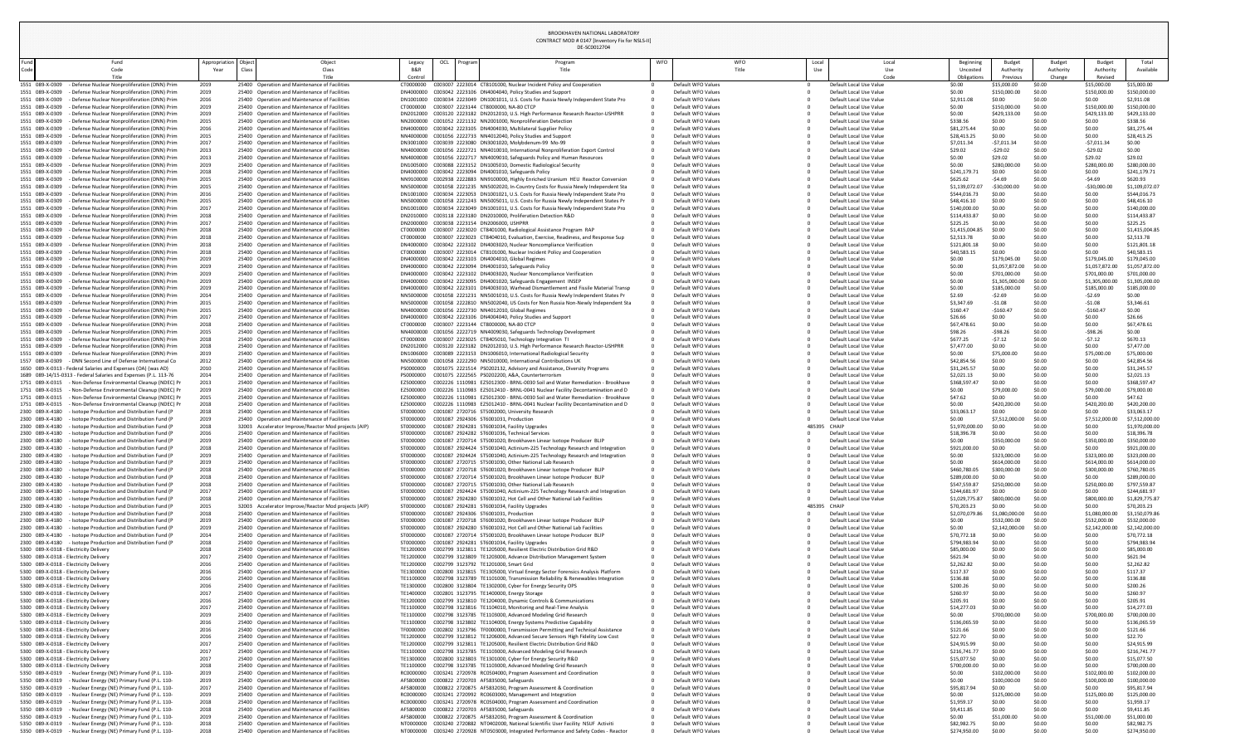DE-SC0012704 CONTRACT MOD # 0147 [Inventory Fix for NSLS-II]

|                                                                                                                                      |               |       |                                                                                                |                        | DL-JCUUIZ704                                                                                                                                                                     |     |                                          |              |                                                    |                                   |                                |                            |                                |                                |
|--------------------------------------------------------------------------------------------------------------------------------------|---------------|-------|------------------------------------------------------------------------------------------------|------------------------|----------------------------------------------------------------------------------------------------------------------------------------------------------------------------------|-----|------------------------------------------|--------------|----------------------------------------------------|-----------------------------------|--------------------------------|----------------------------|--------------------------------|--------------------------------|
| Fund<br>und<br>Code                                                                                                                  | Appropriation | Class | Object<br>Class                                                                                | Legacy                 | OCI<br>Program<br>'rogran<br>Title                                                                                                                                               | WFO | WFO<br>Title                             | Local<br>Use | Local<br>Use                                       | Beginning<br>Uncoste              | Budget<br>Authority            | <b>Budget</b><br>Authority | Budget<br>Authority            | Total<br>Available             |
| Code<br>Title                                                                                                                        | Year          |       | Title                                                                                          | Control                |                                                                                                                                                                                  |     |                                          |              | Code                                               | Obligations                       | Previous                       | Change                     | Revised                        |                                |
| 1551 089-X-0309<br>- Defense Nuclear Nonproliferation (DNN) Prim                                                                     | 2019          |       | 25400 Operation and Maintenance of Facilities                                                  | CT0000000              | C003007 2223014 CT8101000, Nuclear Incident Policy and Cooperation                                                                                                               |     | Default WFO Values                       |              | Default Local Use Value                            | \$0.00                            | \$15,000.00                    | \$0.00                     | \$15,000.00                    | \$15,000.00                    |
| - Defense Nuclear Nonproliferation (DNN) Prim<br>1551 089-X-0309                                                                     | 2019          |       | 25400 Operation and Maintenance of Facilities                                                  |                        | DN4000000 C003042 2223106 DN4004040, Policy Studies and Support                                                                                                                  |     | Default WFO Values                       |              | Default Local Use Value                            | \$0.00                            | \$150,000.0                    | \$0.00                     | \$150,000.00                   | \$150,000.00                   |
| - Defense Nuclear Nonproliferation (DNN) Prim<br>1551 089-X-0309<br>1551 089-X-0309<br>- Defense Nuclear Nonproliferation (DNN) Prim | 2016<br>2019  |       | 25400 Operation and Maintenance of Facilities<br>25400 Operation and Maintenance of Facilities | CT0000000              | DN1001000 C003034 2223049 DN1001011, U.S. Costs for Russia Newly Independent State Pro<br>C003007 2223144 CT8000000, NA-80 CTCP                                                  |     | Default WFO Values<br>Default WFO Values |              | Default Local Use Value<br>Default Local Use Value | \$2,911.08<br>\$0.00              | \$0.00<br>\$150,000.0          | \$0.00<br>\$0.00           | \$0.00<br>\$150,000.00         | \$2,911.08<br>\$150,000.00     |
| 1551 089-X-0309<br>- Defense Nuclear Nonproliferation (DNN) Prim                                                                     | 2019          |       | 25400 Operation and Maintenance of Facilities                                                  |                        | DN2012000 C003120 2223182 DN2012010, U.S. High Performance Research Reactor-USHPRR                                                                                               |     | Default WFO Values                       |              | Default Local Use Value                            | \$0.00                            | \$429,133.0                    | \$0.00                     | \$429,133.0                    | \$429,133.00                   |
| 1551 089-X-0309<br>- Defense Nuclear Nonproliferation (DNN) Prim                                                                     | 2015          |       | 25400 Operation and Maintenance of Facilities                                                  |                        | NN2000000 C001052 2221132 NN2001000, Nonproliferation Detection                                                                                                                  |     | Default WFO Values                       |              | Default Local Use Value                            | \$338.56                          | \$0.00                         | \$0.00                     | \$0.00                         | \$338.56                       |
| 1551 089-X-0309<br>- Defense Nuclear Nonproliferation (DNN) Prim<br>1551 089-X-0309<br>- Defense Nuclear Nonproliferation (DNN) Prim | 2016<br>2015  |       | 25400 Operation and Maintenance of Facilities<br>25400 Operation and Maintenance of Facilities |                        | DN4000000 C003042 2223105 DN4004030, Multilateral Supplier Policy<br>NN4000000 C001056 2222733 NN4012040, Policy Studies and Support                                             |     | Default WFO Values<br>Default WFO Values |              | Default Local Use Value<br>Default Local Use Value | \$81,275.44<br>\$28,413.25        | \$0.00<br>\$0.00               | \$0.00<br>\$0.00           | \$0.00<br>\$0.00               | \$81,275.44<br>\$28,413.25     |
| 1551 089-X-0309<br>- Defense Nuclear Nonproliferation (DNN) Prim                                                                     | 2017          |       | 25400 Operation and Maintenance of Facilities                                                  |                        | DN3001000 C003039 2223080 DN3001020, Molybdenum-99 Mo-99                                                                                                                         |     | Default WFO Values                       |              | Default Local Use Value                            | \$7,011.34                        | $-57,011.3$                    | \$0.00                     | -\$7,011.3                     | \$0.00                         |
| 1551 089-X-0309<br>- Defense Nuclear Nonproliferation (DNN) Prim                                                                     | 2013          |       | 25400 Operation and Maintenance of Facilities                                                  |                        | NN4000000 C001056 2222721 NN4010010, International Nonproliferation Export Control                                                                                               |     | Default WFO Values                       |              | Default Local Use Value                            | \$29.02                           | $-529.02$                      | S0.00                      | $-529.02$                      | \$0.00                         |
| 1551 089-X-0309<br>- Defense Nuclear Nonproliferation (DNN) Prim<br>1551 089-X-0309<br>- Defense Nuclear Nonproliferation (DNN) Prim | 2013<br>2019  |       | 25400 Operation and Maintenance of Facilities<br>25400 Operation and Maintenance of Facilities |                        | NN4000000 C001056 2222717 NN4009010, Safeguards Policy and Human Resources<br>DN1005000 C003088 2223152 DN1005010, Domestic Radiological Security                                |     | Default WFO Values<br>Default WFO Values |              | Default Local Use Value<br>Default Local Use Value | \$0.00<br>\$0.00                  | \$29.02<br>\$280,000.          | \$0.00<br>\$0.00           | \$29.02<br>\$280,000.0         | \$29.02<br>\$280,000.00        |
| 1551 089-X-0309<br>- Defense Nuclear Nonproliferation (DNN) Prim                                                                     | 2018          |       | 25400 Operation and Maintenance of Facilities                                                  |                        | DN4000000 C003042 2223094 DN4001010, Safeguards Policy                                                                                                                           |     | Default WFO Values                       |              | Default Local Use Value                            | \$241,179.                        | \$0.00                         | \$0.00                     | \$0.00                         | \$241,179.71                   |
| 1551 089-X-0309<br>- Defense Nuclear Nonproliferation (DNN) Prim                                                                     | 2015          |       | 25400 Operation and Maintenance of Facilities                                                  |                        | NN9100000 C002938 2222883 NN9100000, Highly Enriched Uranium HEU Reactor Conversion                                                                                              |     | Default WFO Values                       |              | Default Local Use Value                            | \$625.62                          |                                | \$0.00                     | $-54.69$                       | \$620.93                       |
| 1551 089-X-0309<br>- Defense Nuclear Nonproliferation (DNN) Prim<br>1551 089-X-0309<br>- Defense Nuclear Nonproliferation (DNN) Prim | 2015<br>2016  |       | 25400 Operation and Maintenance of Facilities<br>25400 Operation and Maintenance of Facilities |                        | NN5000000 C001058 2221235 NN5002020, In-Country Costs for Russia Newly Independent Sta<br>DN1001000 C003034 2223053 DN1001021, U.S. Costs for Russia Newly Independent State Pro |     | Default WFO Values<br>Default WFO Values |              | Default Local Use Value<br>Default Local Use Value | \$1,139,072.0<br>\$544,016.73     | $-530,000.$<br>\$0.00          | \$0.00<br>\$0.00           | $-530,000.0$<br>\$0.00         | \$1,109,072.07<br>\$544,016.73 |
| 1551 089-X-0309<br>- Defense Nuclear Nonproliferation (DNN) Prim                                                                     | 2015          |       | 25400 Operation and Maintenance of Facilities                                                  |                        | NN5000000 C001058 2221243 NN5005011, U.S. Costs for Russia Newly Independent States Pr                                                                                           |     | Default WFO Values                       |              | Default Local Use Value                            | \$48,416.10                       | \$0.00                         | \$0.00                     | \$0.00                         | \$48,416.10                    |
| 1551 089-X-0309<br>- Defense Nuclear Nonproliferation (DNN) Prim                                                                     | 2017          |       | 25400 Operation and Maintenance of Facilities                                                  |                        | DN1001000 C003034 2223049 DN1001011, U.S. Costs for Russia Newly Independent State Pro                                                                                           |     | Default WFO Values                       |              | Default Local Use Value                            | \$140,000.0                       | \$0.00                         | \$0.00                     | \$0.00                         | \$140,000.00                   |
| 1551 089-X-0309<br>- Defense Nuclear Nonproliferation (DNN) Prim<br>1551 089-X-0309<br>- Defense Nuclear Nonproliferation (DNN) Prim | 2018<br>2017  |       | 25400 Operation and Maintenance of Facilities<br>25400 Operation and Maintenance of Facilities |                        | DN2010000 C003118 2223180 DN2010000, Proliferation Detection R&D<br>DN2000000 C003038 2223154 DN2006000, USHPRR                                                                  |     | Default WFO Values<br>Default WFO Values |              | Default Local Use Value<br>Default Local Use Value | \$114,433.87<br>\$225.25          | \$0.00<br>\$0.00               | \$0.00<br>\$0.00           | \$0.00<br>\$0.00               | \$114,433.87<br>\$225.25       |
| 1551 089-X-0309<br>- Defense Nuclear Nonproliferation (DNN) Prim                                                                     | 2018          |       | 25400 Operation and Maintenance of Facilities                                                  | CT0000000              | C003007 2223020 CT8401000, Radiological Assistance Program RAP                                                                                                                   |     | Default WFO Values                       |              | Default Local Use Value                            | \$1,415,004.85                    | \$0.00                         | \$0.00                     | \$0.00                         | \$1,415,004.85                 |
| 1551 089-X-0309<br>- Defense Nuclear Nonproliferation (DNN) Prim                                                                     | 2018          |       | 25400 Operation and Maintenance of Facilities                                                  | CT0000000              | C003007 2223023 CT8404010, Evaluation, Exercise, Readiness, and Response Sup                                                                                                     |     | Default WFO Values                       |              | Default Local Use Value                            | \$2,513.78                        | \$0.00                         | \$0.00                     | \$0.00                         | \$2,513.78                     |
| 1551 089-X-0309<br>- Defense Nuclear Nonproliferation (DNN) Prim                                                                     | 2018          |       | 25400 Operation and Maintenance of Facilities                                                  | DN4000000<br>CT0000000 | C003042 2223102 DN4003020, Nuclear Noncompliance Verification<br>C003007 2223014 CT8101000, Nuclear Incident Policy and Cooperation                                              |     | Default WFO Values                       |              | Default Local Use Value                            | \$121,801.1                       | \$0.00<br>\$0.00               | \$0.00<br>\$0.00           | \$0.00<br>\$0.00               | \$121,801.18                   |
| 1551 089-X-0309<br>- Defense Nuclear Nonproliferation (DNN) Prim<br>1551 089-X-0309<br>- Defense Nuclear Nonproliferation (DNN) Prim | 2018<br>2019  |       | 25400 Operation and Maintenance of Facilities<br>25400 Operation and Maintenance of Facilities |                        | DN4000000 C003042 2223103 DN4004010, Global Regimes                                                                                                                              |     | Default WFO Values<br>Default WFO Values |              | Default Local Use Value<br>Default Local Use Value | \$40,583.15<br>\$0.00             | \$179,045.00                   | \$0.00                     | \$179,045.00                   | \$40,583.15<br>\$179,045.00    |
| 1551 089-X-0309<br>- Defense Nuclear Nonproliferation (DNN) Prim                                                                     | 2019          |       | 25400 Operation and Maintenance of Facilities                                                  |                        | DN4000000 C003042 2223094 DN4001010, Safeguards Policy                                                                                                                           |     | Default WFO Values                       |              | Default Local Use Value                            | \$0.00                            | \$1,057,872.00                 | \$0.00                     | \$1,057,872.00                 | \$1,057,872.00                 |
| 1551 089-X-0309 - Defense Nuclear Nonproliferation (DNN) Prim                                                                        |               |       | 25400 Operation and Maintenance of Facilities                                                  |                        | DN4000000 C003042 2223102 DN4003020, Nuclear Noncompliance Verification                                                                                                          |     | Default WFO Values                       |              | Default Local Use Value                            |                                   | \$701,000.00                   | \$0.00                     | \$701,000.00                   | \$701,000.00                   |
| 1551 089-X-0309<br>- Defense Nuclear Nonproliferation (DNN) Prim<br>1551 089-X-0309<br>- Defense Nuclear Nonproliferation (DNN) Prim | 2019<br>2019  |       | 25400 Operation and Maintenance of Facilities<br>25400 Operation and Maintenance of Facilities |                        | DN4000000 C003042 2223095 DN4001020, Safeguards Engagement INSEP<br>DN4000000 C003042 2223101 DN4003010, Warhead Dismantlement and Fissile Material Transp                       |     | Default WFO Values<br>Default WFO Values |              | Default Local Use Value<br>Default Local Use Value | \$0.00<br>S0.00                   | \$1,305,000.00<br>\$185,000.00 | \$0.00<br>S0.00            | \$1,305,000.00<br>\$185,000.00 | \$1,305,000.00<br>\$185,000.00 |
| 1551 089-X-0309<br>- Defense Nuclear Nonproliferation (DNN) Prim                                                                     | 2014          |       | 25400 Operation and Maintenance of Facilities                                                  |                        | NN5000000 C001058 2221231 NN5001010, U.S. Costs for Russia Newly Independent States Pr                                                                                           |     | Default WFO Values                       |              | Default Local Use Value                            | \$2.69                            |                                | \$0.00                     | $-52.69$                       | \$0.00                         |
| 1551 089-X-0309<br>- Defense Nuclear Nonproliferation (DNN) Prim                                                                     | 2015          |       | 25400 Operation and Maintenance of Facilities                                                  |                        | NN5000000 C001058 2222810 NN5002040, US Costs for Non Russia Non-Newly Independent Sta                                                                                           |     | Default WFO Values                       |              | Default Local Use Value                            | \$3,347.69                        | -\$1.08                        |                            | -\$1.08                        | \$3,346.61                     |
| 1551 089-X-0309<br>- Defense Nuclear Nonproliferation (DNN) Prim<br>1551 089-X-0309<br>- Defense Nuclear Nonproliferation (DNN) Prim | 2015<br>2017  |       | 25400 Operation and Maintenance of Facilities<br>25400 Operation and Maintenance of Facilities |                        | NN4000000 C001056 2222730 NN4012010, Global Regimes<br>DN4000000 C003042 2223106 DN4004040, Policy Studies and Support                                                           |     | Default WFO Values<br>Default WFO Values |              | Default Local Use Value<br>Default Local Use Value | \$160.47<br>\$26.66               | $-5160.4$<br>\$0.00            | \$0.00<br>\$0.00           | $-$160.4$<br>\$0.00            | \$0.00<br>\$26.66              |
| 1551 089-X-0309<br>- Defense Nuclear Nonproliferation (DNN) Prim                                                                     | 2018          |       | 25400 Operation and Maintenance of Facilities                                                  | CT0000000              | C003007 2223144 CT8000000. NA-80 CTCP                                                                                                                                            |     | Default WFO Values                       |              | Default Local Use Value                            | \$67,478.6                        | \$0.00                         | \$0.00                     | \$0.00                         | \$67,478.61                    |
| 1551 089-X-0309<br>- Defense Nuclear Nonproliferation (DNN) Prim                                                                     | 2015          |       | 25400 Operation and Maintenance of Facilities                                                  |                        | NN4000000 C001056 2222719 NN4009030, Safeguards Technology Development                                                                                                           |     | Default WFO Values                       |              | Default Local Use Value                            | \$98.26                           | $-598.2$                       |                            | $-598.26$                      | \$0.00                         |
| 1551 089-X-0309<br>- Defense Nuclear Nonproliferation (DNN) Prim<br>1551 089-X-0309<br>- Defense Nuclear Nonproliferation (DNN) Prim | 2018<br>2018  |       | 25400 Operation and Maintenance of Facilities<br>25400 Operation and Maintenance of Facilities | CT0000000              | C003007 2223025 CT8405010, Technology Integration TI<br>DN2012000 C003120 2223182 DN2012010, U.S. High Performance Research Reactor-USHPRR                                       |     | Default WFO Values<br>Default WFO Values |              | Default Local Use Value<br>Default Local Use Value | \$677.25<br>\$7,477.00            | $-57.12$<br>\$0.00             | S0.00<br>\$0.00            | -\$7.12<br>\$0.00              | \$670.13<br>\$7,477.00         |
| 1551 089-X-0309<br>- Defense Nuclear Nonproliferation (DNN) Prim                                                                     | 2019          |       | 25400 Operation and Maintenance of Facilities                                                  |                        | DN1006000 C003089 2223153 DN1006010, International Radiological Security                                                                                                         |     | Default WFO Values                       |              | Default Local Use Value                            | \$0.00                            | \$75,000.0                     | \$0.00                     | \$75,000.                      | \$75,000.00                    |
| 1557 089-X-0309<br>- DNN Second Line of Defense International Co                                                                     | 2012          |       | 25400 Operation and Maintenance of Facilities                                                  |                        | NN5000000 C001058 2222290 NN5010000, International Contributions UK                                                                                                              |     | Default WFO Values                       |              | Default Local Use Value                            | \$42,854.56                       | \$0.00                         | \$0.00                     | \$0.00                         | \$42,854.56                    |
| 1650 089-X-0313 - Federal Salaries and Expenses (OA) (was AD)<br>1689 089-14/15-0313 - Federal Salaries and Expenses (P.L. 113-76    | 2010<br>2014  |       | 25400 Operation and Maintenance of Facilities<br>25400 Operation and Maintenance of Facilities | PS0000000<br>PS0000000 | C001075 2221514 PS0202132, Advisory and Assistance, Diversity Programs<br>C001075 2222565 PS0202200, A&A, Counterterrorism                                                       |     | Default WFO Values<br>Default WFO Values |              | Default Local Use Value<br>Default Local Use Value | \$31,245.57<br>\$2,021.13         | \$0.00<br>S0.00                | S0.00                      | \$0.00<br>\$0.00               | \$31,245.57<br>\$2,021.13      |
| 1751 089-X-0315<br>- Non-Defense Environmental Cleanup (NDEC) P                                                                      | 2013          |       | 25400 Operation and Maintenance of Facilities                                                  | EZ5000000              | C002226 1110981 EZ5012300 - BRNL-0030 Soil and Water Remediation - Brookhave                                                                                                     |     | Default WFO Values                       |              | Default Local Use Value                            | \$368,597.4                       | S0.00                          | \$0.00                     | \$0.00                         | \$368,597.47                   |
| 1751 089-X-0315<br>- Non-Defense Environmental Cleanup (NDEC) Pr                                                                     | 2019          |       | 25400 Operation and Maintenance of Facilities                                                  | EZ5000000              | C002226 1110983 EZ5012410 - BRNL-0041 Nuclear Facility Decontamination and D                                                                                                     |     | Default WFO Values                       |              | Default Local Use Value                            | \$0.00                            | \$79,000.0                     | \$0.00                     | \$79,000.0                     | \$79,000.00                    |
| 1751 089-X-0315<br>- Non-Defense Environmental Cleanup (NDEC) P<br>1751 089-X-0315<br>- Non-Defense Environmental Cleanup (NDEC) P   | 2015<br>2018  |       | 25400 Operation and Maintenance of Facilities<br>25400 Operation and Maintenance of Facilities | EZ5000000<br>EZ5000000 | C002226 1110981 EZ5012300 - BRNL-0030 Soil and Water Remediation - Brookhave<br>C002226 1110983 EZ5012410 - BRNL-0041 Nuclear Facility Decontamination and D                     |     | Default WFO Values<br>Default WFO Values |              | Default Local Use Value<br>Default Local Use Value | \$47.62<br>\$0.00                 | \$0.00<br>\$420,200.           | \$0.00                     | \$0.00<br>\$420,200.0          | \$47.62<br>\$420,200.00        |
| 2300 089-X-4180<br>- Isotope Production and Distribution Fund (P                                                                     | 2018          |       | 25400 Operation and Maintenance of Facilities                                                  | ST0000000              | C001087 2720716 ST5002000, University Research                                                                                                                                   |     | Default WFO Values                       |              | Default Local Use Value                            | \$33,063.1                        | S0.00                          | \$0.00                     | \$0.00                         | \$33,063.17                    |
| - Isotope Production and Distribution Fund (P<br>2300 089-X-4180                                                                     | 2019          |       | 25400 Operation and Maintenance of Facilities                                                  | ST0000000              | C001087 2924306 ST6001031, Production                                                                                                                                            |     | Default WFO Values                       |              | Default Local Use Value                            | \$0.00                            | \$7,512,000                    | \$0.00                     | \$7,512,000.                   | \$7,512,000.00                 |
| 2300 089-X-4180<br>- Isotope Production and Distribution Fund (P                                                                     | 2018          |       | 32003 Accelerator Improve/Reactor Mod projects (AIP)                                           | ST0000000              | C001087 2924281 ST6001034, Facility Upgrades<br>C001087 2924282 ST6001036, Technical Services                                                                                    |     | Default WFO Values                       | 485395       | <b>CHAIP</b>                                       | \$1,970,000.00                    | S0.00                          |                            | \$0.00                         | \$1,970,000.00                 |
| 2300 089-X-4180<br>- Isotope Production and Distribution Fund (F<br>2300 089-X-4180<br>- Isotope Production and Distribution Fund (F | 2016<br>2019  |       | 25400 Operation and Maintenance of Facilities<br>25400 Operation and Maintenance of Facilities | ST0000000<br>ST0000000 | C001087 2720714 ST5001020, Brookhaven Linear Isotope Producer BLIP                                                                                                               |     | Default WFO Values<br>Default WFO Values |              | Default Local Use Value<br>Default Local Use Value | \$18,396.78<br>\$0.00             | \$0.00<br>\$350,000.           | \$0.00<br>\$0.00           | \$0.00<br>\$350,000.0          | \$18,396.78<br>\$350,000.00    |
| 2300 089-X-4180<br>- Isotope Production and Distribution Fund (F                                                                     | 2018          |       | 25400 Operation and Maintenance of Facilities                                                  | ST0000000              | C001087 2924424 ST5001040, Actinium-225 Technology Research and Integration                                                                                                      |     | Default WFO Values                       |              | Default Local Use Value                            | \$921,000.0                       | S0.00                          | S0.00                      | \$0.00                         | \$921,000.00                   |
| 2300 089-X-4180<br>- Isotope Production and Distribution Fund (F                                                                     | 2019          |       | 25400 Operation and Maintenance of Facilities                                                  | ST0000000<br>ST0000000 | C001087 2924424 ST5001040, Actinium-225 Technology Research and Integration                                                                                                      |     | Default WFO Values                       |              | Default Local Use Value                            | \$0.00                            | \$323,000.00                   | \$0.00                     | \$323,000.00                   | \$323,000.00                   |
| 2300 089-X-4180<br>- Isotope Production and Distribution Fund (P<br>2300 089-X-4180<br>- Isotope Production and Distribution Fund (F | 2019<br>2018  |       | 25400 Operation and Maintenance of Facilities<br>25400 Operation and Maintenance of Facilities | ST0000000              | C001087 2720715 ST5001030, Other National Lab Research<br>C001087 2720718 ST6001020, Brookhaven Linear Isotope Producer BLIP                                                     |     | Default WFO Values<br>Default WFO Values |              | Default Local Use Value<br>Default Local Use Value | \$0.00<br>\$460,780.0             | \$614,000.00<br>\$300,000.0    | \$0.00<br>\$0.00           | \$614,000.00<br>\$300,000.0    | \$614,000.00<br>\$760,780.05   |
| 2300 089-X-4180<br>- Isotope Production and Distribution Fund (P                                                                     | 2018          |       | 25400 Operation and Maintenance of Facilities                                                  | ST0000000              | C001087 2720714 ST5001020, Brookhaven Linear Isotope Producer BLIP                                                                                                               |     | Default WFO Values                       |              | Default Local Use Value                            | \$289,000.0                       |                                | \$0.00                     | \$0.00                         | \$289,000.00                   |
| 2300 089-X-4180<br>- Isotope Production and Distribution Fund (F<br>- Isotope Production and Distribution Fund (F                    | 2018          |       | 25400 Operation and Maintenance of Facilities                                                  | ST0000000              | C001087 2720715 ST5001030, Other National Lab Research                                                                                                                           |     | Default WFO Values                       |              | Default Local Use Value                            | \$547,559.87                      | \$250,000.0                    | \$0.00                     | \$250,000.0                    | \$797,559.87                   |
| 2300 089-X-4180<br>2300 089-X-4180 - Isotope Production and Distribution Fund (F                                                     | 2017<br>2018  |       | 25400 Operation and Maintenance of Facilities<br>25400 Operation and Maintenance of Facilities | ST0000000<br>ST0000000 | C001087 2924424 ST5001040, Actinium-225 Technology Research and Integration<br>C001087 2924280 ST6001032. Hot Cell and Other National Lab Facilities                             |     | Default WFO Values<br>Default WFO Values |              | Default Local Use Value<br>Default Local Use Value | \$244,681.97<br>\$1,029,775.87    | \$800,000.00                   | \$0.00<br>S0.00            | \$0.00<br>\$800,000,00         | \$244,681.97<br>\$1,829,775.87 |
| 2300 089-X-4180<br>- Isotope Production and Distribution Fund (F                                                                     | 2015          | 32003 | Accelerator Improve/Reactor Mod projects (AIP)                                                 | 5T0000000              | C001087 2924281 ST6001034, Facility Upgrades                                                                                                                                     |     | Default WFO Values                       | 485395       | CHAIP                                              | \$70,203.23                       | \$0.00                         | \$0.00                     | \$0.00                         | \$70,203.23                    |
| 2300 089-X-4180<br>- Isotope Production and Distribution Fund (P                                                                     | 2018          |       | 25400 Operation and Maintenance of Facilities                                                  | ST0000000              | C001087 2924306 ST6001031, Production                                                                                                                                            |     | Default WFO Values                       |              | Default Local Use Value                            | \$2,070,079.86                    | 1,080,000.00                   | \$0.00                     | \$1,080,000.00                 | \$3,150,079.86                 |
| 2300 089-X-4180<br>- Isotope Production and Distribution Fund (P<br>- Isotope Production and Distribution Fund (F<br>2300 089-X-4180 | 2019<br>2019  |       | 25400 Operation and Maintenance of Facilities<br>25400 Operation and Maintenance of Facilities | ST0000000<br>ST0000000 | C001087 2720718 ST6001020, Brookhaven Linear Isotope Producer BLIP<br>C001087 2924280 ST6001032, Hot Cell and Other National Lab Facilities                                      |     | Default WFO Values<br>Default WFO Values |              | Default Local Use Value<br>Default Local Use Value | \$0.00<br>\$0.00                  | \$532,000.00<br>\$2,142,000.   | \$0.00<br>\$0.00           | \$532,000.00<br>\$2,142,000.0  | \$532,000.00<br>\$2,142,000.00 |
| 2300 089-X-4180<br>- Isotope Production and Distribution Fund (P                                                                     | 2014          |       | 25400 Operation and Maintenance of Facilities                                                  | ST0000000              | C001087 2720714 ST5001020, Brookhaven Linear Isotope Producer BLIP                                                                                                               |     | Default WFO Values                       |              | Default Local Use Value                            | \$70,772.18                       | \$0.00                         | \$0.00                     | \$0.00                         | \$70,772.18                    |
| 2300 089-X-4180<br>- Isotope Production and Distribution Fund (P<br>5300 089-X-0318 - Electricity Delivery                           | 2018<br>2018  |       | 25400 Operation and Maintenance of Facilities<br>25400 Operation and Maintenance of Facilities | ST0000000<br>TE1200000 | C001087 2924281 ST6001034, Facility Upgrades<br>C002799 3123811 TE1205000, Resilient Electric Distribution Grid R&D                                                              |     | Default WFO Values<br>Default WFO Values |              | Default Local Use Value<br>Default Local Use Value | \$794,983.9<br>\$85,000.00        | \$0.00<br>\$0.00               | \$0.00<br>\$0.00           | \$0.00<br>\$0.00               | \$794,983.94<br>\$85,000.00    |
| 5300 089-X-0318 - Electricity Delivery                                                                                               | 2017          |       | 25400 Operation and Maintenance of Facilities                                                  | TE1200000              | C002799 3123809 TE1203000, Advance Distribution Management System                                                                                                                |     | Default WFO Values                       |              | Default Local Use Value                            | \$621.94                          | \$0.00                         | \$0.00                     | \$0.00                         | \$621.94                       |
| 5300 089-X-0318 - Electricity Delivery                                                                                               |               |       | 25400 Operation and Maintenance of Facilities                                                  | TE1200000              | C002799 3123792 TE1201000, Smart Grid                                                                                                                                            |     | Default WFO Values                       |              | Default Local Use Value                            | \$2,262.82                        | \$0.00                         | \$0.00                     | \$0.00                         | \$2,262.82                     |
| 5300 089-X-0318 - Electricity Delivery                                                                                               | 2016          |       | 25400 Operation and Maintenance of Facilities<br>25400 Operation and Maintenance of Facilities | TE1300000              | C002800 3123815 TE1305000, Virtual Energy Sector Forensics Analysis Platform                                                                                                     |     | Default WFO Values                       |              | Default Local Use Value                            | \$117.37                          | \$0.00                         | \$0.00                     | \$0.00                         | \$117.37                       |
| 5300 089-X-0318 - Electricity Delivery<br>5300 089-X-0318 - Electricity Delivery                                                     | 2016<br>2016  |       | 25400 Operation and Maintenance of Facilities                                                  | TE1100000<br>TE1300000 | C002798 3123789 TE1101000, Transmission Reliability & Renewables Integration<br>C002800 3123804 TE1302000, Cyber for Energy Security OPS                                         |     | Default WFO Values<br>Default WFO Values |              | Default Local Use Value<br>Default Local Use Value | \$136.88<br>\$200.26              | \$0.00<br>\$0.00               | \$0.00<br>\$0.00           | \$0.00<br>\$0.00               | \$136.88<br>\$200.26           |
| 5300 089-X-0318 - Electricity Delivery                                                                                               | 2017          |       | 25400 Operation and Maintenance of Facilities                                                  |                        | TE1400000 C002801 3123795 TE1400000, Energy Storage                                                                                                                              |     | Default WFO Values                       |              | Default Local Use Value                            | \$260.97                          | \$0.00                         | \$0.00                     | \$0.00                         | \$260.97                       |
| 5300 089-X-0318 - Electricity Delivery                                                                                               | 2016          |       | 25400 Operation and Maintenance of Facilities                                                  | TE1200000              | C002799 3123810 TE1204000, Dynamic Controls & Communications                                                                                                                     |     | Default WFO Values                       |              | Default Local Use Value                            | \$205.91                          | \$0.00                         | \$0.00                     | \$0.00<br>\$0.00               | \$205.91                       |
| 5300 089-X-0318 - Electricity Delivery<br>5300 089-X-0318 - Electricity Delivery                                                     | 2017<br>2019  |       | 25400 Operation and Maintenance of Facilities<br>25400 Operation and Maintenance of Facilities | TE1100000<br>TE1100000 | C002798 3123816 TE1104010, Monitoring and Real-Time Analysis<br>C002798 3123785 TE1103000, Advanced Modeling Grid Research                                                       |     | Default WFO Values<br>Default WFO Values |              | Default Local Use Value<br>Default Local Use Value | \$14,277.03<br>\$0.00             | \$0.00<br>\$700,000.           | \$0.00<br>\$0.00           | \$700,000.                     | \$14,277.03<br>\$700,000.00    |
| 5300 089-X-0318 - Electricity Delivery                                                                                               | 2016          |       | 25400 Operation and Maintenance of Facilities                                                  | TE1100000              | C002798 3123802 TE1104000, Energy Systems Predictive Capability                                                                                                                  |     | Default WFO Values                       |              | Default Local Use Value                            | \$136,065.                        | \$0.00                         | \$0.00                     | \$0.00                         | \$136,065.59                   |
| 5300 089-X-0318 - Electricity Delivery                                                                                               | 2016          |       | 25400 Operation and Maintenance of Facilities<br>25400 Operation and Maintenance of Facilities | TF0000000              | C002802 3123796 TF0000000, Transmission Permitting and Technical Assistance                                                                                                      |     | Default WFO Values<br>Default WFO Values |              | Default Local Use Value                            | \$121.66                          | \$0.00                         |                            | \$0.00                         | \$121.66                       |
| 5300 089-X-0318 - Electricity Delivery<br>5300 089-X-0318 - Electricity Delivery                                                     | 2016<br>2017  |       | 25400 Operation and Maintenance of Facilities                                                  | TE1200000<br>TE1200000 | C002799 3123812 TE1206000, Advanced Secure Sensors High Fidelity Low Cost<br>C002799 3123811 TE1205000, Resilient Electric Distribution Grid R&D                                 |     | Default WFO Values                       |              | Default Local Use Value<br>Default Local Use Value | \$22.70<br>\$24,915.99            | \$0.00<br>\$0.00               | \$0.00<br>\$0.00           | \$0.00<br>\$0.00               | \$22.70<br>\$24,915.99         |
| 5300 089-X-0318 - Electricity Delivery                                                                                               | 2017          |       | 25400 Operation and Maintenance of Facilities                                                  | TE1100000              | C002798 3123785 TE1103000, Advanced Modeling Grid Research                                                                                                                       |     | Default WFO Values                       |              | Default Local Use Value                            | \$216,741.7                       | \$0.00                         | \$0.00                     | \$0.00                         | \$216,741.77                   |
| 5300 089-X-0318 - Electricity Delivery                                                                                               | 2017          |       | 25400 Operation and Maintenance of Facilities                                                  | TE1300000              | C002800 3123803 TE1301000, Cyber for Energy Security R&D                                                                                                                         |     | Default WFO Values                       |              | Default Local Use Value                            | \$15,077.50                       | \$0.00                         | \$0.00                     | \$0.00                         | \$15,077.50                    |
| 5300 089-X-0318 - Electricity Delivery<br>5350 089-X-0319 - Nuclear Energy (NE) Primary Fund (P.L. 110-                              | 2018<br>2019  |       | 25400 Operation and Maintenance of Facilities<br>25400 Operation and Maintenance of Facilities | TE1100000<br>RC0000000 | C002798 3123785 TE1103000, Advanced Modeling Grid Research<br>C003241 2720978 RC0504000, Program Assessment and Coordination                                                     |     | Default WFO Values<br>Default WFO Values |              | Default Local Use Value<br>Default Local Use Value | \$700,000.00<br>\$0.00            | \$0.00<br>\$102,000.0          | \$0.00<br>\$0.00           | \$0.00<br>\$102,000.0          | \$700,000.00<br>\$102,000.00   |
| 5350 089-X-0319<br>- Nuclear Energy (NE) Primary Fund (P.L. 110-                                                                     | 2019          |       | 25400 Operation and Maintenance of Facilities                                                  | AF5800000              | C000822 2720703 AF5835000, Safeguards                                                                                                                                            |     | Default WFO Values                       |              | Default Local Use Value                            | \$0.00                            | \$100,000.00                   | \$0.00                     | \$100,000.00                   | \$100,000.00                   |
| 5350 089-X-0319<br>- Nuclear Energy (NE) Primary Fund (P.L. 110-                                                                     | 2017          |       | 25400 Operation and Maintenance of Facilities                                                  | AF5800000              | C000822 2720875 AF5832030, Program Assessment & Coordination                                                                                                                     |     | Default WFO Values                       |              | Default Local Use Value                            | \$95,817.94                       | \$0.00                         | \$0.00                     | \$0.00                         | \$95,817.94                    |
| 5350 089-X-0319<br>- Nuclear Energy (NE) Primary Fund (P.L. 110-<br>5350 089-X-0319<br>- Nuclear Energy (NE) Primary Fund (P.L. 110- | 2019<br>2018  |       | 25400 Operation and Maintenance of Facilities<br>25400 Operation and Maintenance of Facilities | RC0000000<br>RC0000000 | C003241 2720992 RC0603000, Management and Integration<br>C003241 2720978 RC0504000, Program Assessment and Coordination                                                          |     | Default WFO Values<br>Default WFO Values |              | Default Local Use Value<br>Default Local Use Value | \$0.00<br>\$1,959.17              | \$125,000.0<br>\$0.00          | \$0.00<br>\$0.00           | \$125,000.0<br>\$0.00          | \$125,000.00<br>\$1,959.17     |
| 5350 089-X-0319<br>- Nuclear Energy (NE) Primary Fund (P.L. 110-                                                                     | 2018          |       | 25400 Operation and Maintenance of Facilities                                                  | AF5800000              | C000822 2720703 AF5835000, Safeguards                                                                                                                                            |     | Default WFO Values                       |              | Default Local Use Value                            | \$9,411.85                        | \$0.00                         | \$0.00                     | \$0.00                         | \$9,411.85                     |
| 5350 089-X-0319<br>- Nuclear Energy (NE) Primary Fund (P.L. 110-                                                                     | 2019          |       | 25400 Operation and Maintenance of Facilities                                                  | AF5800000              | C000822 2720875 AF5832030, Program Assessment & Coordination                                                                                                                     |     | Default WFO Values                       |              | Default Local Use Value                            | \$0.00                            | \$51,000.0                     | \$0.00                     | \$51,000.0                     | \$51,000.00                    |
| 5350 089-X-0319<br>- Nuclear Energy (NE) Primary Fund (P.L. 110-<br>5350 089-X-0319 - Nuclear Energy (NE) Primary Fund (P.L. 110-    | 2018<br>2018  |       | 25400 Operation and Maintenance of Facilities<br>25400 Operation and Maintenance of Facilities | NT0000000              | C003240 2720882 NT0402000, National Scientific User Facility NSUF Activiti<br>NT0000000 C003240 2720928 NT0503000, Integrated Performance and Safety Codes - Reactor             |     | Default WFO Values<br>Default WFO Values |              | Default Local Use Value<br>Default Local Use Value | \$82,982.7<br>\$274,950.00 \$0.00 | \$0.00                         | \$0.00<br>\$0.00           | \$0.00<br>\$0.00               | \$82,982.75<br>\$274,950.00    |
|                                                                                                                                      |               |       |                                                                                                |                        |                                                                                                                                                                                  |     |                                          |              |                                                    |                                   |                                |                            |                                |                                |